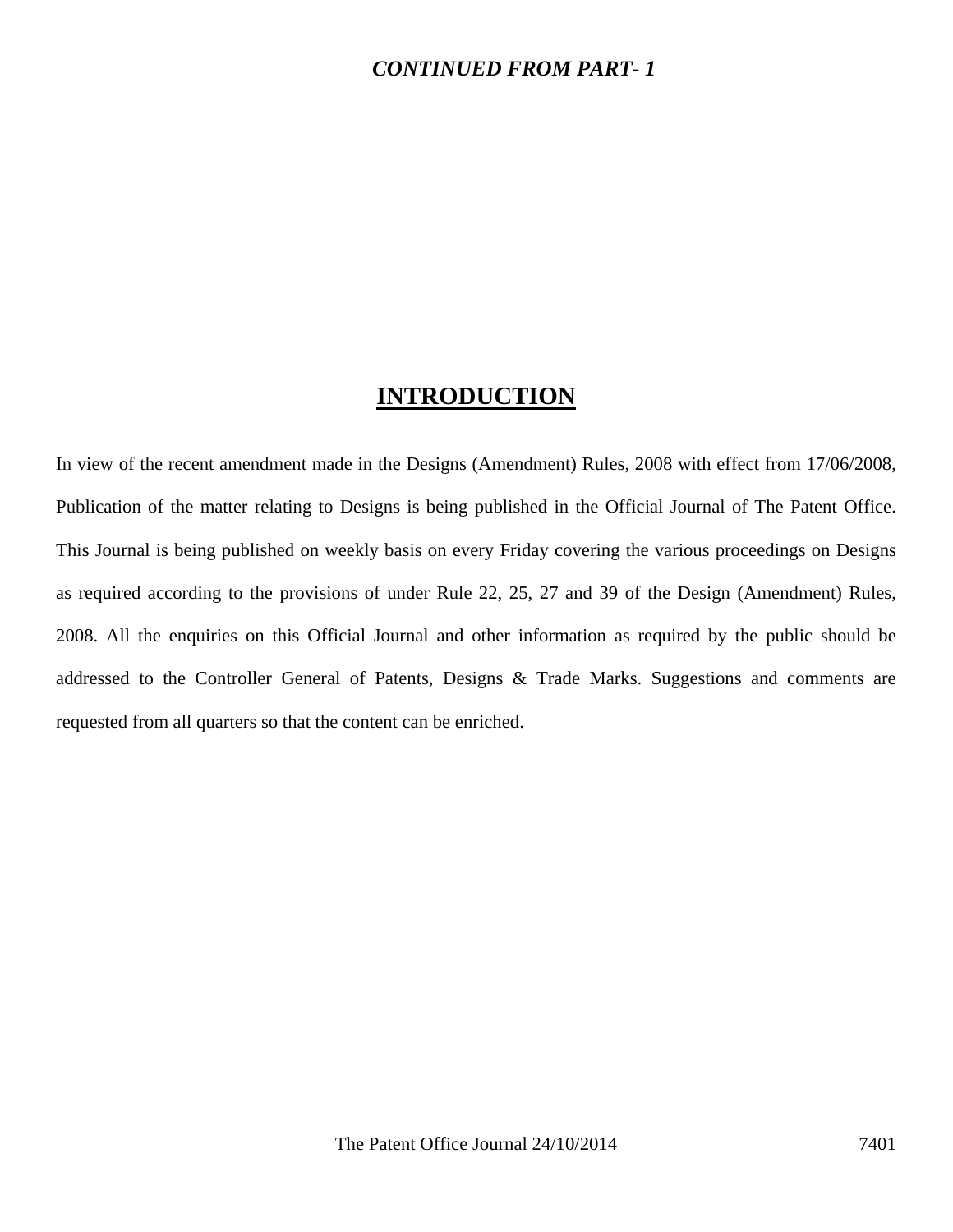## *CONTINUED FROM PART- 1*

## **INTRODUCTION**

In view of the recent amendment made in the Designs (Amendment) Rules, 2008 with effect from 17/06/2008, Publication of the matter relating to Designs is being published in the Official Journal of The Patent Office. This Journal is being published on weekly basis on every Friday covering the various proceedings on Designs as required according to the provisions of under Rule 22, 25, 27 and 39 of the Design (Amendment) Rules, 2008. All the enquiries on this Official Journal and other information as required by the public should be addressed to the Controller General of Patents, Designs & Trade Marks. Suggestions and comments are requested from all quarters so that the content can be enriched.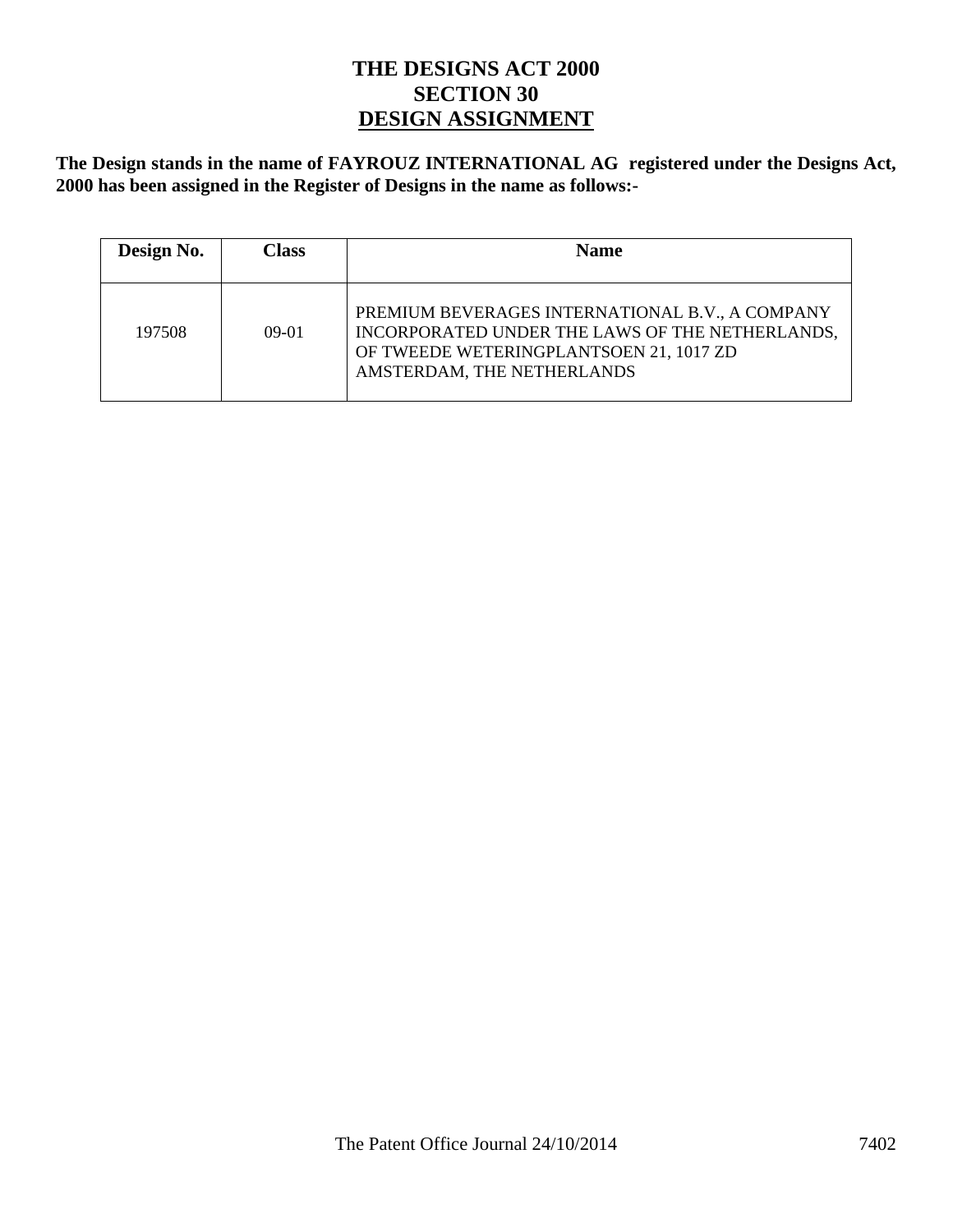## **THE DESIGNS ACT 2000 SECTION 30 DESIGN ASSIGNMENT**

**The Design stands in the name of FAYROUZ INTERNATIONAL AG registered under the Designs Act, 2000 has been assigned in the Register of Designs in the name as follows:-** 

| Design No. | Class   | <b>Name</b>                                                                                                                                                                 |
|------------|---------|-----------------------------------------------------------------------------------------------------------------------------------------------------------------------------|
| 197508     | $09-01$ | PREMIUM BEVERAGES INTERNATIONAL B.V., A COMPANY<br>INCORPORATED UNDER THE LAWS OF THE NETHERLANDS,<br>OF TWEEDE WETERINGPLANTSOEN 21, 1017 ZD<br>AMSTERDAM, THE NETHERLANDS |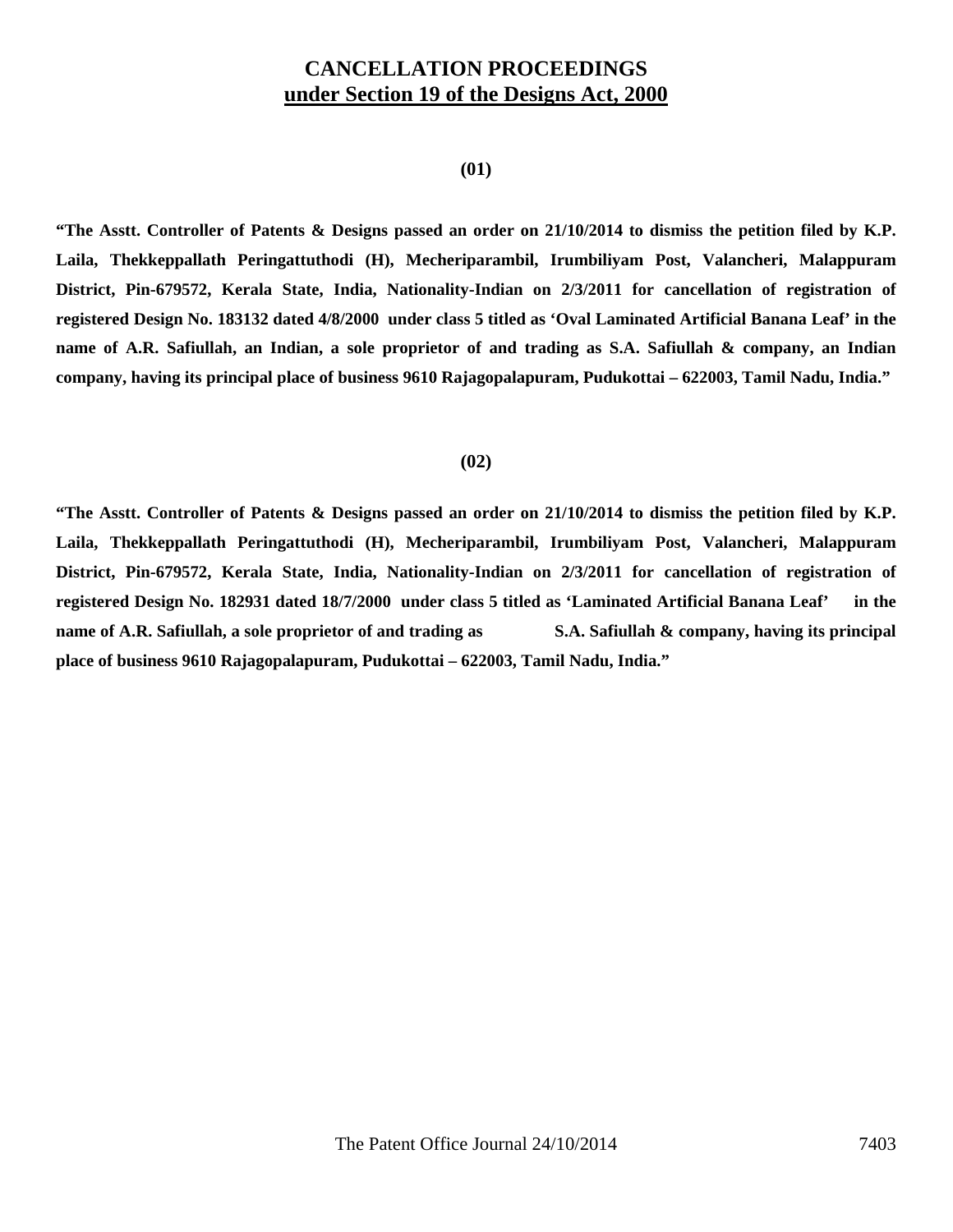## **CANCELLATION PROCEEDINGS under Section 19 of the Designs Act, 2000**

#### **(01)**

**"The Asstt. Controller of Patents & Designs passed an order on 21/10/2014 to dismiss the petition filed by K.P. Laila, Thekkeppallath Peringattuthodi (H), Mecheriparambil, Irumbiliyam Post, Valancheri, Malappuram**  District, Pin-679572, Kerala State, India, Nationality-Indian on 2/3/2011 for cancellation of registration of **registered Design No. 183132 dated 4/8/2000 under class 5 titled as 'Oval Laminated Artificial Banana Leaf' in the name of A.R. Safiullah, an Indian, a sole proprietor of and trading as S.A. Safiullah & company, an Indian company, having its principal place of business 9610 Rajagopalapuram, Pudukottai – 622003, Tamil Nadu, India."** 

#### **(02)**

**"The Asstt. Controller of Patents & Designs passed an order on 21/10/2014 to dismiss the petition filed by K.P. Laila, Thekkeppallath Peringattuthodi (H), Mecheriparambil, Irumbiliyam Post, Valancheri, Malappuram**  District, Pin-679572, Kerala State, India, Nationality-Indian on 2/3/2011 for cancellation of registration of **registered Design No. 182931 dated 18/7/2000 under class 5 titled as 'Laminated Artificial Banana Leaf' in the name of A.R. Safiullah, a sole proprietor of and trading as S.A. Safiullah & company, having its principal place of business 9610 Rajagopalapuram, Pudukottai – 622003, Tamil Nadu, India."**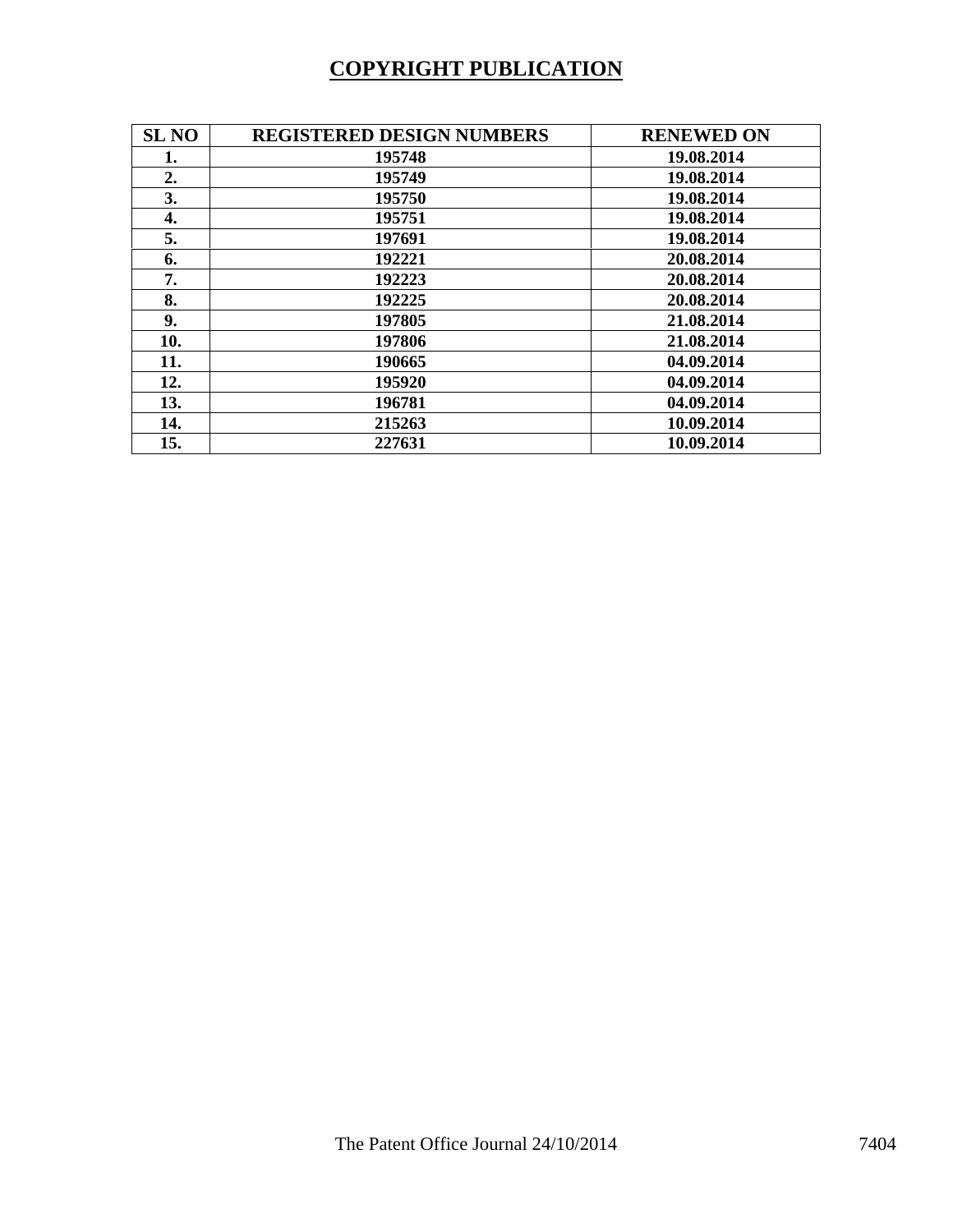# **COPYRIGHT PUBLICATION**

| <b>SL NO</b> | <b>REGISTERED DESIGN NUMBERS</b> | <b>RENEWED ON</b> |
|--------------|----------------------------------|-------------------|
| 1.           | 195748                           | 19.08.2014        |
| 2.           | 195749                           | 19.08.2014        |
| 3.           | 195750                           | 19.08.2014        |
| 4.           | 195751                           | 19.08.2014        |
| 5.           | 197691                           | 19.08.2014        |
| 6.           | 192221                           | 20.08.2014        |
| 7.           | 192223                           | 20.08.2014        |
| 8.           | 192225                           | 20.08.2014        |
| 9.           | 197805                           | 21.08.2014        |
| 10.          | 197806                           | 21.08.2014        |
| 11.          | 190665                           | 04.09.2014        |
| 12.          | 195920                           | 04.09.2014        |
| 13.          | 196781                           | 04.09.2014        |
| 14.          | 215263                           | 10.09.2014        |
| 15.          | 227631                           | 10.09.2014        |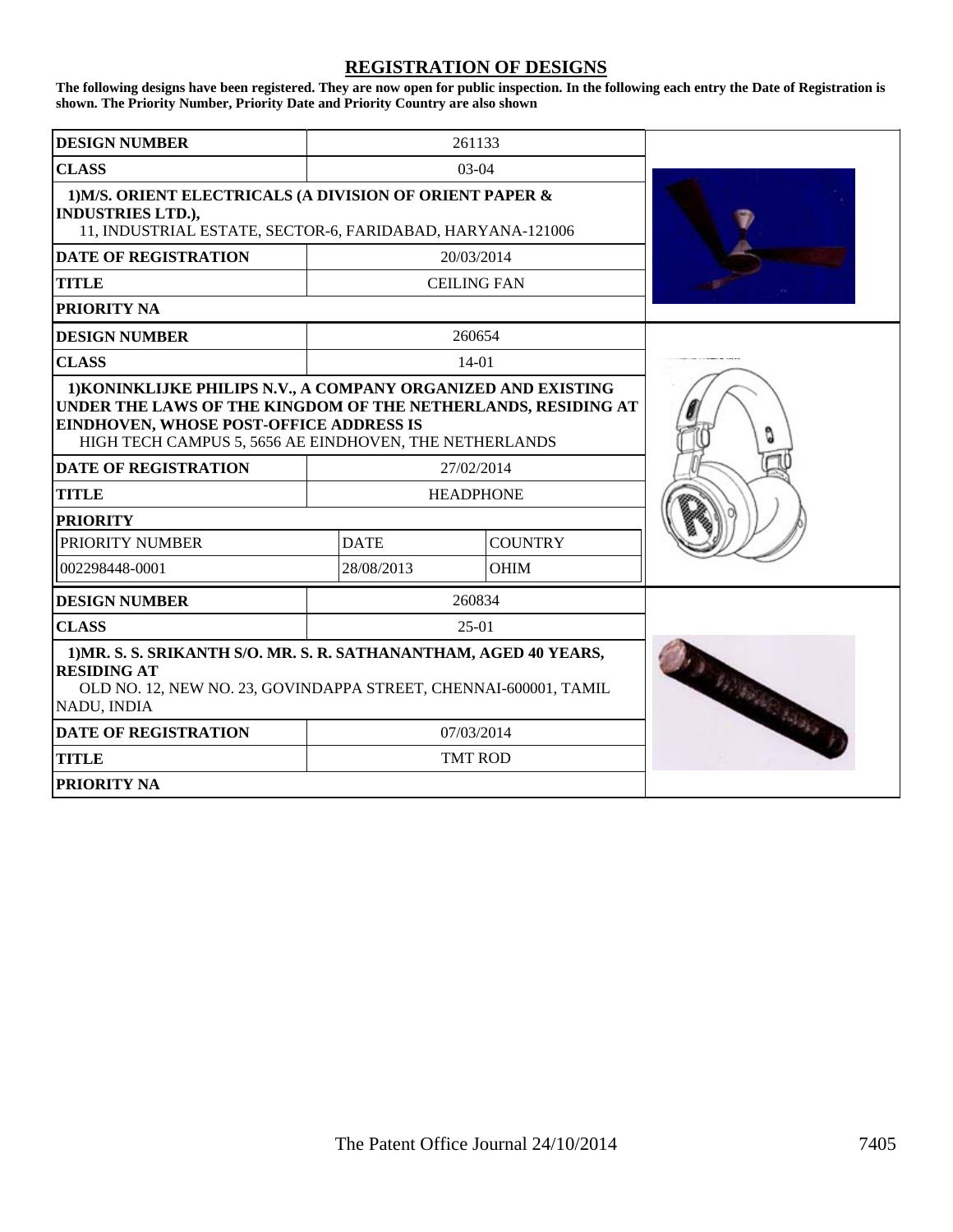### **REGISTRATION OF DESIGNS**

**The following designs have been registered. They are now open for public inspection. In the following each entry the Date of Registration is shown. The Priority Number, Priority Date and Priority Country are also shown**

| <b>DESIGN NUMBER</b>                                                                                                                                                                                                                                                      | 261133                |                                |  |
|---------------------------------------------------------------------------------------------------------------------------------------------------------------------------------------------------------------------------------------------------------------------------|-----------------------|--------------------------------|--|
| <b>CLASS</b>                                                                                                                                                                                                                                                              |                       | $03-04$                        |  |
| 1) M/S. ORIENT ELECTRICALS (A DIVISION OF ORIENT PAPER &<br><b>INDUSTRIES LTD.),</b><br>11, INDUSTRIAL ESTATE, SECTOR-6, FARIDABAD, HARYANA-121006                                                                                                                        |                       |                                |  |
| <b>DATE OF REGISTRATION</b>                                                                                                                                                                                                                                               |                       | 20/03/2014                     |  |
| <b>TITLE</b>                                                                                                                                                                                                                                                              |                       | <b>CEILING FAN</b>             |  |
| PRIORITY NA                                                                                                                                                                                                                                                               |                       |                                |  |
| <b>DESIGN NUMBER</b>                                                                                                                                                                                                                                                      |                       | 260654                         |  |
| <b>CLASS</b>                                                                                                                                                                                                                                                              |                       | $14-01$                        |  |
| 1) KONINKLIJKE PHILIPS N.V., A COMPANY ORGANIZED AND EXISTING<br>UNDER THE LAWS OF THE KINGDOM OF THE NETHERLANDS, RESIDING AT<br><b>EINDHOVEN, WHOSE POST-OFFICE ADDRESS IS</b><br>HIGH TECH CAMPUS 5, 5656 AE EINDHOVEN, THE NETHERLANDS<br><b>DATE OF REGISTRATION</b> |                       |                                |  |
| <b>TITLE</b>                                                                                                                                                                                                                                                              |                       | 27/02/2014<br><b>HEADPHONE</b> |  |
| <b>PRIORITY</b>                                                                                                                                                                                                                                                           |                       |                                |  |
| PRIORITY NUMBER                                                                                                                                                                                                                                                           | <b>DATE</b>           | <b>COUNTRY</b>                 |  |
| 002298448-0001                                                                                                                                                                                                                                                            | 28/08/2013            | <b>OHIM</b>                    |  |
| <b>DESIGN NUMBER</b>                                                                                                                                                                                                                                                      |                       | 260834                         |  |
| <b>CLASS</b>                                                                                                                                                                                                                                                              |                       | $25-01$                        |  |
| 1) MR. S. S. SRIKANTH S/O. MR. S. R. SATHANANTHAM, AGED 40 YEARS,<br><b>RESIDING AT</b><br>OLD NO. 12, NEW NO. 23, GOVINDAPPA STREET, CHENNAI-600001, TAMIL<br>NADU, INDIA                                                                                                | <b>SOUTHERN BOOKS</b> |                                |  |
| <b>DATE OF REGISTRATION</b>                                                                                                                                                                                                                                               |                       | 07/03/2014                     |  |
| <b>TITLE</b>                                                                                                                                                                                                                                                              |                       | <b>TMT ROD</b>                 |  |
| <b>PRIORITY NA</b>                                                                                                                                                                                                                                                        |                       |                                |  |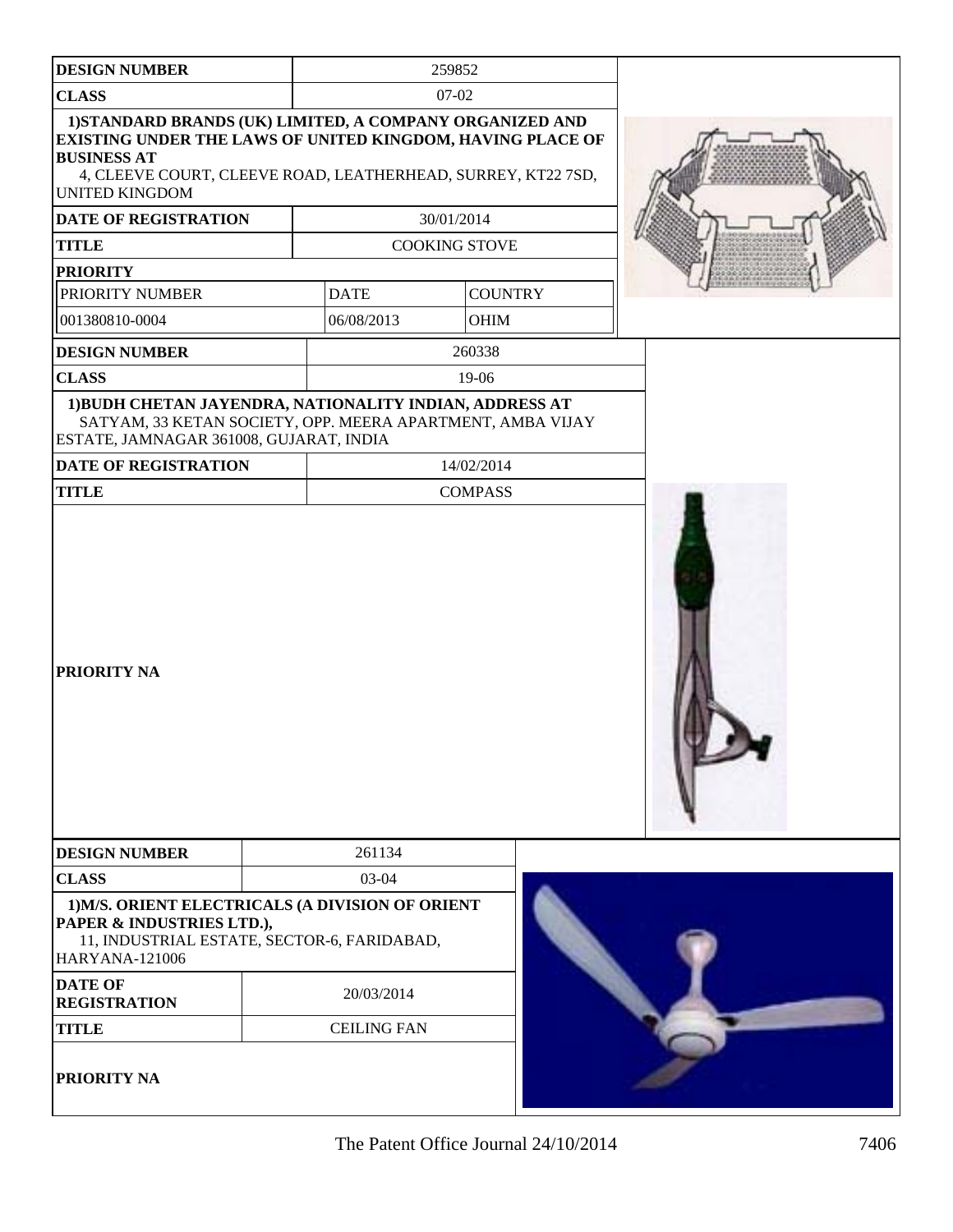| <b>DESIGN NUMBER</b>                                                                                                                                                                                                                         |                    | 259852               |  |
|----------------------------------------------------------------------------------------------------------------------------------------------------------------------------------------------------------------------------------------------|--------------------|----------------------|--|
| <b>CLASS</b>                                                                                                                                                                                                                                 |                    | 07-02                |  |
| 1) STANDARD BRANDS (UK) LIMITED, A COMPANY ORGANIZED AND<br><b>EXISTING UNDER THE LAWS OF UNITED KINGDOM, HAVING PLACE OF</b><br><b>BUSINESS AT</b><br>4, CLEEVE COURT, CLEEVE ROAD, LEATHERHEAD, SURREY, KT22 7SD,<br><b>UNITED KINGDOM</b> |                    |                      |  |
| DATE OF REGISTRATION                                                                                                                                                                                                                         |                    | 30/01/2014           |  |
| <b>TITLE</b>                                                                                                                                                                                                                                 |                    | <b>COOKING STOVE</b> |  |
| <b>PRIORITY</b>                                                                                                                                                                                                                              |                    |                      |  |
| PRIORITY NUMBER                                                                                                                                                                                                                              | <b>DATE</b>        | <b>COUNTRY</b>       |  |
| 001380810-0004                                                                                                                                                                                                                               | 06/08/2013         | OHIM                 |  |
| <b>DESIGN NUMBER</b>                                                                                                                                                                                                                         |                    | 260338               |  |
| <b>CLASS</b>                                                                                                                                                                                                                                 |                    | 19-06                |  |
| 1) BUDH CHETAN JAYENDRA, NATIONALITY INDIAN, ADDRESS AT<br>SATYAM, 33 KETAN SOCIETY, OPP. MEERA APARTMENT, AMBA VIJAY<br>ESTATE, JAMNAGAR 361008, GUJARAT, INDIA                                                                             |                    |                      |  |
| <b>DATE OF REGISTRATION</b>                                                                                                                                                                                                                  |                    | 14/02/2014           |  |
| <b>TITLE</b>                                                                                                                                                                                                                                 |                    | <b>COMPASS</b>       |  |
| <b>PRIORITY NA</b>                                                                                                                                                                                                                           |                    |                      |  |
| <b>DESIGN NUMBER</b>                                                                                                                                                                                                                         | 261134             |                      |  |
| <b>CLASS</b>                                                                                                                                                                                                                                 | 03-04              |                      |  |
| 1) M/S. ORIENT ELECTRICALS (A DIVISION OF ORIENT<br>PAPER & INDUSTRIES LTD.),<br>11, INDUSTRIAL ESTATE, SECTOR-6, FARIDABAD,<br><b>HARYANA-121006</b>                                                                                        |                    |                      |  |
| <b>DATE OF</b><br><b>REGISTRATION</b>                                                                                                                                                                                                        | 20/03/2014         |                      |  |
| <b>TITLE</b>                                                                                                                                                                                                                                 | <b>CEILING FAN</b> |                      |  |
| <b>PRIORITY NA</b>                                                                                                                                                                                                                           |                    |                      |  |

The Patent Office Journal  $24/10/2014$  7406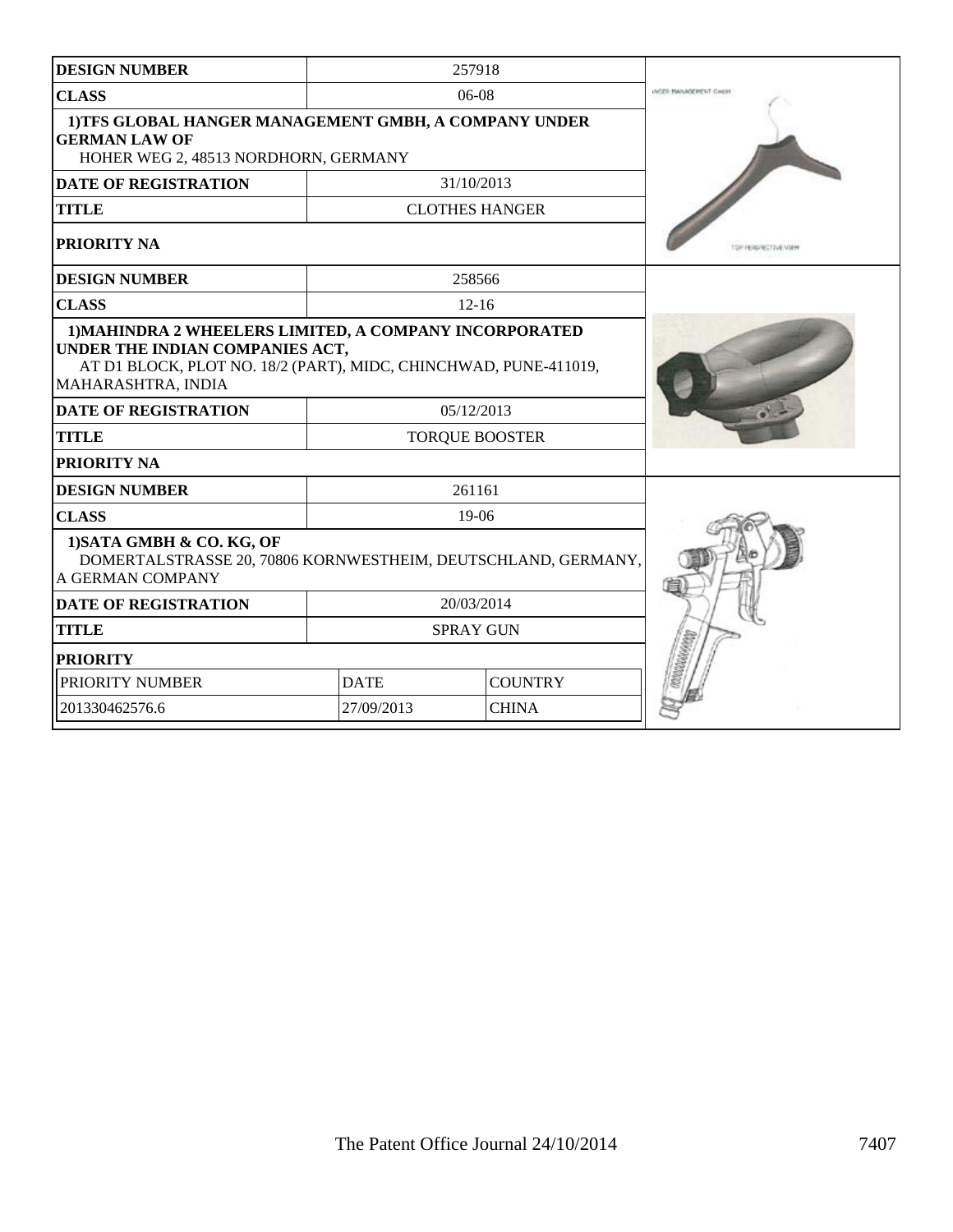| <b>DESIGN NUMBER</b>                                                                                                                                                                |             | 257918                |                               |
|-------------------------------------------------------------------------------------------------------------------------------------------------------------------------------------|-------------|-----------------------|-------------------------------|
| <b>CLASS</b>                                                                                                                                                                        |             | $06-08$               | <b>INGER MANAGEMENT GIREH</b> |
| 1) TFS GLOBAL HANGER MANAGEMENT GMBH, A COMPANY UNDER<br><b>GERMAN LAW OF</b><br>HOHER WEG 2, 48513 NORDHORN, GERMANY                                                               |             |                       |                               |
| <b>DATE OF REGISTRATION</b>                                                                                                                                                         |             | 31/10/2013            |                               |
| <b>TITLE</b>                                                                                                                                                                        |             | <b>CLOTHES HANGER</b> |                               |
| PRIORITY NA                                                                                                                                                                         |             |                       | TOP FERSPECTIVE VIEW          |
| <b>DESIGN NUMBER</b>                                                                                                                                                                |             | 258566                |                               |
| <b>CLASS</b>                                                                                                                                                                        |             | $12 - 16$             |                               |
| 1) MAHINDRA 2 WHEELERS LIMITED, A COMPANY INCORPORATED<br>UNDER THE INDIAN COMPANIES ACT,<br>AT D1 BLOCK, PLOT NO. 18/2 (PART), MIDC, CHINCHWAD, PUNE-411019,<br>MAHARASHTRA, INDIA |             |                       |                               |
| <b>DATE OF REGISTRATION</b>                                                                                                                                                         |             | 05/12/2013            |                               |
| <b>TITLE</b>                                                                                                                                                                        |             | <b>TORQUE BOOSTER</b> |                               |
| PRIORITY NA                                                                                                                                                                         |             |                       |                               |
| <b>DESIGN NUMBER</b>                                                                                                                                                                |             | 261161                |                               |
| <b>CLASS</b>                                                                                                                                                                        |             | $19-06$               |                               |
| 1) SATA GMBH & CO. KG, OF<br>DOMERTALSTRASSE 20, 70806 KORNWESTHEIM, DEUTSCHLAND, GERMANY,<br>A GERMAN COMPANY                                                                      |             |                       |                               |
| <b>DATE OF REGISTRATION</b>                                                                                                                                                         |             | 20/03/2014            |                               |
| <b>TITLE</b>                                                                                                                                                                        |             | <b>SPRAY GUN</b>      |                               |
| <b>PRIORITY</b>                                                                                                                                                                     |             |                       |                               |
| PRIORITY NUMBER                                                                                                                                                                     | <b>DATE</b> | <b>COUNTRY</b>        |                               |
| 201330462576.6                                                                                                                                                                      | 27/09/2013  | <b>CHINA</b>          |                               |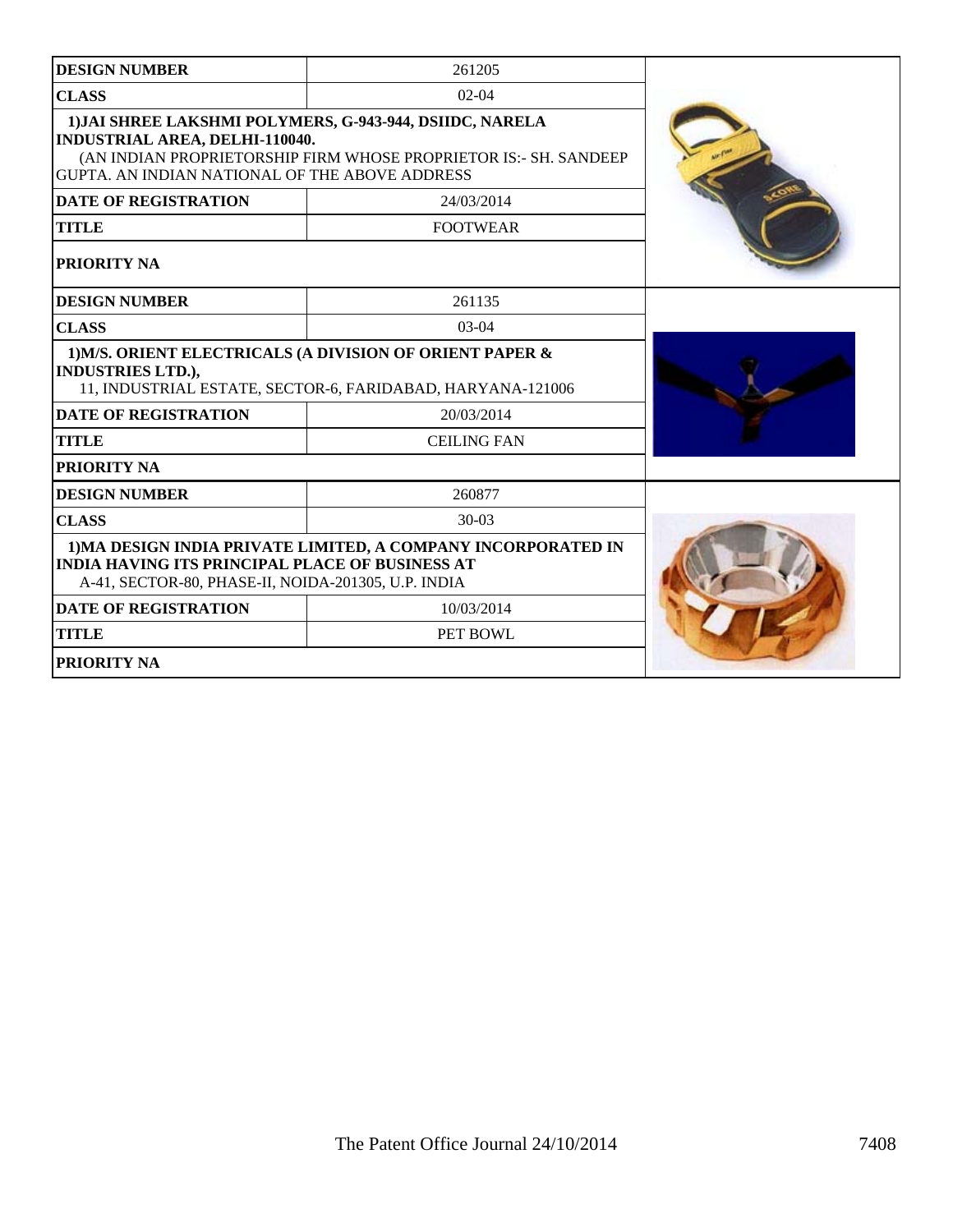| <b>DESIGN NUMBER</b>                                                                                                                                                                                              | 261205             |  |
|-------------------------------------------------------------------------------------------------------------------------------------------------------------------------------------------------------------------|--------------------|--|
| <b>CLASS</b><br>$02 - 04$                                                                                                                                                                                         |                    |  |
| 1) JAI SHREE LAKSHMI POLYMERS, G-943-944, DSIIDC, NARELA<br>INDUSTRIAL AREA, DELHI-110040.<br>(AN INDIAN PROPRIETORSHIP FIRM WHOSE PROPRIETOR IS:- SH. SANDEEP)<br>GUPTA. AN INDIAN NATIONAL OF THE ABOVE ADDRESS |                    |  |
| <b>DATE OF REGISTRATION</b>                                                                                                                                                                                       | 24/03/2014         |  |
| <b>TITLE</b>                                                                                                                                                                                                      | <b>FOOTWEAR</b>    |  |
| PRIORITY NA                                                                                                                                                                                                       |                    |  |
| <b>DESIGN NUMBER</b>                                                                                                                                                                                              | 261135             |  |
| <b>CLASS</b>                                                                                                                                                                                                      | $03-04$            |  |
| 1) M/S. ORIENT ELECTRICALS (A DIVISION OF ORIENT PAPER &<br><b>INDUSTRIES LTD.),</b><br>11, INDUSTRIAL ESTATE, SECTOR-6, FARIDABAD, HARYANA-121006                                                                |                    |  |
| <b>DATE OF REGISTRATION</b>                                                                                                                                                                                       | 20/03/2014         |  |
| <b>TITLE</b>                                                                                                                                                                                                      | <b>CEILING FAN</b> |  |
| <b>PRIORITY NA</b>                                                                                                                                                                                                |                    |  |
| <b>DESIGN NUMBER</b>                                                                                                                                                                                              | 260877             |  |
| <b>CLASS</b>                                                                                                                                                                                                      | $30-03$            |  |
| 1) MA DESIGN INDIA PRIVATE LIMITED, A COMPANY INCORPORATED IN<br><b>INDIA HAVING ITS PRINCIPAL PLACE OF BUSINESS AT</b><br>A-41, SECTOR-80, PHASE-II, NOIDA-201305, U.P. INDIA                                    |                    |  |
| <b>DATE OF REGISTRATION</b>                                                                                                                                                                                       |                    |  |
| <b>TITLE</b>                                                                                                                                                                                                      |                    |  |
| <b>PRIORITY NA</b>                                                                                                                                                                                                |                    |  |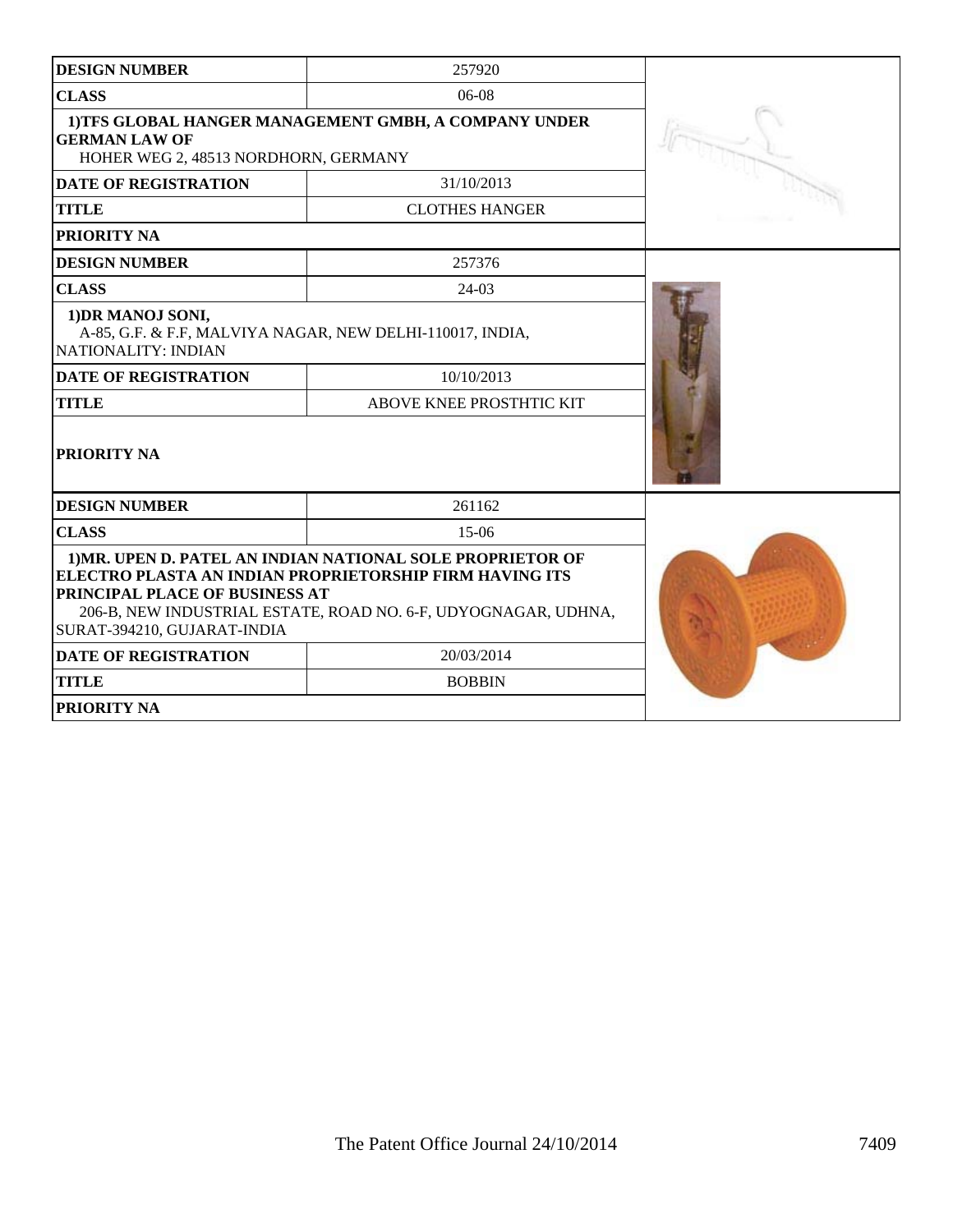| <b>DESIGN NUMBER</b>                                                                                                                                                                                                                                     | 257920                   |  |  |
|----------------------------------------------------------------------------------------------------------------------------------------------------------------------------------------------------------------------------------------------------------|--------------------------|--|--|
| <b>CLASS</b>                                                                                                                                                                                                                                             |                          |  |  |
| 1) TFS GLOBAL HANGER MANAGEMENT GMBH, A COMPANY UNDER<br><b>GERMAN LAW OF</b><br>HOHER WEG 2, 48513 NORDHORN, GERMANY                                                                                                                                    |                          |  |  |
| <b>DATE OF REGISTRATION</b>                                                                                                                                                                                                                              | 31/10/2013               |  |  |
| <b>TITLE</b>                                                                                                                                                                                                                                             | <b>CLOTHES HANGER</b>    |  |  |
| PRIORITY NA                                                                                                                                                                                                                                              |                          |  |  |
| <b>DESIGN NUMBER</b>                                                                                                                                                                                                                                     | 257376                   |  |  |
| <b>CLASS</b>                                                                                                                                                                                                                                             | $24-03$                  |  |  |
| 1) DR MANOJ SONI,<br>A-85, G.F. & F.F, MALVIYA NAGAR, NEW DELHI-110017, INDIA,<br>NATIONALITY: INDIAN                                                                                                                                                    |                          |  |  |
| <b>DATE OF REGISTRATION</b>                                                                                                                                                                                                                              |                          |  |  |
| <b>TITLE</b>                                                                                                                                                                                                                                             | ABOVE KNEE PROSTHTIC KIT |  |  |
| PRIORITY NA                                                                                                                                                                                                                                              |                          |  |  |
| <b>DESIGN NUMBER</b>                                                                                                                                                                                                                                     | 261162                   |  |  |
| <b>CLASS</b>                                                                                                                                                                                                                                             | $15-06$                  |  |  |
| 1) MR. UPEN D. PATEL AN INDIAN NATIONAL SOLE PROPRIETOR OF<br>ELECTRO PLASTA AN INDIAN PROPRIETORSHIP FIRM HAVING ITS<br>PRINCIPAL PLACE OF BUSINESS AT<br>206-B, NEW INDUSTRIAL ESTATE, ROAD NO. 6-F, UDYOGNAGAR, UDHNA,<br>SURAT-394210, GUJARAT-INDIA |                          |  |  |
| <b>DATE OF REGISTRATION</b>                                                                                                                                                                                                                              | 20/03/2014               |  |  |
| <b>TITLE</b><br><b>BOBBIN</b>                                                                                                                                                                                                                            |                          |  |  |
| PRIORITY NA                                                                                                                                                                                                                                              |                          |  |  |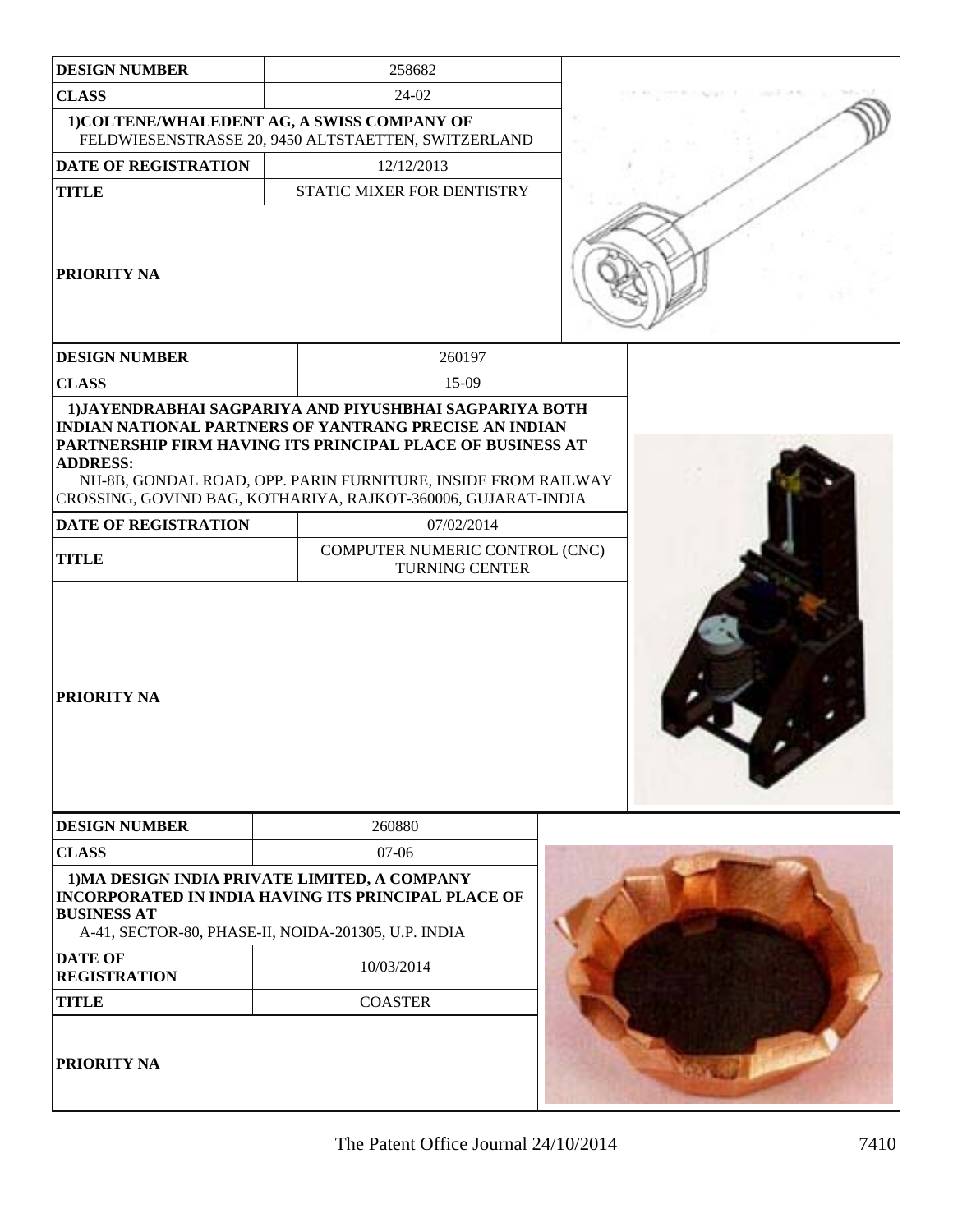| <b>DESIGN NUMBER</b>                                                                                                       |                                                         | 258682                                                                                                                                                                                                                                                                      |  |  |
|----------------------------------------------------------------------------------------------------------------------------|---------------------------------------------------------|-----------------------------------------------------------------------------------------------------------------------------------------------------------------------------------------------------------------------------------------------------------------------------|--|--|
| <b>CLASS</b>                                                                                                               | 24-02                                                   |                                                                                                                                                                                                                                                                             |  |  |
| 1) COLTENE/WHALEDENT AG, A SWISS COMPANY OF                                                                                |                                                         | FELDWIESENSTRASSE 20, 9450 ALTSTAETTEN, SWITZERLAND                                                                                                                                                                                                                         |  |  |
| <b>DATE OF REGISTRATION</b>                                                                                                |                                                         | 12/12/2013                                                                                                                                                                                                                                                                  |  |  |
| <b>TITLE</b>                                                                                                               |                                                         | STATIC MIXER FOR DENTISTRY                                                                                                                                                                                                                                                  |  |  |
| <b>PRIORITY NA</b>                                                                                                         |                                                         |                                                                                                                                                                                                                                                                             |  |  |
| <b>DESIGN NUMBER</b>                                                                                                       |                                                         | 260197                                                                                                                                                                                                                                                                      |  |  |
| <b>CLASS</b>                                                                                                               |                                                         | 15-09                                                                                                                                                                                                                                                                       |  |  |
| <b>ADDRESS:</b><br><b>DATE OF REGISTRATION</b>                                                                             |                                                         | <b>INDIAN NATIONAL PARTNERS OF YANTRANG PRECISE AN INDIAN</b><br>PARTNERSHIP FIRM HAVING ITS PRINCIPAL PLACE OF BUSINESS AT<br>NH-8B, GONDAL ROAD, OPP. PARIN FURNITURE, INSIDE FROM RAILWAY<br>CROSSING, GOVIND BAG, KOTHARIYA, RAJKOT-360006, GUJARAT-INDIA<br>07/02/2014 |  |  |
|                                                                                                                            |                                                         |                                                                                                                                                                                                                                                                             |  |  |
| <b>TITLE</b>                                                                                                               | COMPUTER NUMERIC CONTROL (CNC)<br><b>TURNING CENTER</b> |                                                                                                                                                                                                                                                                             |  |  |
| <b>PRIORITY NA</b>                                                                                                         |                                                         |                                                                                                                                                                                                                                                                             |  |  |
| <b>DESIGN NUMBER</b>                                                                                                       |                                                         | 260880                                                                                                                                                                                                                                                                      |  |  |
| <b>CLASS</b>                                                                                                               |                                                         | $07-06$                                                                                                                                                                                                                                                                     |  |  |
| 1) MA DESIGN INDIA PRIVATE LIMITED, A COMPANY<br><b>BUSINESS AT</b><br>A-41, SECTOR-80, PHASE-II, NOIDA-201305, U.P. INDIA |                                                         | <b>INCORPORATED IN INDIA HAVING ITS PRINCIPAL PLACE OF</b>                                                                                                                                                                                                                  |  |  |
| <b>DATE OF</b><br><b>REGISTRATION</b>                                                                                      |                                                         | 10/03/2014                                                                                                                                                                                                                                                                  |  |  |
| <b>TITLE</b>                                                                                                               |                                                         | <b>COASTER</b>                                                                                                                                                                                                                                                              |  |  |
| <b>PRIORITY NA</b>                                                                                                         |                                                         |                                                                                                                                                                                                                                                                             |  |  |

ı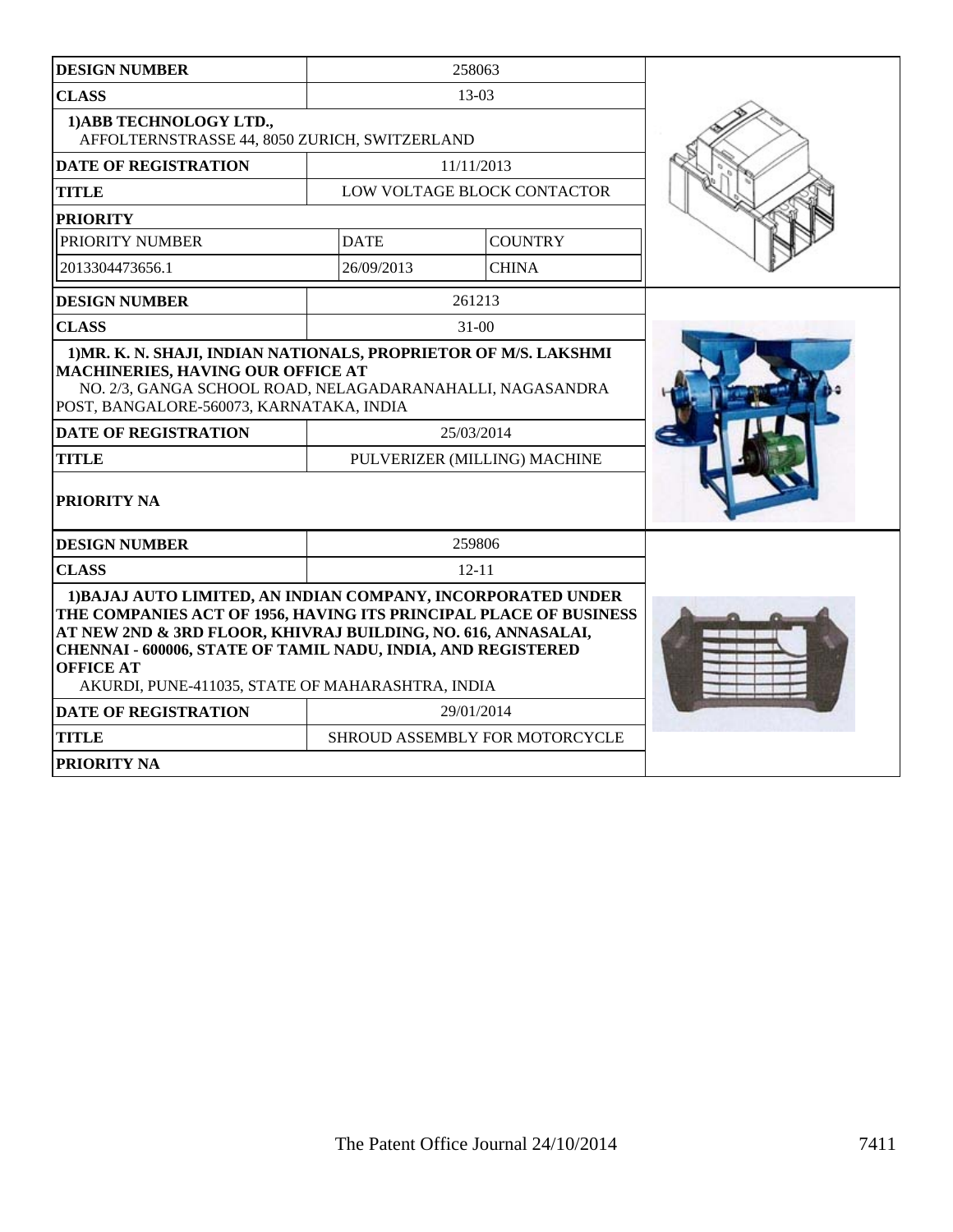| <b>DESIGN NUMBER</b>                                                                                                                                                                                                                                                                                                                       |             | 258063                                     |  |
|--------------------------------------------------------------------------------------------------------------------------------------------------------------------------------------------------------------------------------------------------------------------------------------------------------------------------------------------|-------------|--------------------------------------------|--|
| <b>CLASS</b>                                                                                                                                                                                                                                                                                                                               |             | 13-03                                      |  |
| 1) ABB TECHNOLOGY LTD.,<br>AFFOLTERNSTRASSE 44, 8050 ZURICH, SWITZERLAND                                                                                                                                                                                                                                                                   |             |                                            |  |
| <b>DATE OF REGISTRATION</b>                                                                                                                                                                                                                                                                                                                |             | 11/11/2013                                 |  |
| <b>TITLE</b>                                                                                                                                                                                                                                                                                                                               |             | LOW VOLTAGE BLOCK CONTACTOR                |  |
| <b>PRIORITY</b>                                                                                                                                                                                                                                                                                                                            |             |                                            |  |
| PRIORITY NUMBER                                                                                                                                                                                                                                                                                                                            | <b>DATE</b> | <b>COUNTRY</b>                             |  |
| 2013304473656.1                                                                                                                                                                                                                                                                                                                            | 26/09/2013  | <b>CHINA</b>                               |  |
| <b>DESIGN NUMBER</b>                                                                                                                                                                                                                                                                                                                       |             | 261213                                     |  |
| <b>CLASS</b>                                                                                                                                                                                                                                                                                                                               |             | $31-00$                                    |  |
| 1) MR. K. N. SHAJI, INDIAN NATIONALS, PROPRIETOR OF M/S. LAKSHMI<br>MACHINERIES, HAVING OUR OFFICE AT<br>NO. 2/3, GANGA SCHOOL ROAD, NELAGADARANAHALLI, NAGASANDRA<br>POST, BANGALORE-560073, KARNATAKA, INDIA<br><b>DATE OF REGISTRATION</b><br><b>TITLE</b><br>PRIORITY NA                                                               |             | 25/03/2014<br>PULVERIZER (MILLING) MACHINE |  |
| <b>DESIGN NUMBER</b>                                                                                                                                                                                                                                                                                                                       |             | 259806                                     |  |
| <b>CLASS</b>                                                                                                                                                                                                                                                                                                                               |             | $12 - 11$                                  |  |
| 1) BAJAJ AUTO LIMITED, AN INDIAN COMPANY, INCORPORATED UNDER<br>THE COMPANIES ACT OF 1956, HAVING ITS PRINCIPAL PLACE OF BUSINESS<br>AT NEW 2ND & 3RD FLOOR, KHIVRAJ BUILDING, NO. 616, ANNASALAI,<br>CHENNAI - 600006, STATE OF TAMIL NADU, INDIA, AND REGISTERED<br><b>OFFICE AT</b><br>AKURDI, PUNE-411035, STATE OF MAHARASHTRA, INDIA |             |                                            |  |
| <b>DATE OF REGISTRATION</b>                                                                                                                                                                                                                                                                                                                |             | 29/01/2014                                 |  |
| <b>TITLE</b>                                                                                                                                                                                                                                                                                                                               |             | SHROUD ASSEMBLY FOR MOTORCYCLE             |  |
| <b>PRIORITY NA</b>                                                                                                                                                                                                                                                                                                                         |             |                                            |  |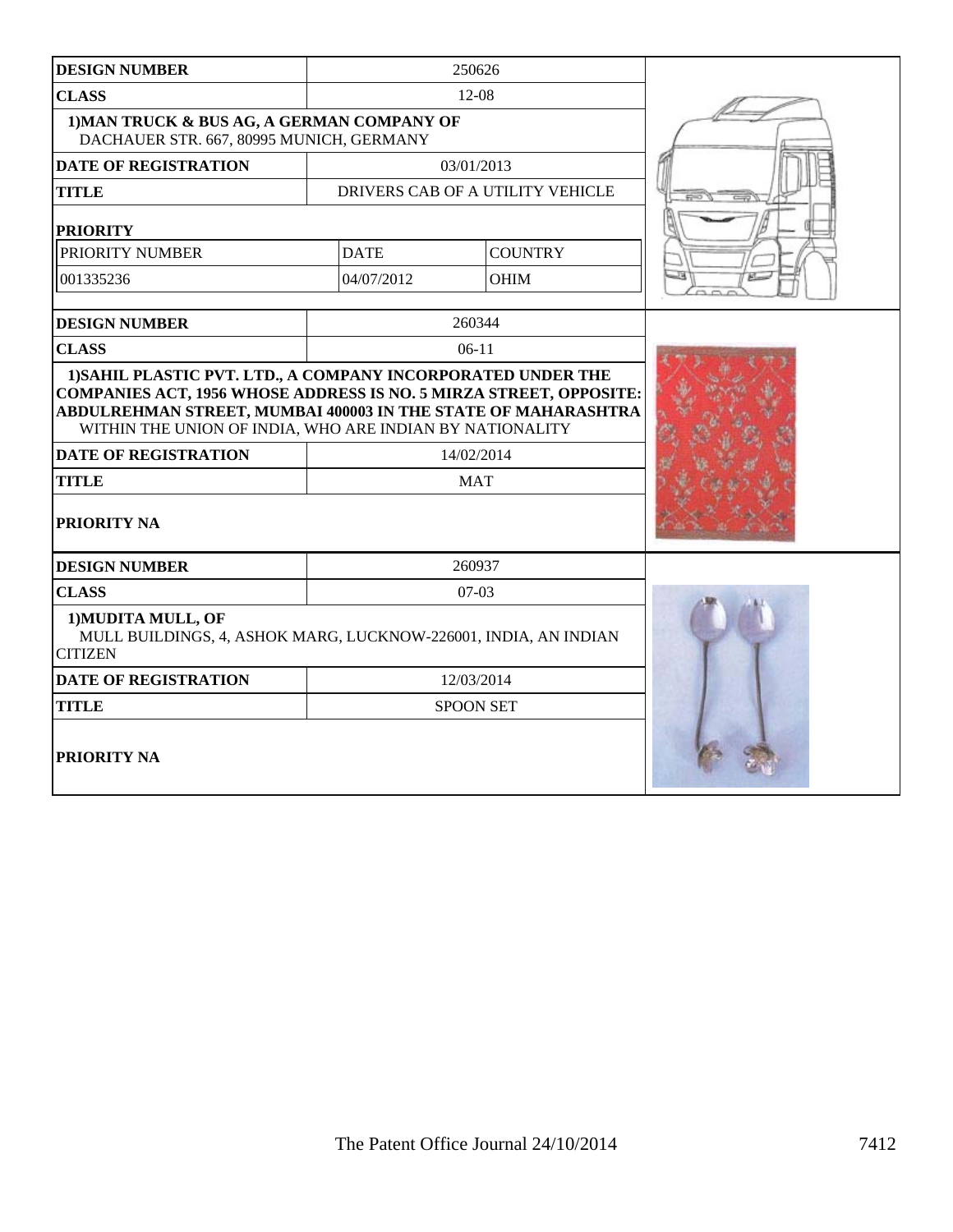| <b>DESIGN NUMBER</b>                                                                                                                                                                                                                                                 | 250626      |                                  |  |
|----------------------------------------------------------------------------------------------------------------------------------------------------------------------------------------------------------------------------------------------------------------------|-------------|----------------------------------|--|
| <b>CLASS</b>                                                                                                                                                                                                                                                         |             | 12-08                            |  |
| 1) MAN TRUCK & BUS AG, A GERMAN COMPANY OF<br>DACHAUER STR. 667, 80995 MUNICH, GERMANY                                                                                                                                                                               |             |                                  |  |
| <b>DATE OF REGISTRATION</b>                                                                                                                                                                                                                                          |             | 03/01/2013                       |  |
| <b>TITLE</b>                                                                                                                                                                                                                                                         |             | DRIVERS CAB OF A UTILITY VEHICLE |  |
| <b>PRIORITY</b>                                                                                                                                                                                                                                                      |             |                                  |  |
| PRIORITY NUMBER                                                                                                                                                                                                                                                      | <b>DATE</b> | <b>COUNTRY</b>                   |  |
| 001335236                                                                                                                                                                                                                                                            | 04/07/2012  | <b>OHIM</b>                      |  |
| <b>DESIGN NUMBER</b>                                                                                                                                                                                                                                                 |             | 260344                           |  |
| <b>CLASS</b>                                                                                                                                                                                                                                                         |             | $06-11$                          |  |
| <b>COMPANIES ACT, 1956 WHOSE ADDRESS IS NO. 5 MIRZA STREET, OPPOSITE:</b><br>ABDULREHMAN STREET, MUMBAI 400003 IN THE STATE OF MAHARASHTRA<br>WITHIN THE UNION OF INDIA, WHO ARE INDIAN BY NATIONALITY<br><b>DATE OF REGISTRATION</b><br><b>TITLE</b><br>PRIORITY NA |             | 14/02/2014<br><b>MAT</b>         |  |
| <b>DESIGN NUMBER</b>                                                                                                                                                                                                                                                 |             | 260937                           |  |
| <b>CLASS</b>                                                                                                                                                                                                                                                         |             | $07-03$                          |  |
| 1) MUDITA MULL, OF<br>MULL BUILDINGS, 4, ASHOK MARG, LUCKNOW-226001, INDIA, AN INDIAN<br><b>CITIZEN</b>                                                                                                                                                              |             |                                  |  |
| <b>DATE OF REGISTRATION</b>                                                                                                                                                                                                                                          | 12/03/2014  |                                  |  |
| <b>TITLE</b>                                                                                                                                                                                                                                                         |             | <b>SPOON SET</b>                 |  |
| <b>PRIORITY NA</b>                                                                                                                                                                                                                                                   |             |                                  |  |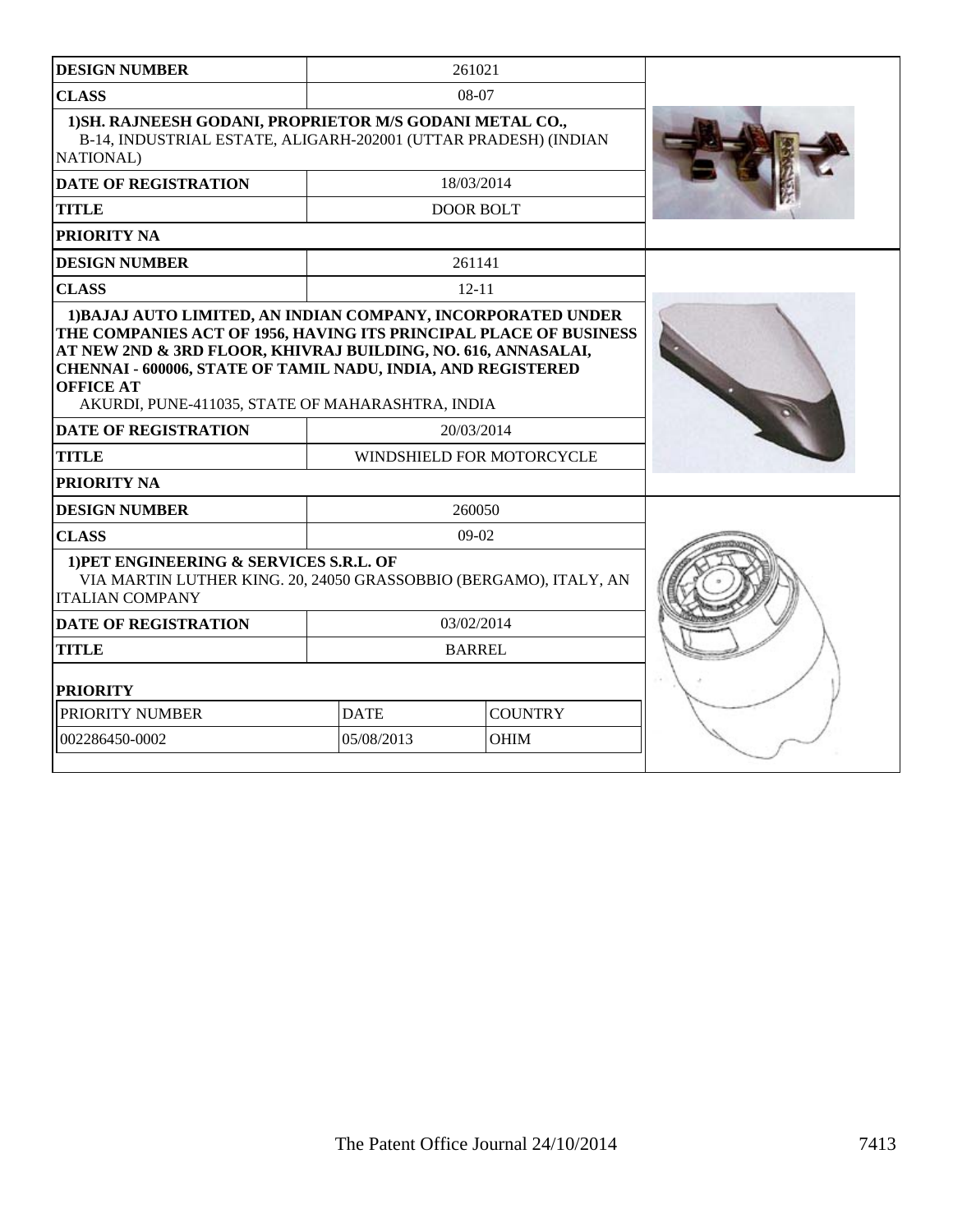| <b>DESIGN NUMBER</b>                                                                                                                                                                                                                                                                                                                                                                             |                                         | 261021           |  |
|--------------------------------------------------------------------------------------------------------------------------------------------------------------------------------------------------------------------------------------------------------------------------------------------------------------------------------------------------------------------------------------------------|-----------------------------------------|------------------|--|
| <b>CLASS</b>                                                                                                                                                                                                                                                                                                                                                                                     |                                         | $08-07$          |  |
| 1) SH. RAJNEESH GODANI, PROPRIETOR M/S GODANI METAL CO.,<br>B-14, INDUSTRIAL ESTATE, ALIGARH-202001 (UTTAR PRADESH) (INDIAN<br>NATIONAL)                                                                                                                                                                                                                                                         |                                         |                  |  |
| <b>DATE OF REGISTRATION</b>                                                                                                                                                                                                                                                                                                                                                                      |                                         | 18/03/2014       |  |
| <b>TITLE</b>                                                                                                                                                                                                                                                                                                                                                                                     |                                         | <b>DOOR BOLT</b> |  |
| <b>PRIORITY NA</b>                                                                                                                                                                                                                                                                                                                                                                               |                                         |                  |  |
| <b>DESIGN NUMBER</b>                                                                                                                                                                                                                                                                                                                                                                             |                                         | 261141           |  |
| <b>CLASS</b>                                                                                                                                                                                                                                                                                                                                                                                     |                                         | $12 - 11$        |  |
| 1) BAJAJ AUTO LIMITED, AN INDIAN COMPANY, INCORPORATED UNDER<br>THE COMPANIES ACT OF 1956, HAVING ITS PRINCIPAL PLACE OF BUSINESS<br>AT NEW 2ND & 3RD FLOOR, KHIVRAJ BUILDING, NO. 616, ANNASALAI,<br><b>CHENNAI - 600006, STATE OF TAMIL NADU, INDIA, AND REGISTERED</b><br><b>OFFICE AT</b><br>AKURDI, PUNE-411035, STATE OF MAHARASHTRA, INDIA<br><b>DATE OF REGISTRATION</b><br><b>TITLE</b> | 20/03/2014<br>WINDSHIELD FOR MOTORCYCLE |                  |  |
| <b>PRIORITY NA</b>                                                                                                                                                                                                                                                                                                                                                                               |                                         |                  |  |
| <b>DESIGN NUMBER</b>                                                                                                                                                                                                                                                                                                                                                                             |                                         | 260050           |  |
| <b>CLASS</b>                                                                                                                                                                                                                                                                                                                                                                                     |                                         | 09-02            |  |
| 1) PET ENGINEERING & SERVICES S.R.L. OF<br>VIA MARTIN LUTHER KING. 20, 24050 GRASSOBBIO (BERGAMO), ITALY, AN<br><b>ITALIAN COMPANY</b>                                                                                                                                                                                                                                                           |                                         |                  |  |
| <b>DATE OF REGISTRATION</b>                                                                                                                                                                                                                                                                                                                                                                      |                                         | 03/02/2014       |  |
| <b>TITLE</b>                                                                                                                                                                                                                                                                                                                                                                                     |                                         | <b>BARREL</b>    |  |
| <b>PRIORITY</b>                                                                                                                                                                                                                                                                                                                                                                                  |                                         |                  |  |
| PRIORITY NUMBER                                                                                                                                                                                                                                                                                                                                                                                  | <b>COUNTRY</b><br><b>DATE</b>           |                  |  |
| 002286450-0002                                                                                                                                                                                                                                                                                                                                                                                   | 05/08/2013                              | <b>OHIM</b>      |  |
|                                                                                                                                                                                                                                                                                                                                                                                                  |                                         |                  |  |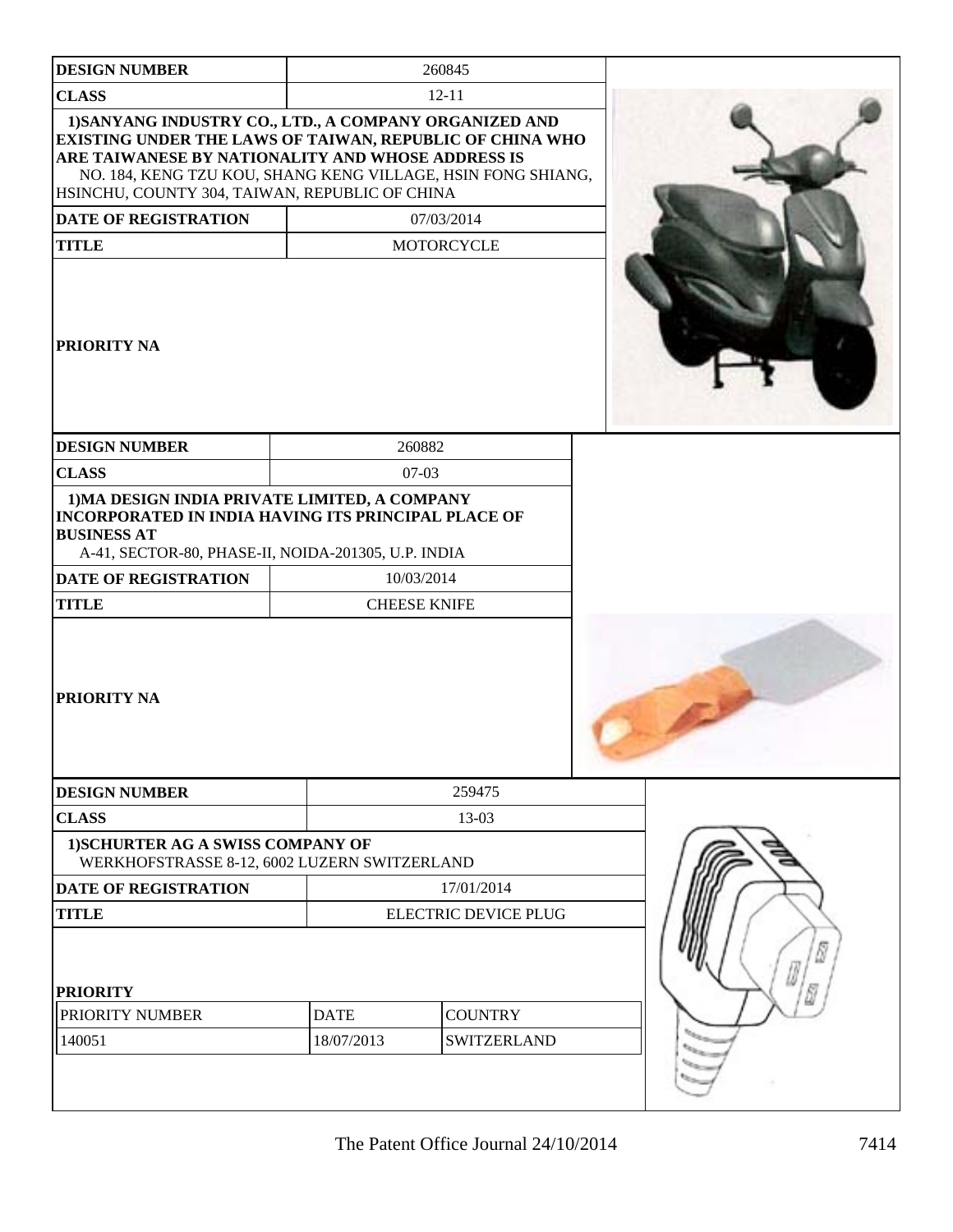| <b>DESIGN NUMBER</b>                                                                                                                                                                                                                                                                      |                             | 260845              |                               |
|-------------------------------------------------------------------------------------------------------------------------------------------------------------------------------------------------------------------------------------------------------------------------------------------|-----------------------------|---------------------|-------------------------------|
| <b>CLASS</b>                                                                                                                                                                                                                                                                              |                             | $12 - 11$           |                               |
| 1) SANYANG INDUSTRY CO., LTD., A COMPANY ORGANIZED AND<br>EXISTING UNDER THE LAWS OF TAIWAN, REPUBLIC OF CHINA WHO<br>ARE TAIWANESE BY NATIONALITY AND WHOSE ADDRESS IS<br>NO. 184, KENG TZU KOU, SHANG KENG VILLAGE, HSIN FONG SHIANG,<br>HSINCHU, COUNTY 304, TAIWAN, REPUBLIC OF CHINA |                             |                     |                               |
| <b>DATE OF REGISTRATION</b>                                                                                                                                                                                                                                                               |                             | 07/03/2014          |                               |
| <b>TITLE</b>                                                                                                                                                                                                                                                                              |                             | MOTORCYCLE          |                               |
| <b>PRIORITY NA</b>                                                                                                                                                                                                                                                                        |                             |                     |                               |
| <b>DESIGN NUMBER</b>                                                                                                                                                                                                                                                                      |                             | 260882              |                               |
| <b>CLASS</b>                                                                                                                                                                                                                                                                              |                             | $07 - 03$           |                               |
| 1) MA DESIGN INDIA PRIVATE LIMITED, A COMPANY<br><b>INCORPORATED IN INDIA HAVING ITS PRINCIPAL PLACE OF</b><br><b>BUSINESS AT</b><br>A-41, SECTOR-80, PHASE-II, NOIDA-201305, U.P. INDIA                                                                                                  |                             |                     |                               |
| <b>DATE OF REGISTRATION</b>                                                                                                                                                                                                                                                               |                             | 10/03/2014          |                               |
| <b>TITLE</b>                                                                                                                                                                                                                                                                              |                             | <b>CHEESE KNIFE</b> |                               |
| <b>PRIORITY NA</b>                                                                                                                                                                                                                                                                        |                             |                     |                               |
| <b>DESIGN NUMBER</b>                                                                                                                                                                                                                                                                      |                             | 259475              |                               |
| <b>CLASS</b>                                                                                                                                                                                                                                                                              |                             | 13-03               |                               |
| 1) SCHURTER AG A SWISS COMPANY OF<br>WERKHOFSTRASSE 8-12, 6002 LUZERN SWITZERLAND                                                                                                                                                                                                         |                             |                     |                               |
| <b>DATE OF REGISTRATION</b>                                                                                                                                                                                                                                                               |                             | 17/01/2014          |                               |
| <b>TITLE</b>                                                                                                                                                                                                                                                                              | <b>ELECTRIC DEVICE PLUG</b> |                     |                               |
| <b>PRIORITY</b>                                                                                                                                                                                                                                                                           |                             |                     |                               |
| PRIORITY NUMBER                                                                                                                                                                                                                                                                           | <b>DATE</b>                 | <b>COUNTRY</b>      |                               |
| 140051                                                                                                                                                                                                                                                                                    | 18/07/2013                  | <b>SWITZERLAND</b>  | <b>North</b><br>$t_{\rm thm}$ |
|                                                                                                                                                                                                                                                                                           |                             |                     |                               |

- 1

- 1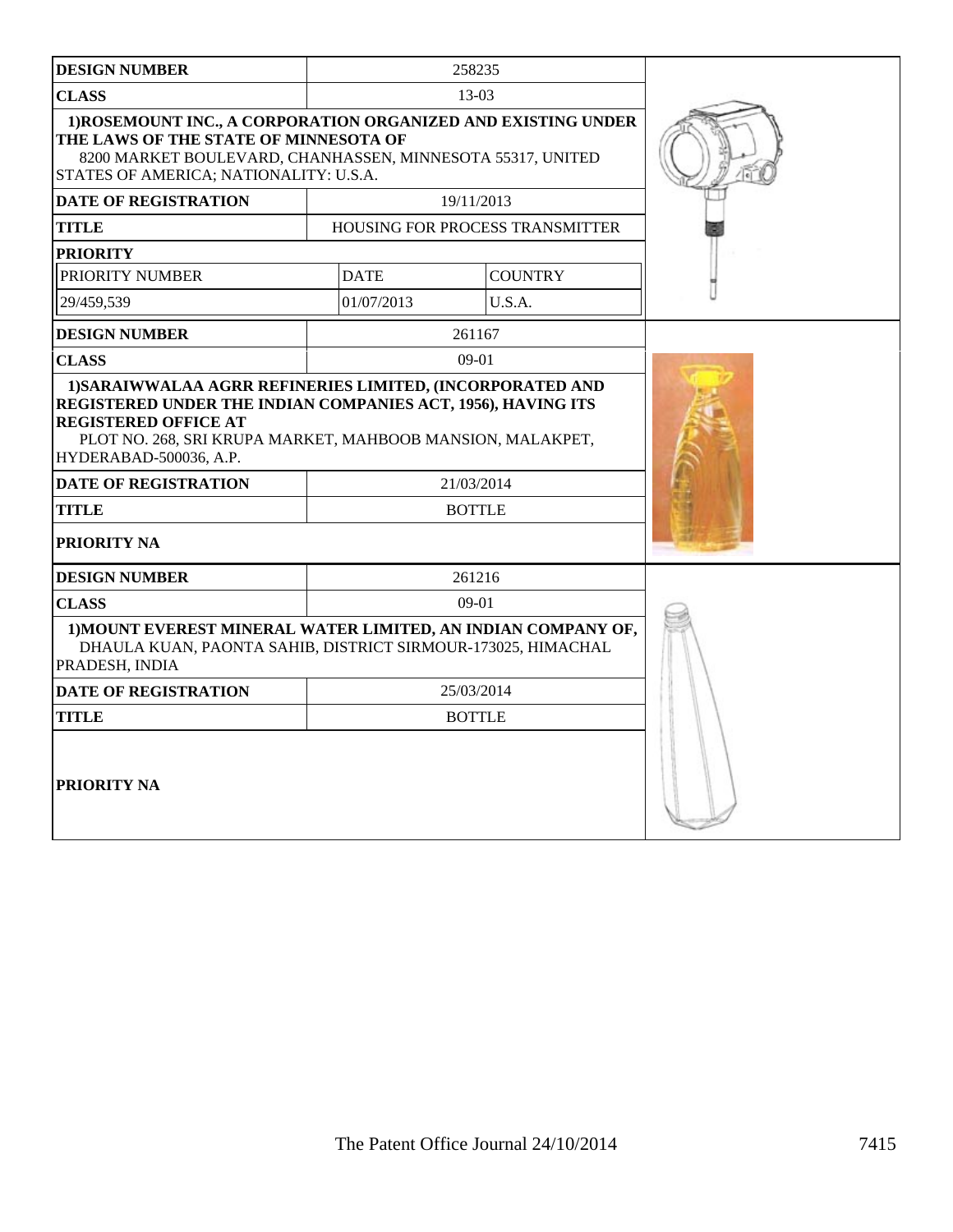| <b>DESIGN NUMBER</b>                                                                                                                                                                                           |                                                                                                                                          | 258235                          |  |
|----------------------------------------------------------------------------------------------------------------------------------------------------------------------------------------------------------------|------------------------------------------------------------------------------------------------------------------------------------------|---------------------------------|--|
| <b>CLASS</b>                                                                                                                                                                                                   |                                                                                                                                          | $13-03$                         |  |
| 1) ROSEMOUNT INC., A CORPORATION ORGANIZED AND EXISTING UNDER<br>THE LAWS OF THE STATE OF MINNESOTA OF<br>8200 MARKET BOULEVARD, CHANHASSEN, MINNESOTA 55317, UNITED<br>STATES OF AMERICA; NATIONALITY: U.S.A. |                                                                                                                                          |                                 |  |
| <b>DATE OF REGISTRATION</b>                                                                                                                                                                                    |                                                                                                                                          | 19/11/2013                      |  |
| <b>TITLE</b>                                                                                                                                                                                                   |                                                                                                                                          | HOUSING FOR PROCESS TRANSMITTER |  |
| <b>PRIORITY</b>                                                                                                                                                                                                |                                                                                                                                          |                                 |  |
| PRIORITY NUMBER                                                                                                                                                                                                | <b>DATE</b>                                                                                                                              | <b>COUNTRY</b>                  |  |
| 29/459,539                                                                                                                                                                                                     | 01/07/2013                                                                                                                               | U.S.A.                          |  |
| <b>DESIGN NUMBER</b>                                                                                                                                                                                           |                                                                                                                                          | 261167                          |  |
| <b>CLASS</b>                                                                                                                                                                                                   |                                                                                                                                          | $09-01$                         |  |
| <b>REGISTERED OFFICE AT</b><br>HYDERABAD-500036, A.P.<br><b>DATE OF REGISTRATION</b>                                                                                                                           | REGISTERED UNDER THE INDIAN COMPANIES ACT, 1956), HAVING ITS<br>PLOT NO. 268, SRI KRUPA MARKET, MAHBOOB MANSION, MALAKPET,<br>21/03/2014 |                                 |  |
| <b>TITLE</b>                                                                                                                                                                                                   | <b>BOTTLE</b>                                                                                                                            |                                 |  |
| <b>PRIORITY NA</b>                                                                                                                                                                                             |                                                                                                                                          |                                 |  |
| <b>DESIGN NUMBER</b>                                                                                                                                                                                           |                                                                                                                                          | 261216                          |  |
| <b>CLASS</b>                                                                                                                                                                                                   | $09-01$                                                                                                                                  |                                 |  |
| 1) MOUNT EVEREST MINERAL WATER LIMITED, AN INDIAN COMPANY OF,<br>DHAULA KUAN, PAONTA SAHIB, DISTRICT SIRMOUR-173025, HIMACHAL<br>PRADESH, INDIA                                                                |                                                                                                                                          |                                 |  |
| <b>DATE OF REGISTRATION</b><br>25/03/2014                                                                                                                                                                      |                                                                                                                                          |                                 |  |
| <b>TITLE</b><br><b>BOTTLE</b>                                                                                                                                                                                  |                                                                                                                                          |                                 |  |
| <b>PRIORITY NA</b>                                                                                                                                                                                             |                                                                                                                                          |                                 |  |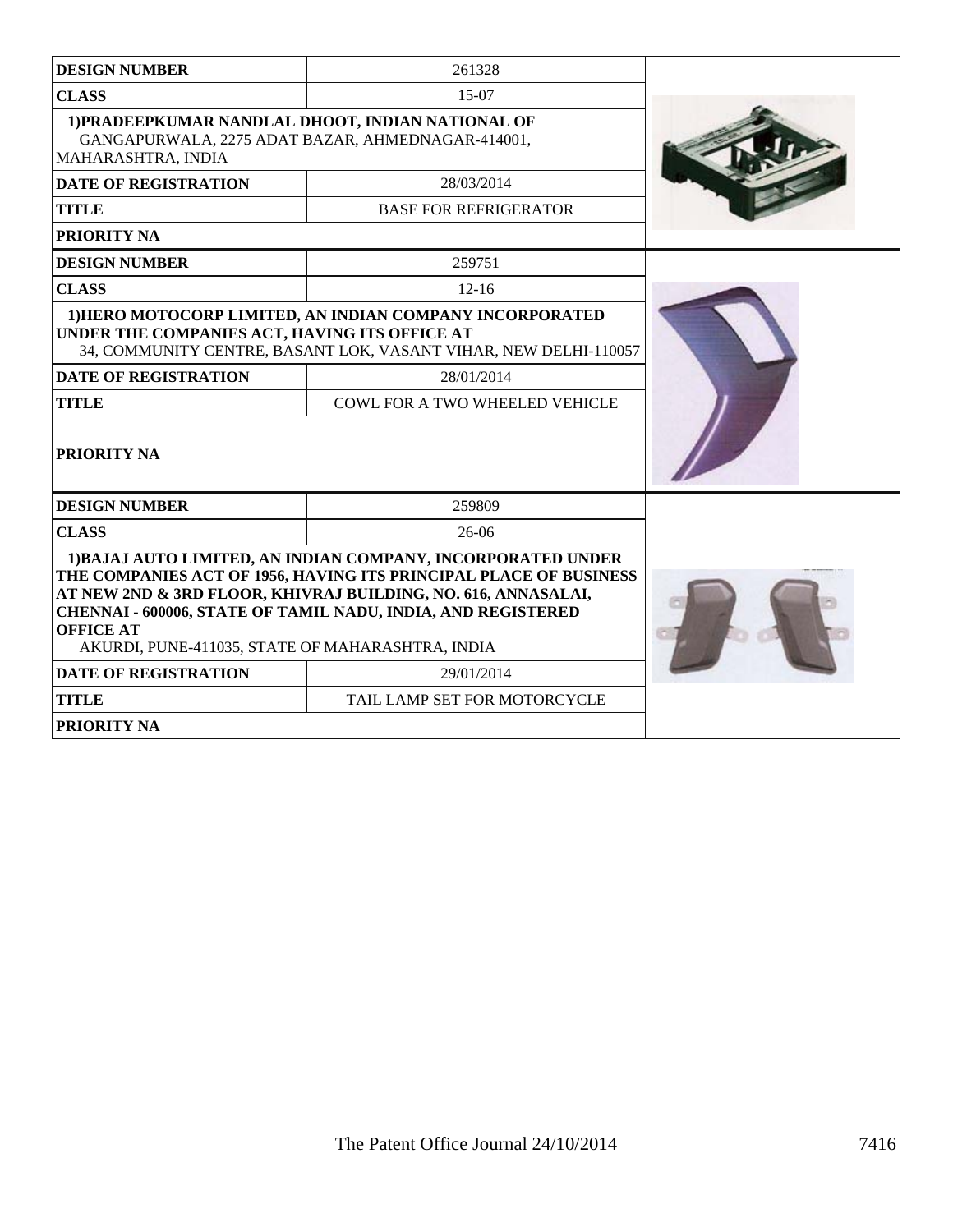| <b>DESIGN NUMBER</b>                                                                                                         | 261328                                                                                                                                                                                                                                                             |  |
|------------------------------------------------------------------------------------------------------------------------------|--------------------------------------------------------------------------------------------------------------------------------------------------------------------------------------------------------------------------------------------------------------------|--|
| <b>CLASS</b>                                                                                                                 | $15-07$                                                                                                                                                                                                                                                            |  |
| 1) PRADEEPKUMAR NANDLAL DHOOT, INDIAN NATIONAL OF<br>GANGAPURWALA, 2275 ADAT BAZAR, AHMEDNAGAR-414001,<br>MAHARASHTRA, INDIA |                                                                                                                                                                                                                                                                    |  |
| <b>DATE OF REGISTRATION</b>                                                                                                  | 28/03/2014                                                                                                                                                                                                                                                         |  |
| <b>TITLE</b>                                                                                                                 | <b>BASE FOR REFRIGERATOR</b>                                                                                                                                                                                                                                       |  |
| PRIORITY NA                                                                                                                  |                                                                                                                                                                                                                                                                    |  |
| <b>DESIGN NUMBER</b>                                                                                                         | 259751                                                                                                                                                                                                                                                             |  |
| <b>CLASS</b>                                                                                                                 | $12 - 16$                                                                                                                                                                                                                                                          |  |
| UNDER THE COMPANIES ACT, HAVING ITS OFFICE AT                                                                                | 1) HERO MOTOCORP LIMITED, AN INDIAN COMPANY INCORPORATED<br>34, COMMUNITY CENTRE, BASANT LOK, VASANT VIHAR, NEW DELHI-110057                                                                                                                                       |  |
| <b>DATE OF REGISTRATION</b>                                                                                                  | 28/01/2014                                                                                                                                                                                                                                                         |  |
| <b>TITLE</b>                                                                                                                 | COWL FOR A TWO WHEELED VEHICLE                                                                                                                                                                                                                                     |  |
| <b>PRIORITY NA</b>                                                                                                           |                                                                                                                                                                                                                                                                    |  |
| <b>DESIGN NUMBER</b>                                                                                                         | 259809                                                                                                                                                                                                                                                             |  |
| <b>CLASS</b>                                                                                                                 | $26-06$                                                                                                                                                                                                                                                            |  |
| <b>OFFICE AT</b><br>AKURDI, PUNE-411035, STATE OF MAHARASHTRA, INDIA                                                         | 1) BAJAJ AUTO LIMITED, AN INDIAN COMPANY, INCORPORATED UNDER<br>THE COMPANIES ACT OF 1956, HAVING ITS PRINCIPAL PLACE OF BUSINESS<br>AT NEW 2ND & 3RD FLOOR, KHIVRAJ BUILDING, NO. 616, ANNASALAI,<br>CHENNAI - 600006, STATE OF TAMIL NADU, INDIA, AND REGISTERED |  |
| <b>DATE OF REGISTRATION</b>                                                                                                  | 29/01/2014                                                                                                                                                                                                                                                         |  |
| <b>TITLE</b>                                                                                                                 | TAIL LAMP SET FOR MOTORCYCLE                                                                                                                                                                                                                                       |  |
| <b>PRIORITY NA</b>                                                                                                           |                                                                                                                                                                                                                                                                    |  |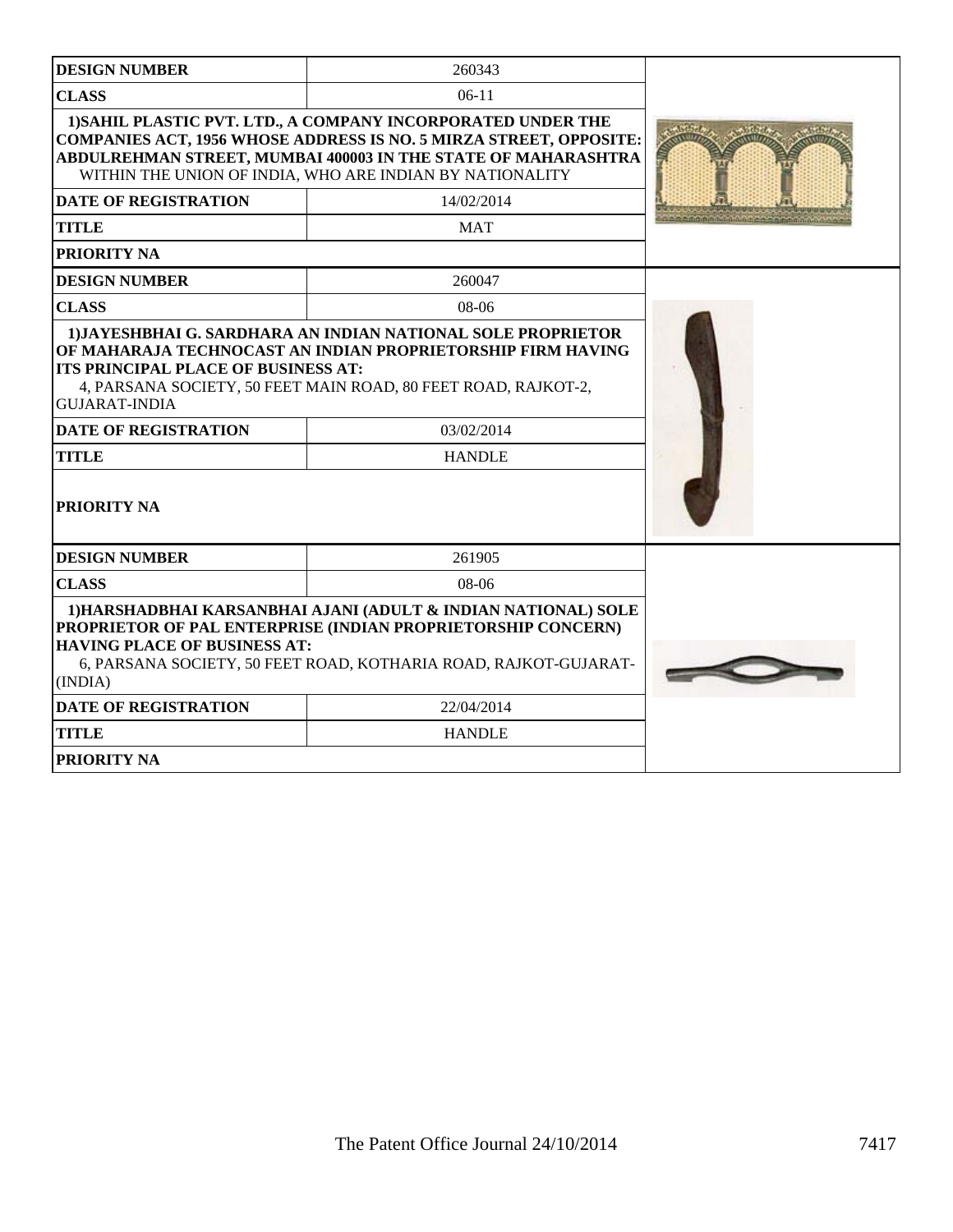| <b>DESIGN NUMBER</b>                                        | 260343                                                                                                                                                                                                                                                                 |  |
|-------------------------------------------------------------|------------------------------------------------------------------------------------------------------------------------------------------------------------------------------------------------------------------------------------------------------------------------|--|
| <b>CLASS</b>                                                | $06-11$                                                                                                                                                                                                                                                                |  |
|                                                             | 1) SAHIL PLASTIC PVT. LTD., A COMPANY INCORPORATED UNDER THE<br><b>COMPANIES ACT, 1956 WHOSE ADDRESS IS NO. 5 MIRZA STREET, OPPOSITE:</b><br>ABDULREHMAN STREET, MUMBAI 400003 IN THE STATE OF MAHARASHTRA<br>WITHIN THE UNION OF INDIA, WHO ARE INDIAN BY NATIONALITY |  |
| <b>DATE OF REGISTRATION</b>                                 | 14/02/2014                                                                                                                                                                                                                                                             |  |
| <b>TITLE</b>                                                | <b>MAT</b>                                                                                                                                                                                                                                                             |  |
| <b>PRIORITY NA</b>                                          |                                                                                                                                                                                                                                                                        |  |
| <b>DESIGN NUMBER</b>                                        | 260047                                                                                                                                                                                                                                                                 |  |
| <b>CLASS</b>                                                | 08-06                                                                                                                                                                                                                                                                  |  |
| ITS PRINCIPAL PLACE OF BUSINESS AT:<br><b>GUJARAT-INDIA</b> | OF MAHARAJA TECHNOCAST AN INDIAN PROPRIETORSHIP FIRM HAVING<br>4, PARSANA SOCIETY, 50 FEET MAIN ROAD, 80 FEET ROAD, RAJKOT-2,                                                                                                                                          |  |
| <b>DATE OF REGISTRATION</b>                                 | 03/02/2014                                                                                                                                                                                                                                                             |  |
| <b>TITLE</b>                                                | <b>HANDLE</b>                                                                                                                                                                                                                                                          |  |
| <b>PRIORITY NA</b>                                          |                                                                                                                                                                                                                                                                        |  |
| <b>DESIGN NUMBER</b>                                        | 261905                                                                                                                                                                                                                                                                 |  |
| <b>CLASS</b>                                                | $08-06$                                                                                                                                                                                                                                                                |  |
| <b>HAVING PLACE OF BUSINESS AT:</b><br>(INDIA)              | 1) HARSHADBHAI KARSANBHAI AJANI (ADULT & INDIAN NATIONAL) SOLE<br>PROPRIETOR OF PAL ENTERPRISE (INDIAN PROPRIETORSHIP CONCERN)<br>6, PARSANA SOCIETY, 50 FEET ROAD, KOTHARIA ROAD, RAJKOT-GUJARAT-                                                                     |  |
| <b>DATE OF REGISTRATION</b>                                 | 22/04/2014                                                                                                                                                                                                                                                             |  |
| <b>TITLE</b>                                                | <b>HANDLE</b>                                                                                                                                                                                                                                                          |  |
| PRIORITY NA                                                 |                                                                                                                                                                                                                                                                        |  |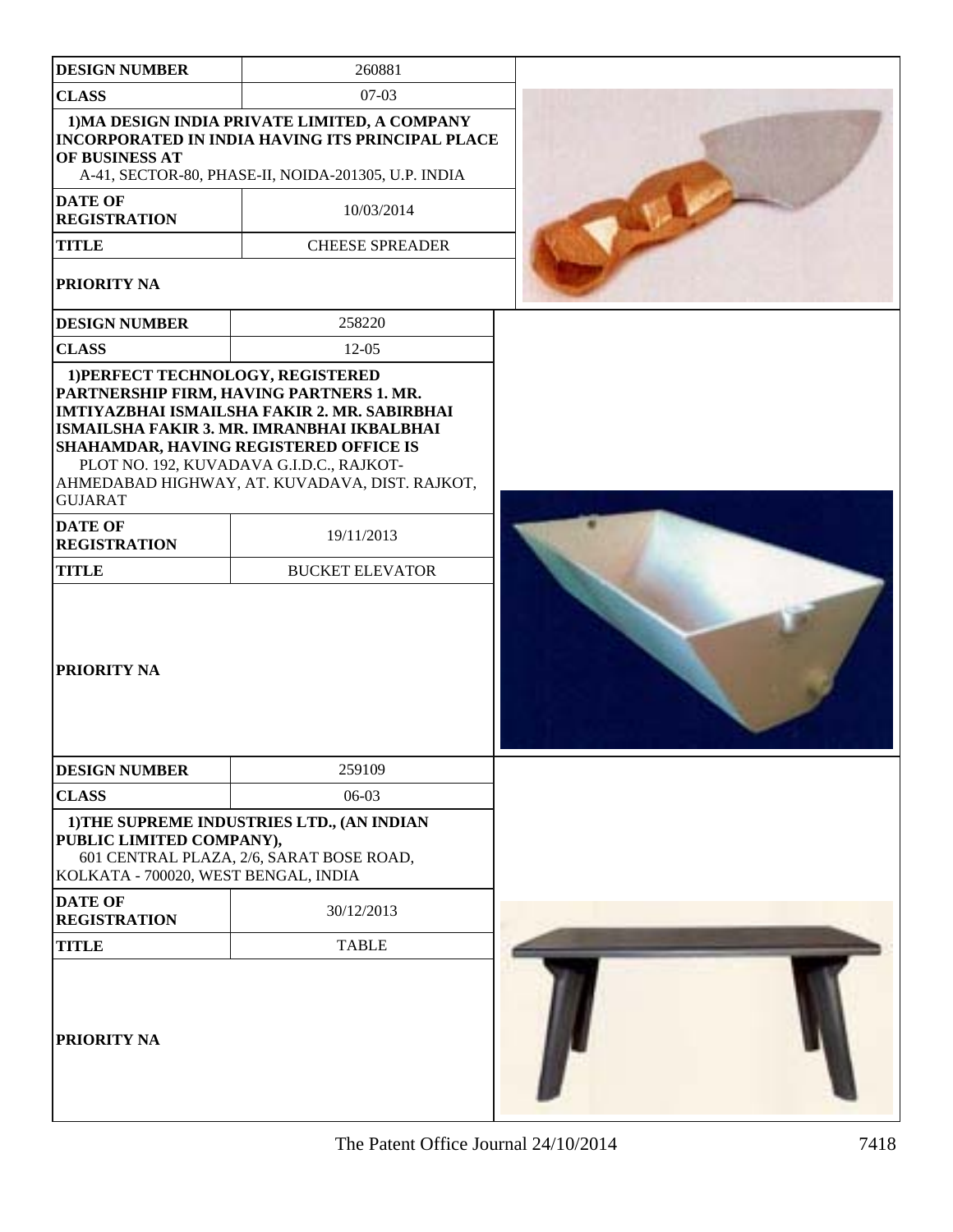| <b>DESIGN NUMBER</b>                                                                                                                             | 260881                                                                                                                                                                                   |  |
|--------------------------------------------------------------------------------------------------------------------------------------------------|------------------------------------------------------------------------------------------------------------------------------------------------------------------------------------------|--|
| <b>CLASS</b>                                                                                                                                     | $07-03$                                                                                                                                                                                  |  |
| OF BUSINESS AT                                                                                                                                   | 1) MA DESIGN INDIA PRIVATE LIMITED, A COMPANY<br>INCORPORATED IN INDIA HAVING ITS PRINCIPAL PLACE<br>A-41, SECTOR-80, PHASE-II, NOIDA-201305, U.P. INDIA                                 |  |
| <b>DATE OF</b><br><b>REGISTRATION</b>                                                                                                            | 10/03/2014                                                                                                                                                                               |  |
| <b>TITLE</b>                                                                                                                                     | <b>CHEESE SPREADER</b>                                                                                                                                                                   |  |
| PRIORITY NA                                                                                                                                      |                                                                                                                                                                                          |  |
| <b>DESIGN NUMBER</b>                                                                                                                             | 258220                                                                                                                                                                                   |  |
| <b>CLASS</b>                                                                                                                                     | $12 - 05$                                                                                                                                                                                |  |
| 1) PERFECT TECHNOLOGY, REGISTERED<br>PARTNERSHIP FIRM, HAVING PARTNERS 1. MR.<br><b>SHAHAMDAR, HAVING REGISTERED OFFICE IS</b><br><b>GUJARAT</b> | IMTIYAZBHAI ISMAILSHA FAKIR 2. MR. SABIRBHAI<br>ISMAILSHA FAKIR 3. MR. IMRANBHAI IKBALBHAI<br>PLOT NO. 192, KUVADAVA G.I.D.C., RAJKOT-<br>AHMEDABAD HIGHWAY, AT. KUVADAVA, DIST. RAJKOT, |  |
| <b>DATE OF</b><br><b>REGISTRATION</b>                                                                                                            | 19/11/2013                                                                                                                                                                               |  |
| <b>TITLE</b>                                                                                                                                     | <b>BUCKET ELEVATOR</b>                                                                                                                                                                   |  |
| <b>PRIORITY NA</b>                                                                                                                               |                                                                                                                                                                                          |  |
| <b>DESIGN NUMBER</b>                                                                                                                             | 259109                                                                                                                                                                                   |  |
| <b>CLASS</b>                                                                                                                                     | 06-03                                                                                                                                                                                    |  |
| PUBLIC LIMITED COMPANY),<br>KOLKATA - 700020, WEST BENGAL, INDIA                                                                                 | 1) THE SUPREME INDUSTRIES LTD., (AN INDIAN<br>601 CENTRAL PLAZA, 2/6, SARAT BOSE ROAD,                                                                                                   |  |
| <b>DATE OF</b><br><b>REGISTRATION</b>                                                                                                            | 30/12/2013                                                                                                                                                                               |  |
| <b>TITLE</b>                                                                                                                                     | <b>TABLE</b>                                                                                                                                                                             |  |
| <b>PRIORITY NA</b>                                                                                                                               |                                                                                                                                                                                          |  |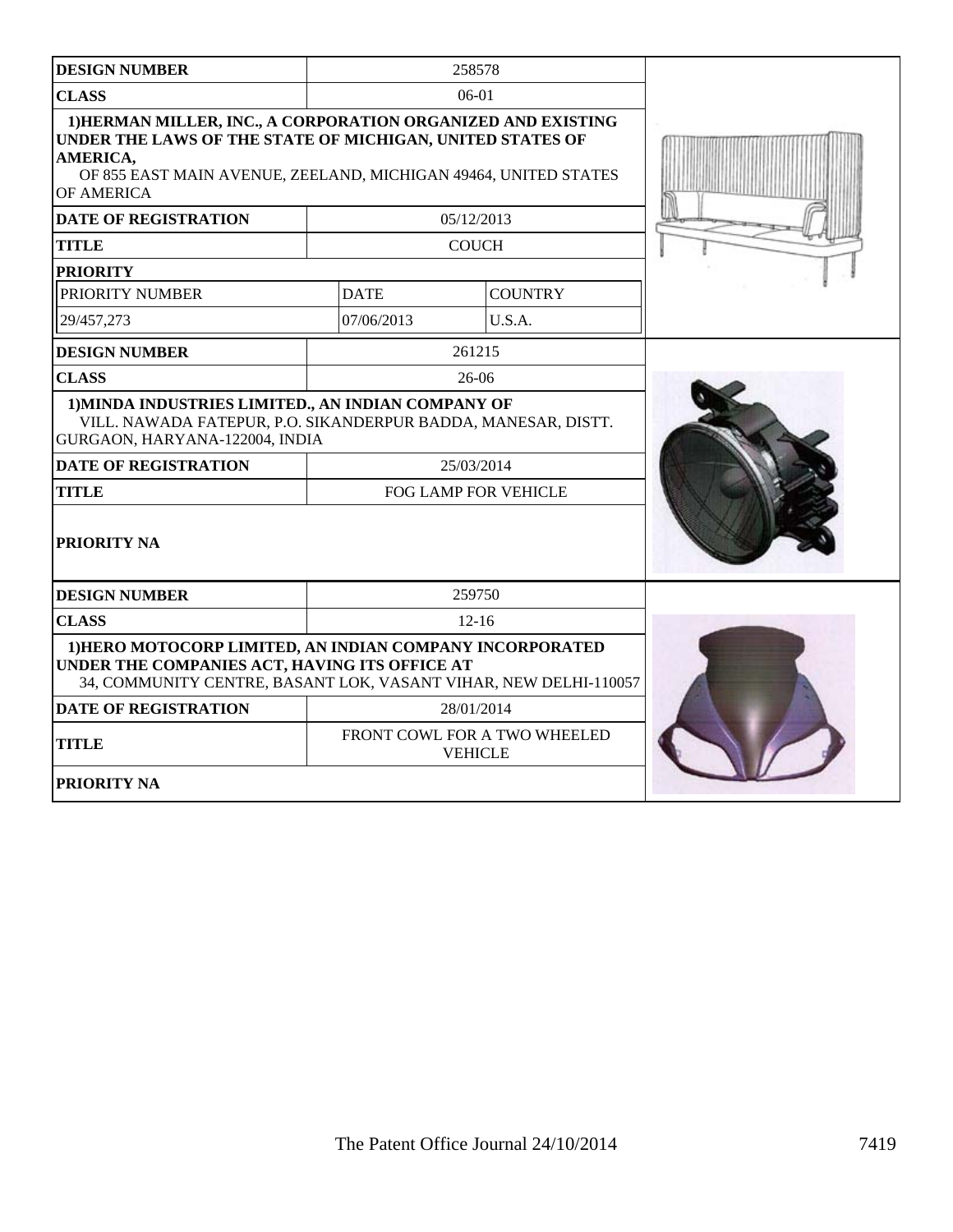| <b>DESIGN NUMBER</b>                                                                                                                                                                                                   |                      | 258578                                         |  |
|------------------------------------------------------------------------------------------------------------------------------------------------------------------------------------------------------------------------|----------------------|------------------------------------------------|--|
| <b>CLASS</b>                                                                                                                                                                                                           |                      | $06-01$                                        |  |
| 1) HERMAN MILLER, INC., A CORPORATION ORGANIZED AND EXISTING<br>UNDER THE LAWS OF THE STATE OF MICHIGAN, UNITED STATES OF<br>AMERICA,<br>OF 855 EAST MAIN AVENUE, ZEELAND, MICHIGAN 49464, UNITED STATES<br>OF AMERICA |                      |                                                |  |
| <b>DATE OF REGISTRATION</b>                                                                                                                                                                                            |                      | 05/12/2013                                     |  |
| <b>TITLE</b>                                                                                                                                                                                                           |                      | <b>COUCH</b>                                   |  |
| <b>PRIORITY</b>                                                                                                                                                                                                        |                      |                                                |  |
| PRIORITY NUMBER                                                                                                                                                                                                        | <b>DATE</b>          | <b>COUNTRY</b>                                 |  |
| 29/457,273                                                                                                                                                                                                             | 07/06/2013           | U.S.A.                                         |  |
| <b>DESIGN NUMBER</b>                                                                                                                                                                                                   |                      | 261215                                         |  |
| <b>CLASS</b>                                                                                                                                                                                                           |                      | $26-06$                                        |  |
| 1) MINDA INDUSTRIES LIMITED., AN INDIAN COMPANY OF<br>VILL. NAWADA FATEPUR, P.O. SIKANDERPUR BADDA, MANESAR, DISTT.<br>GURGAON, HARYANA-122004, INDIA                                                                  |                      |                                                |  |
| <b>DATE OF REGISTRATION</b>                                                                                                                                                                                            |                      | 25/03/2014                                     |  |
| <b>TITLE</b>                                                                                                                                                                                                           | FOG LAMP FOR VEHICLE |                                                |  |
| <b>PRIORITY NA</b>                                                                                                                                                                                                     |                      |                                                |  |
| <b>DESIGN NUMBER</b>                                                                                                                                                                                                   |                      | 259750                                         |  |
| <b>CLASS</b>                                                                                                                                                                                                           | $12 - 16$            |                                                |  |
| 1) HERO MOTOCORP LIMITED, AN INDIAN COMPANY INCORPORATED<br>UNDER THE COMPANIES ACT, HAVING ITS OFFICE AT<br>34, COMMUNITY CENTRE, BASANT LOK, VASANT VIHAR, NEW DELHI-110057                                          |                      |                                                |  |
| <b>DATE OF REGISTRATION</b>                                                                                                                                                                                            |                      | 28/01/2014                                     |  |
| <b>TITLE</b>                                                                                                                                                                                                           |                      | FRONT COWL FOR A TWO WHEELED<br><b>VEHICLE</b> |  |
| <b>PRIORITY NA</b>                                                                                                                                                                                                     |                      |                                                |  |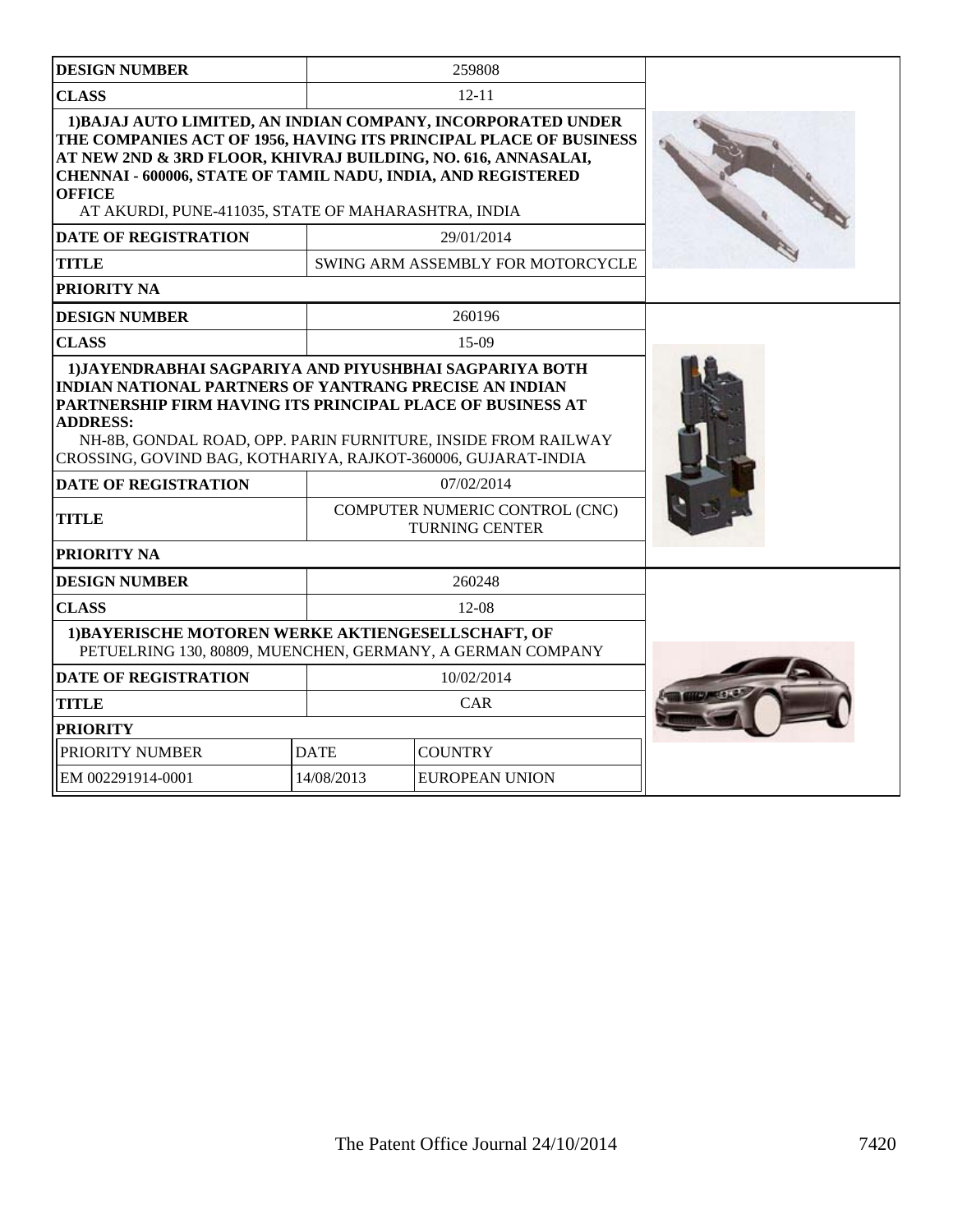| <b>DESIGN NUMBER</b>                                                                                                                                                                                                                                                                                                                              |             | 259808                                                  |  |
|---------------------------------------------------------------------------------------------------------------------------------------------------------------------------------------------------------------------------------------------------------------------------------------------------------------------------------------------------|-------------|---------------------------------------------------------|--|
| <b>CLASS</b>                                                                                                                                                                                                                                                                                                                                      |             | $12 - 11$                                               |  |
| 1) BAJAJ AUTO LIMITED, AN INDIAN COMPANY, INCORPORATED UNDER<br>THE COMPANIES ACT OF 1956, HAVING ITS PRINCIPAL PLACE OF BUSINESS<br>AT NEW 2ND & 3RD FLOOR, KHIVRAJ BUILDING, NO. 616, ANNASALAI,<br><b>CHENNAI - 600006, STATE OF TAMIL NADU, INDIA, AND REGISTERED</b><br><b>OFFICE</b><br>AT AKURDI, PUNE-411035, STATE OF MAHARASHTRA, INDIA |             |                                                         |  |
| <b>DATE OF REGISTRATION</b>                                                                                                                                                                                                                                                                                                                       |             | 29/01/2014                                              |  |
| <b>TITLE</b>                                                                                                                                                                                                                                                                                                                                      |             | SWING ARM ASSEMBLY FOR MOTORCYCLE                       |  |
| <b>PRIORITY NA</b>                                                                                                                                                                                                                                                                                                                                |             |                                                         |  |
| <b>DESIGN NUMBER</b>                                                                                                                                                                                                                                                                                                                              |             | 260196                                                  |  |
| <b>CLASS</b>                                                                                                                                                                                                                                                                                                                                      |             | $15-09$                                                 |  |
| <b>INDIAN NATIONAL PARTNERS OF YANTRANG PRECISE AN INDIAN</b><br>PARTNERSHIP FIRM HAVING ITS PRINCIPAL PLACE OF BUSINESS AT<br><b>ADDRESS:</b><br>NH-8B, GONDAL ROAD, OPP. PARIN FURNITURE, INSIDE FROM RAILWAY<br>CROSSING, GOVIND BAG, KOTHARIYA, RAJKOT-360006, GUJARAT-INDIA                                                                  |             |                                                         |  |
| <b>DATE OF REGISTRATION</b>                                                                                                                                                                                                                                                                                                                       |             | 07/02/2014                                              |  |
| <b>TITLE</b>                                                                                                                                                                                                                                                                                                                                      |             | COMPUTER NUMERIC CONTROL (CNC)<br><b>TURNING CENTER</b> |  |
| PRIORITY NA                                                                                                                                                                                                                                                                                                                                       |             |                                                         |  |
| <b>DESIGN NUMBER</b>                                                                                                                                                                                                                                                                                                                              |             | 260248                                                  |  |
| <b>CLASS</b>                                                                                                                                                                                                                                                                                                                                      |             | 12-08                                                   |  |
| 1) BAYERISCHE MOTOREN WERKE AKTIENGESELLSCHAFT, OF<br>PETUELRING 130, 80809, MUENCHEN, GERMANY, A GERMAN COMPANY                                                                                                                                                                                                                                  |             |                                                         |  |
| <b>DATE OF REGISTRATION</b>                                                                                                                                                                                                                                                                                                                       |             | 10/02/2014                                              |  |
| <b>TITLE</b>                                                                                                                                                                                                                                                                                                                                      |             | CAR                                                     |  |
| <b>PRIORITY</b>                                                                                                                                                                                                                                                                                                                                   |             |                                                         |  |
| PRIORITY NUMBER                                                                                                                                                                                                                                                                                                                                   | <b>DATE</b> | <b>COUNTRY</b>                                          |  |
| EM 002291914-0001                                                                                                                                                                                                                                                                                                                                 | 14/08/2013  | <b>EUROPEAN UNION</b>                                   |  |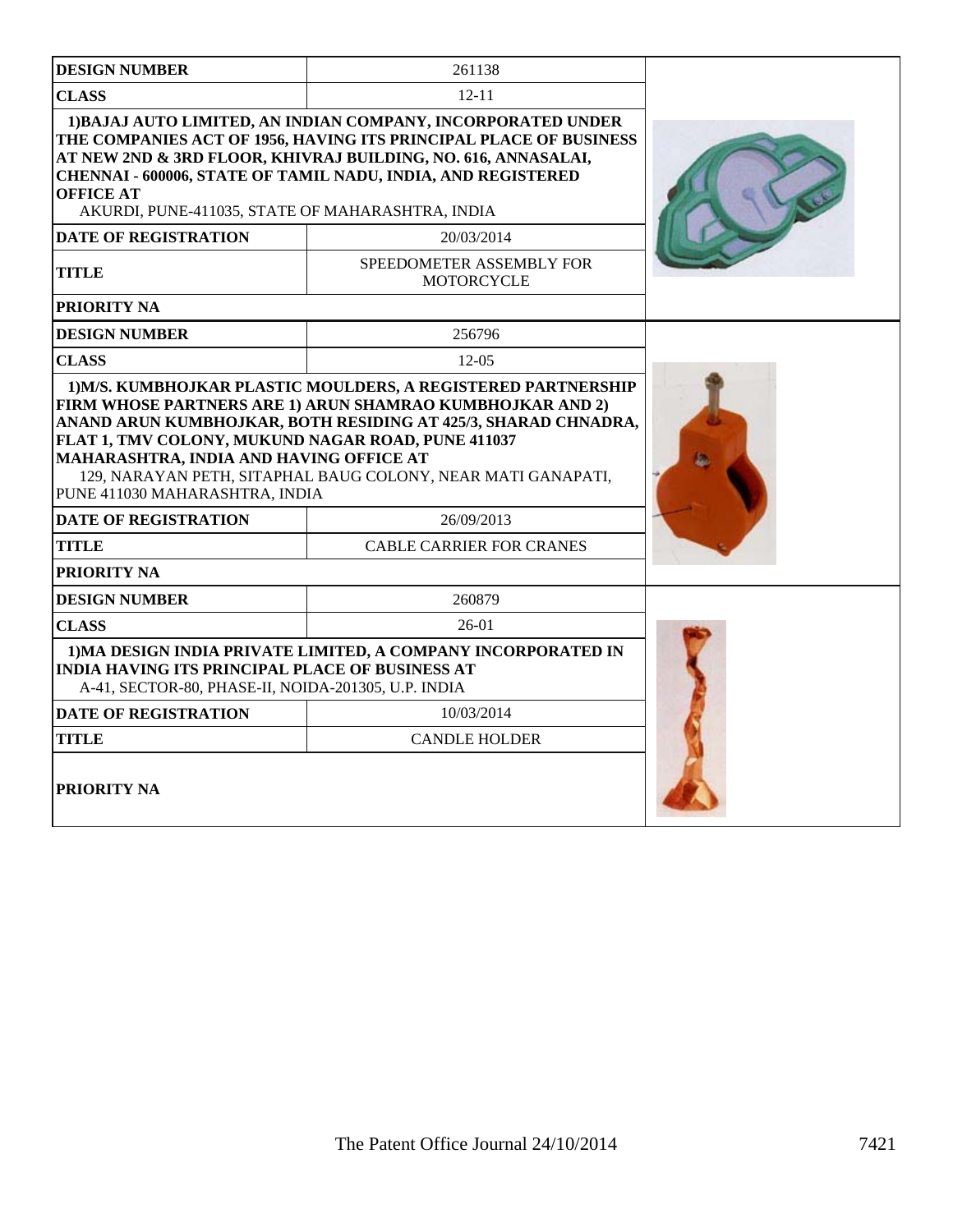| <b>DESIGN NUMBER</b>                                                                                                            | 261138                                                                                                                                                                                                                                                             |  |
|---------------------------------------------------------------------------------------------------------------------------------|--------------------------------------------------------------------------------------------------------------------------------------------------------------------------------------------------------------------------------------------------------------------|--|
| <b>CLASS</b>                                                                                                                    | $12 - 11$                                                                                                                                                                                                                                                          |  |
| <b>OFFICE AT</b><br>AKURDI, PUNE-411035, STATE OF MAHARASHTRA, INDIA                                                            | 1) BAJAJ AUTO LIMITED, AN INDIAN COMPANY, INCORPORATED UNDER<br>THE COMPANIES ACT OF 1956, HAVING ITS PRINCIPAL PLACE OF BUSINESS<br>AT NEW 2ND & 3RD FLOOR, KHIVRAJ BUILDING, NO. 616, ANNASALAI,<br>CHENNAI - 600006, STATE OF TAMIL NADU, INDIA, AND REGISTERED |  |
| <b>DATE OF REGISTRATION</b>                                                                                                     | 20/03/2014                                                                                                                                                                                                                                                         |  |
| <b>TITLE</b>                                                                                                                    | SPEEDOMETER ASSEMBLY FOR<br><b>MOTORCYCLE</b>                                                                                                                                                                                                                      |  |
| <b>PRIORITY NA</b>                                                                                                              |                                                                                                                                                                                                                                                                    |  |
| <b>DESIGN NUMBER</b>                                                                                                            | 256796                                                                                                                                                                                                                                                             |  |
| <b>CLASS</b>                                                                                                                    | $12-05$                                                                                                                                                                                                                                                            |  |
| FLAT 1, TMV COLONY, MUKUND NAGAR ROAD, PUNE 411037<br>MAHARASHTRA, INDIA AND HAVING OFFICE AT<br>PUNE 411030 MAHARASHTRA, INDIA | 129, NARAYAN PETH, SITAPHAL BAUG COLONY, NEAR MATI GANAPATI,                                                                                                                                                                                                       |  |
| <b>DATE OF REGISTRATION</b>                                                                                                     | 26/09/2013                                                                                                                                                                                                                                                         |  |
| <b>TITLE</b>                                                                                                                    | <b>CABLE CARRIER FOR CRANES</b>                                                                                                                                                                                                                                    |  |
| PRIORITY NA                                                                                                                     |                                                                                                                                                                                                                                                                    |  |
| <b>DESIGN NUMBER</b>                                                                                                            | 260879                                                                                                                                                                                                                                                             |  |
| <b>CLASS</b>                                                                                                                    | $26-01$                                                                                                                                                                                                                                                            |  |
| <b>INDIA HAVING ITS PRINCIPAL PLACE OF BUSINESS AT</b><br>A-41, SECTOR-80, PHASE-II, NOIDA-201305, U.P. INDIA                   | 1) MA DESIGN INDIA PRIVATE LIMITED, A COMPANY INCORPORATED IN                                                                                                                                                                                                      |  |
| <b>DATE OF REGISTRATION</b>                                                                                                     | 10/03/2014                                                                                                                                                                                                                                                         |  |
| <b>TITLE</b>                                                                                                                    | <b>CANDLE HOLDER</b>                                                                                                                                                                                                                                               |  |
| <b>PRIORITY NA</b>                                                                                                              |                                                                                                                                                                                                                                                                    |  |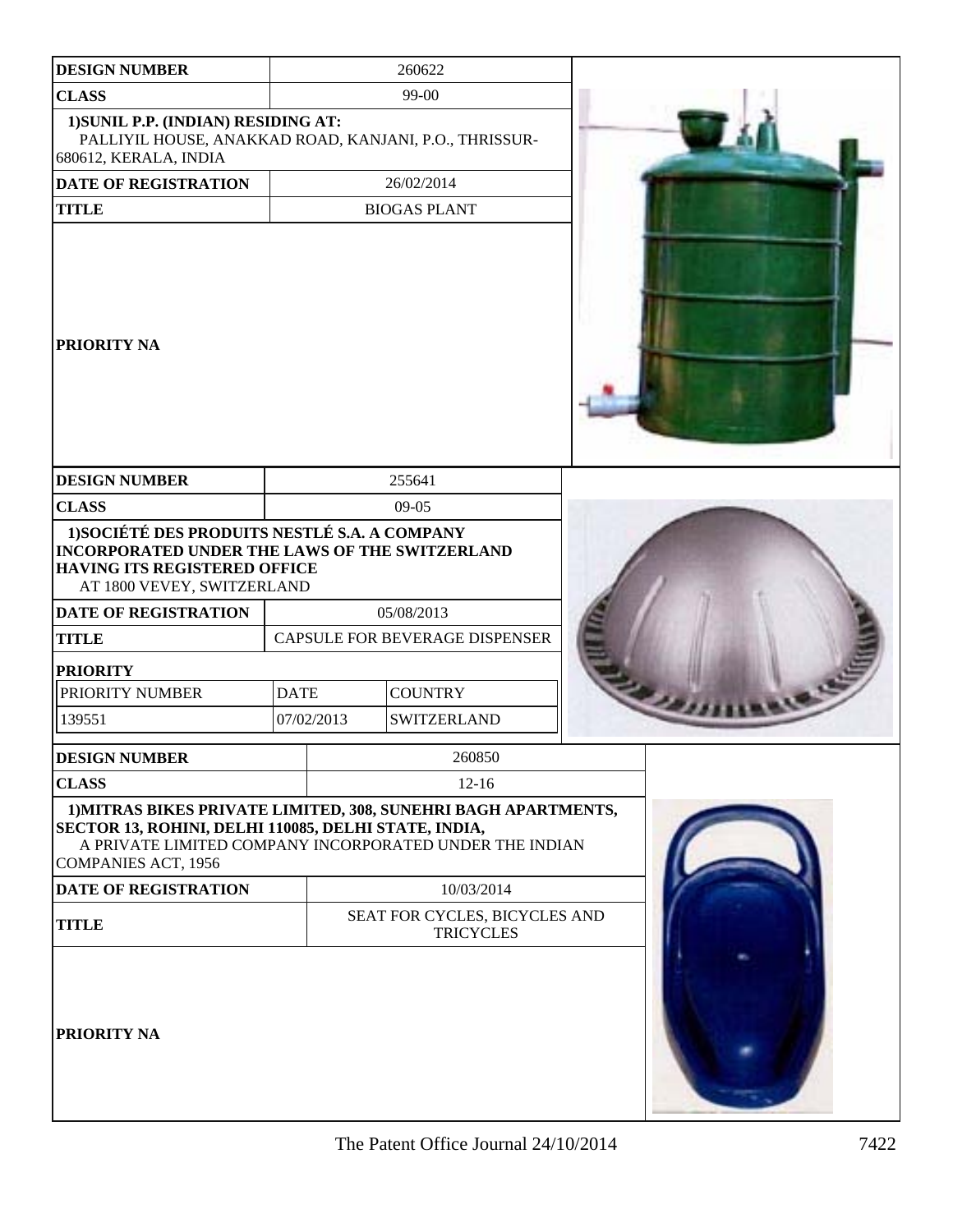| <b>DESIGN NUMBER</b>                                                                                                                                                                                  |             | 260622                                                  |  |
|-------------------------------------------------------------------------------------------------------------------------------------------------------------------------------------------------------|-------------|---------------------------------------------------------|--|
| <b>CLASS</b>                                                                                                                                                                                          |             | 99-00                                                   |  |
| 1) SUNIL P.P. (INDIAN) RESIDING AT:<br>PALLIYIL HOUSE, ANAKKAD ROAD, KANJANI, P.O., THRISSUR-<br>680612, KERALA, INDIA                                                                                |             |                                                         |  |
| <b>DATE OF REGISTRATION</b>                                                                                                                                                                           |             | 26/02/2014                                              |  |
| <b>TITLE</b>                                                                                                                                                                                          |             | <b>BIOGAS PLANT</b>                                     |  |
| <b>PRIORITY NA</b>                                                                                                                                                                                    |             |                                                         |  |
| <b>DESIGN NUMBER</b>                                                                                                                                                                                  |             | 255641                                                  |  |
| <b>CLASS</b>                                                                                                                                                                                          |             | 09-05                                                   |  |
| 1) SOCIÉTÉ DES PRODUITS NESTLÉ S.A. A COMPANY<br>INCORPORATED UNDER THE LAWS OF THE SWITZERLAND<br>HAVING ITS REGISTERED OFFICE<br>AT 1800 VEVEY, SWITZERLAND<br>DATE OF REGISTRATION<br><b>TITLE</b> |             | 05/08/2013<br>CAPSULE FOR BEVERAGE DISPENSER            |  |
| <b>PRIORITY</b>                                                                                                                                                                                       |             |                                                         |  |
| PRIORITY NUMBER                                                                                                                                                                                       | <b>DATE</b> | <b>COUNTRY</b>                                          |  |
| 139551                                                                                                                                                                                                | 07/02/2013  | <b>SWITZERLAND</b>                                      |  |
| <b>DESIGN NUMBER</b>                                                                                                                                                                                  |             | 260850                                                  |  |
| <b>CLASS</b>                                                                                                                                                                                          |             | $12 - 16$                                               |  |
| 1) MITRAS BIKES PRIVATE LIMITED, 308, SUNEHRI BAGH APARTMENTS,<br>SECTOR 13, ROHINI, DELHI 110085, DELHI STATE, INDIA,<br><b>COMPANIES ACT, 1956</b>                                                  |             | A PRIVATE LIMITED COMPANY INCORPORATED UNDER THE INDIAN |  |
| <b>DATE OF REGISTRATION</b>                                                                                                                                                                           |             | 10/03/2014                                              |  |
| <b>TITLE</b>                                                                                                                                                                                          |             | SEAT FOR CYCLES, BICYCLES AND<br><b>TRICYCLES</b>       |  |
| <b>PRIORITY NA</b>                                                                                                                                                                                    |             |                                                         |  |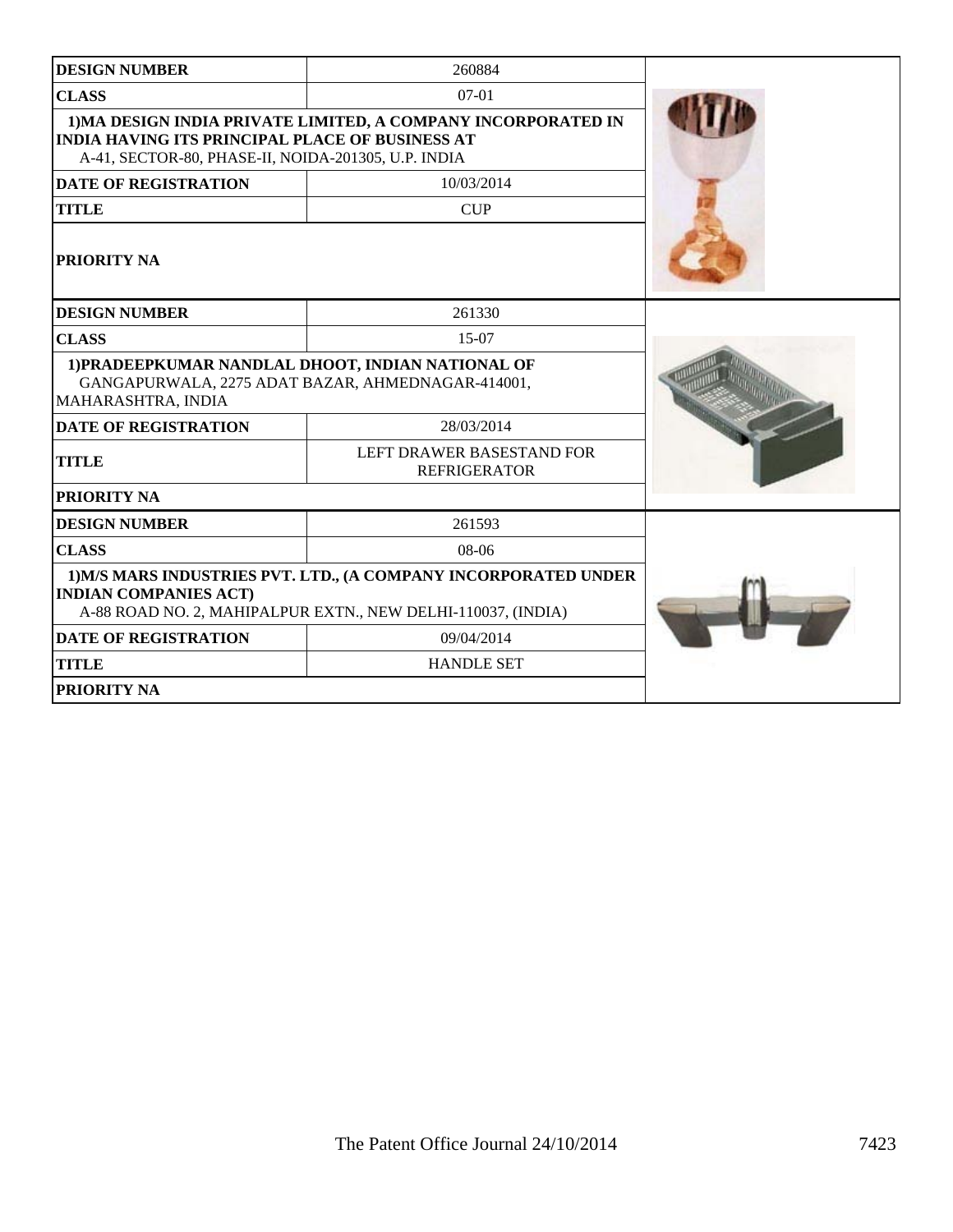| <b>DESIGN NUMBER</b>                                                                                                                                                           | 260884                                           |  |
|--------------------------------------------------------------------------------------------------------------------------------------------------------------------------------|--------------------------------------------------|--|
| <b>CLASS</b>                                                                                                                                                                   | $07-01$                                          |  |
| 1) MA DESIGN INDIA PRIVATE LIMITED, A COMPANY INCORPORATED IN<br><b>INDIA HAVING ITS PRINCIPAL PLACE OF BUSINESS AT</b><br>A-41, SECTOR-80, PHASE-II, NOIDA-201305, U.P. INDIA |                                                  |  |
| <b>DATE OF REGISTRATION</b>                                                                                                                                                    | 10/03/2014                                       |  |
| <b>TITLE</b>                                                                                                                                                                   | <b>CUP</b>                                       |  |
| <b>PRIORITY NA</b>                                                                                                                                                             |                                                  |  |
| <b>DESIGN NUMBER</b>                                                                                                                                                           | 261330                                           |  |
| <b>CLASS</b>                                                                                                                                                                   | $15-07$                                          |  |
| 1) PRADEEPKUMAR NANDLAL DHOOT, INDIAN NATIONAL OF<br>GANGAPURWALA, 2275 ADAT BAZAR, AHMEDNAGAR-414001,<br>MAHARASHTRA, INDIA                                                   |                                                  |  |
| <b>DATE OF REGISTRATION</b>                                                                                                                                                    | 28/03/2014                                       |  |
| <b>TITLE</b>                                                                                                                                                                   | LEFT DRAWER BASESTAND FOR<br><b>REFRIGERATOR</b> |  |
| <b>PRIORITY NA</b>                                                                                                                                                             |                                                  |  |
| <b>DESIGN NUMBER</b>                                                                                                                                                           | 261593                                           |  |
| <b>CLASS</b>                                                                                                                                                                   | $08-06$                                          |  |
| 1) M/S MARS INDUSTRIES PVT. LTD., (A COMPANY INCORPORATED UNDER<br><b>INDIAN COMPANIES ACT)</b><br>A-88 ROAD NO. 2, MAHIPALPUR EXTN., NEW DELHI-110037, (INDIA)                |                                                  |  |
| <b>DATE OF REGISTRATION</b>                                                                                                                                                    | 09/04/2014                                       |  |
| <b>TITLE</b>                                                                                                                                                                   | <b>HANDLE SET</b>                                |  |
| <b>PRIORITY NA</b>                                                                                                                                                             |                                                  |  |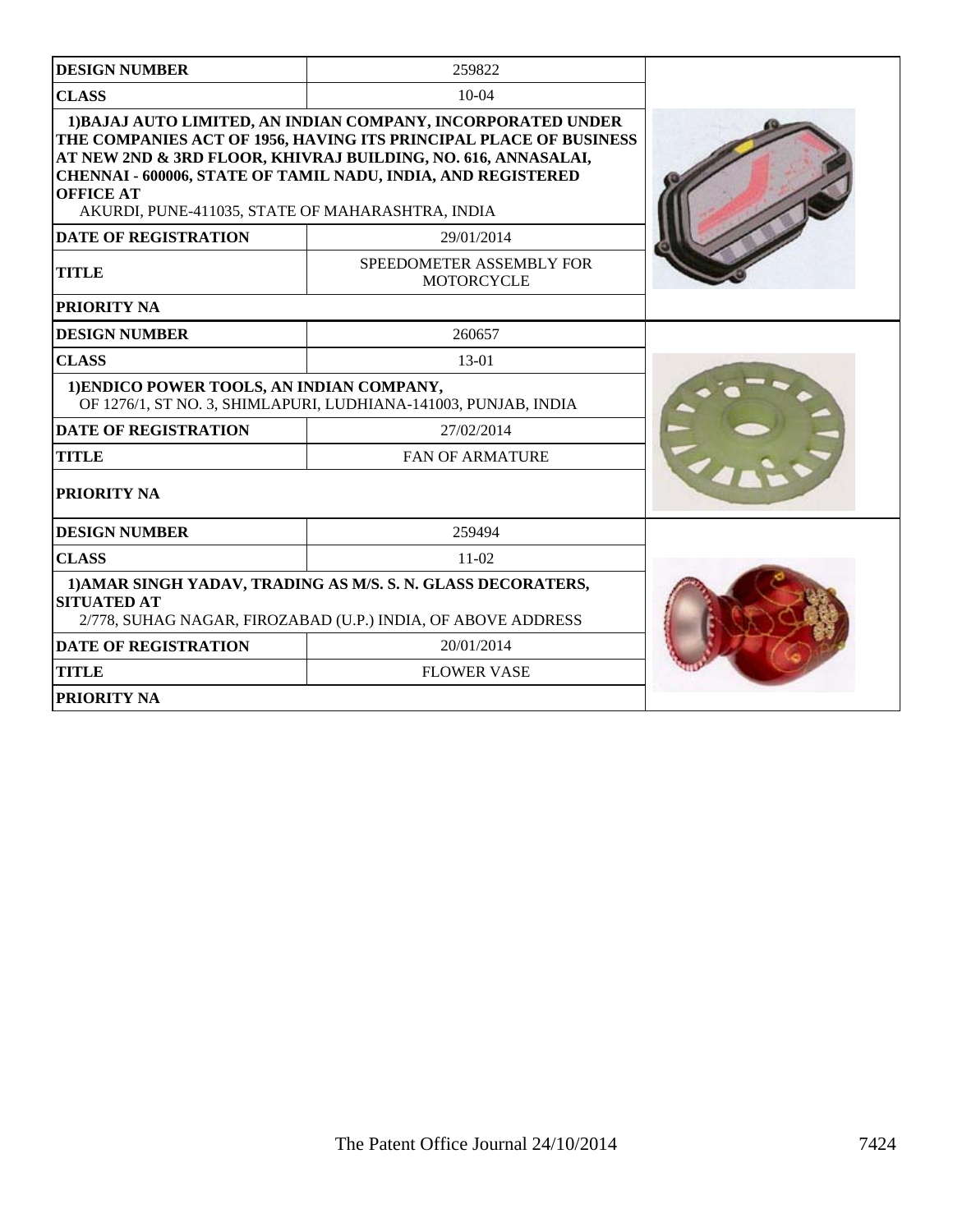| <b>DESIGN NUMBER</b>                                                 | 259822                                                                                                                                                                                                                                                                    |  |
|----------------------------------------------------------------------|---------------------------------------------------------------------------------------------------------------------------------------------------------------------------------------------------------------------------------------------------------------------------|--|
| <b>CLASS</b>                                                         | $10-04$                                                                                                                                                                                                                                                                   |  |
| <b>OFFICE AT</b><br>AKURDI, PUNE-411035, STATE OF MAHARASHTRA, INDIA | 1) BAJAJ AUTO LIMITED, AN INDIAN COMPANY, INCORPORATED UNDER<br>THE COMPANIES ACT OF 1956, HAVING ITS PRINCIPAL PLACE OF BUSINESS<br>AT NEW 2ND & 3RD FLOOR, KHIVRAJ BUILDING, NO. 616, ANNASALAI,<br><b>CHENNAI - 600006, STATE OF TAMIL NADU, INDIA, AND REGISTERED</b> |  |
| <b>DATE OF REGISTRATION</b>                                          | 29/01/2014                                                                                                                                                                                                                                                                |  |
| <b>TITLE</b>                                                         | SPEEDOMETER ASSEMBLY FOR<br>MOTORCYCLE                                                                                                                                                                                                                                    |  |
| <b>PRIORITY NA</b>                                                   |                                                                                                                                                                                                                                                                           |  |
| <b>DESIGN NUMBER</b>                                                 | 260657                                                                                                                                                                                                                                                                    |  |
| <b>CLASS</b>                                                         | 13-01                                                                                                                                                                                                                                                                     |  |
| 1) ENDICO POWER TOOLS, AN INDIAN COMPANY,                            | OF 1276/1, ST NO. 3, SHIMLAPURI, LUDHIANA-141003, PUNJAB, INDIA                                                                                                                                                                                                           |  |
| <b>DATE OF REGISTRATION</b>                                          | 27/02/2014                                                                                                                                                                                                                                                                |  |
| <b>TITLE</b>                                                         | <b>FAN OF ARMATURE</b>                                                                                                                                                                                                                                                    |  |
| <b>PRIORITY NA</b>                                                   |                                                                                                                                                                                                                                                                           |  |
| <b>DESIGN NUMBER</b>                                                 | 259494                                                                                                                                                                                                                                                                    |  |
| <b>CLASS</b>                                                         | $11-02$                                                                                                                                                                                                                                                                   |  |
| <b>SITUATED AT</b>                                                   | 1) AMAR SINGH YADAV, TRADING AS M/S. S. N. GLASS DECORATERS,<br>2/778, SUHAG NAGAR, FIROZABAD (U.P.) INDIA, OF ABOVE ADDRESS                                                                                                                                              |  |
| <b>DATE OF REGISTRATION</b>                                          | 20/01/2014                                                                                                                                                                                                                                                                |  |
| <b>TITLE</b>                                                         | <b>FLOWER VASE</b>                                                                                                                                                                                                                                                        |  |
| <b>PRIORITY NA</b>                                                   |                                                                                                                                                                                                                                                                           |  |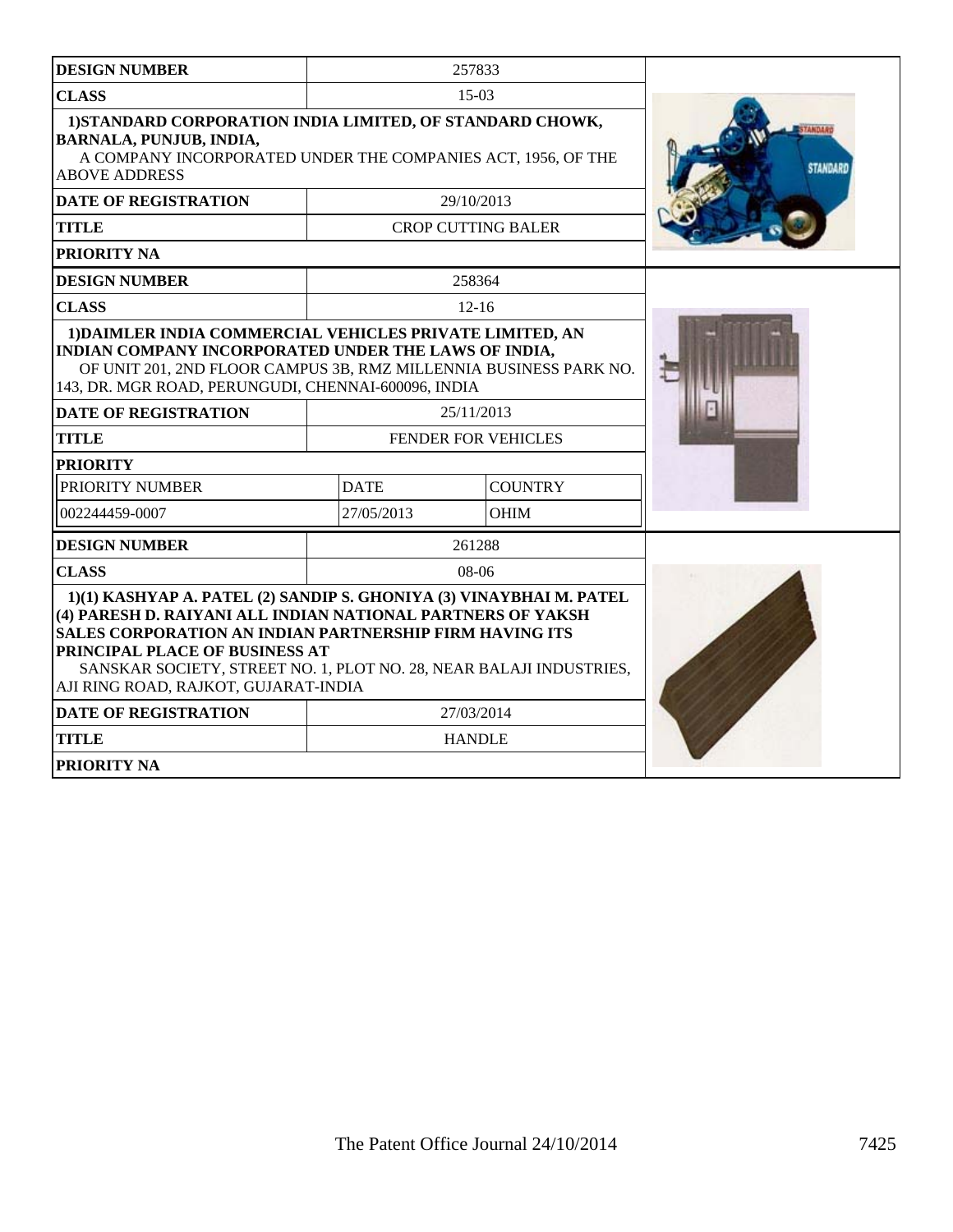| <b>DESIGN NUMBER</b>                                                                                                                                                                                                                                                                                                                                         |             | 257833                    |          |
|--------------------------------------------------------------------------------------------------------------------------------------------------------------------------------------------------------------------------------------------------------------------------------------------------------------------------------------------------------------|-------------|---------------------------|----------|
| <b>CLASS</b>                                                                                                                                                                                                                                                                                                                                                 |             | $15-03$                   |          |
| 1) STANDARD CORPORATION INDIA LIMITED, OF STANDARD CHOWK,<br><b>BARNALA, PUNJUB, INDIA,</b><br>A COMPANY INCORPORATED UNDER THE COMPANIES ACT, 1956, OF THE<br><b>ABOVE ADDRESS</b>                                                                                                                                                                          |             |                           | STANDARI |
| <b>DATE OF REGISTRATION</b>                                                                                                                                                                                                                                                                                                                                  |             | 29/10/2013                |          |
| <b>TITLE</b>                                                                                                                                                                                                                                                                                                                                                 |             | <b>CROP CUTTING BALER</b> |          |
| <b>PRIORITY NA</b>                                                                                                                                                                                                                                                                                                                                           |             |                           |          |
| <b>DESIGN NUMBER</b>                                                                                                                                                                                                                                                                                                                                         |             | 258364                    |          |
| <b>CLASS</b>                                                                                                                                                                                                                                                                                                                                                 |             | $12 - 16$                 |          |
| 1) DAIMLER INDIA COMMERCIAL VEHICLES PRIVATE LIMITED, AN<br>INDIAN COMPANY INCORPORATED UNDER THE LAWS OF INDIA,<br>OF UNIT 201, 2ND FLOOR CAMPUS 3B, RMZ MILLENNIA BUSINESS PARK NO.<br>143, DR. MGR ROAD, PERUNGUDI, CHENNAI-600096, INDIA                                                                                                                 |             |                           |          |
| <b>DATE OF REGISTRATION</b>                                                                                                                                                                                                                                                                                                                                  |             | 25/11/2013                |          |
| <b>TITLE</b>                                                                                                                                                                                                                                                                                                                                                 |             | FENDER FOR VEHICLES       |          |
| <b>PRIORITY</b>                                                                                                                                                                                                                                                                                                                                              |             |                           |          |
| PRIORITY NUMBER                                                                                                                                                                                                                                                                                                                                              | <b>DATE</b> | <b>COUNTRY</b>            |          |
| 002244459-0007                                                                                                                                                                                                                                                                                                                                               | 27/05/2013  | <b>OHIM</b>               |          |
| <b>DESIGN NUMBER</b>                                                                                                                                                                                                                                                                                                                                         |             | 261288                    |          |
| <b>CLASS</b>                                                                                                                                                                                                                                                                                                                                                 |             | 08-06                     |          |
| 1)(1) KASHYAP A. PATEL (2) SANDIP S. GHONIYA (3) VINAYBHAI M. PATEL<br>(4) PARESH D. RAIYANI ALL INDIAN NATIONAL PARTNERS OF YAKSH<br><b>SALES CORPORATION AN INDIAN PARTNERSHIP FIRM HAVING ITS</b><br><b>PRINCIPAL PLACE OF BUSINESS AT</b><br>SANSKAR SOCIETY, STREET NO. 1, PLOT NO. 28, NEAR BALAJI INDUSTRIES,<br>AJI RING ROAD, RAJKOT, GUJARAT-INDIA |             |                           |          |
| <b>DATE OF REGISTRATION</b>                                                                                                                                                                                                                                                                                                                                  |             | 27/03/2014                |          |
| <b>TITLE</b>                                                                                                                                                                                                                                                                                                                                                 |             | <b>HANDLE</b>             |          |
| <b>PRIORITY NA</b>                                                                                                                                                                                                                                                                                                                                           |             |                           |          |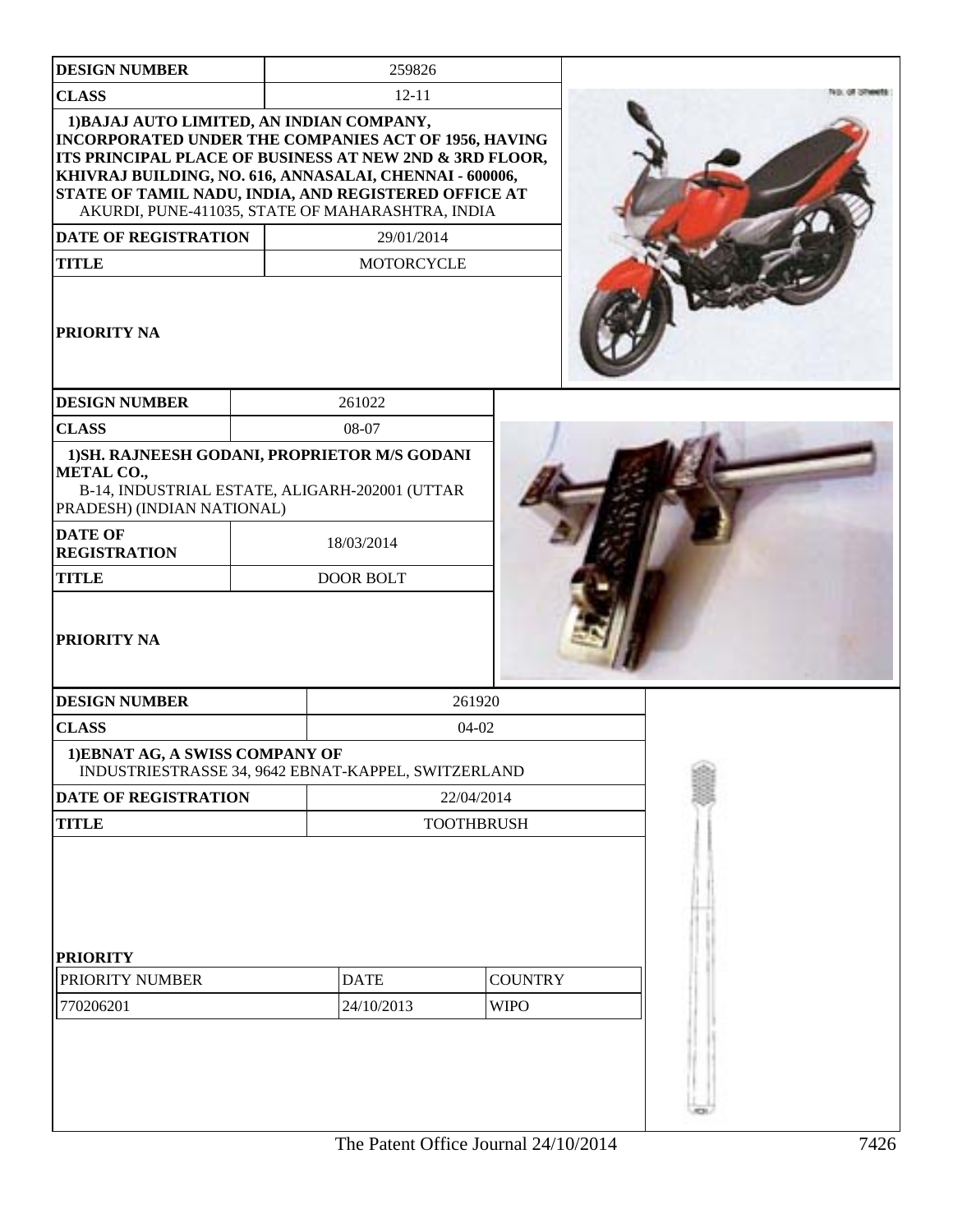| <b>DESIGN NUMBER</b>                  | 259826                                                                                                                                                                                                                                                                                                                              |                   |  |
|---------------------------------------|-------------------------------------------------------------------------------------------------------------------------------------------------------------------------------------------------------------------------------------------------------------------------------------------------------------------------------------|-------------------|--|
| <b>CLASS</b>                          | $12 - 11$                                                                                                                                                                                                                                                                                                                           |                   |  |
|                                       | 1) BAJAJ AUTO LIMITED, AN INDIAN COMPANY,<br>INCORPORATED UNDER THE COMPANIES ACT OF 1956, HAVING<br>ITS PRINCIPAL PLACE OF BUSINESS AT NEW 2ND & 3RD FLOOR,<br>KHIVRAJ BUILDING, NO. 616, ANNASALAI, CHENNAI - 600006,<br>STATE OF TAMIL NADU, INDIA, AND REGISTERED OFFICE AT<br>AKURDI, PUNE-411035, STATE OF MAHARASHTRA, INDIA |                   |  |
| <b>DATE OF REGISTRATION</b>           | 29/01/2014                                                                                                                                                                                                                                                                                                                          |                   |  |
| <b>TITLE</b>                          | <b>MOTORCYCLE</b>                                                                                                                                                                                                                                                                                                                   |                   |  |
| PRIORITY NA                           |                                                                                                                                                                                                                                                                                                                                     |                   |  |
| <b>DESIGN NUMBER</b>                  | 261022                                                                                                                                                                                                                                                                                                                              |                   |  |
| <b>CLASS</b>                          | 08-07                                                                                                                                                                                                                                                                                                                               |                   |  |
| METAL CO.,                            | 1) SH. RAJNEESH GODANI, PROPRIETOR M/S GODANI<br>B-14, INDUSTRIAL ESTATE, ALIGARH-202001 (UTTAR                                                                                                                                                                                                                                     |                   |  |
| PRADESH) (INDIAN NATIONAL)            |                                                                                                                                                                                                                                                                                                                                     |                   |  |
| <b>DATE OF</b><br><b>REGISTRATION</b> | 18/03/2014                                                                                                                                                                                                                                                                                                                          |                   |  |
| <b>TITLE</b>                          | <b>DOOR BOLT</b>                                                                                                                                                                                                                                                                                                                    |                   |  |
| PRIORITY NA                           |                                                                                                                                                                                                                                                                                                                                     |                   |  |
| <b>DESIGN NUMBER</b>                  |                                                                                                                                                                                                                                                                                                                                     | 261920            |  |
| <b>CLASS</b>                          |                                                                                                                                                                                                                                                                                                                                     | $04-02$           |  |
| 1) EBNAT AG, A SWISS COMPANY OF       | INDUSTRIESTRASSE 34, 9642 EBNAT-KAPPEL, SWITZERLAND                                                                                                                                                                                                                                                                                 |                   |  |
| DATE OF REGISTRATION                  |                                                                                                                                                                                                                                                                                                                                     | 22/04/2014        |  |
| <b>TITLE</b>                          |                                                                                                                                                                                                                                                                                                                                     | <b>TOOTHBRUSH</b> |  |
| <b>PRIORITY</b>                       |                                                                                                                                                                                                                                                                                                                                     |                   |  |
| PRIORITY NUMBER                       | <b>DATE</b>                                                                                                                                                                                                                                                                                                                         | <b>COUNTRY</b>    |  |
| 770206201                             | 24/10/2013                                                                                                                                                                                                                                                                                                                          | <b>WIPO</b>       |  |
|                                       |                                                                                                                                                                                                                                                                                                                                     |                   |  |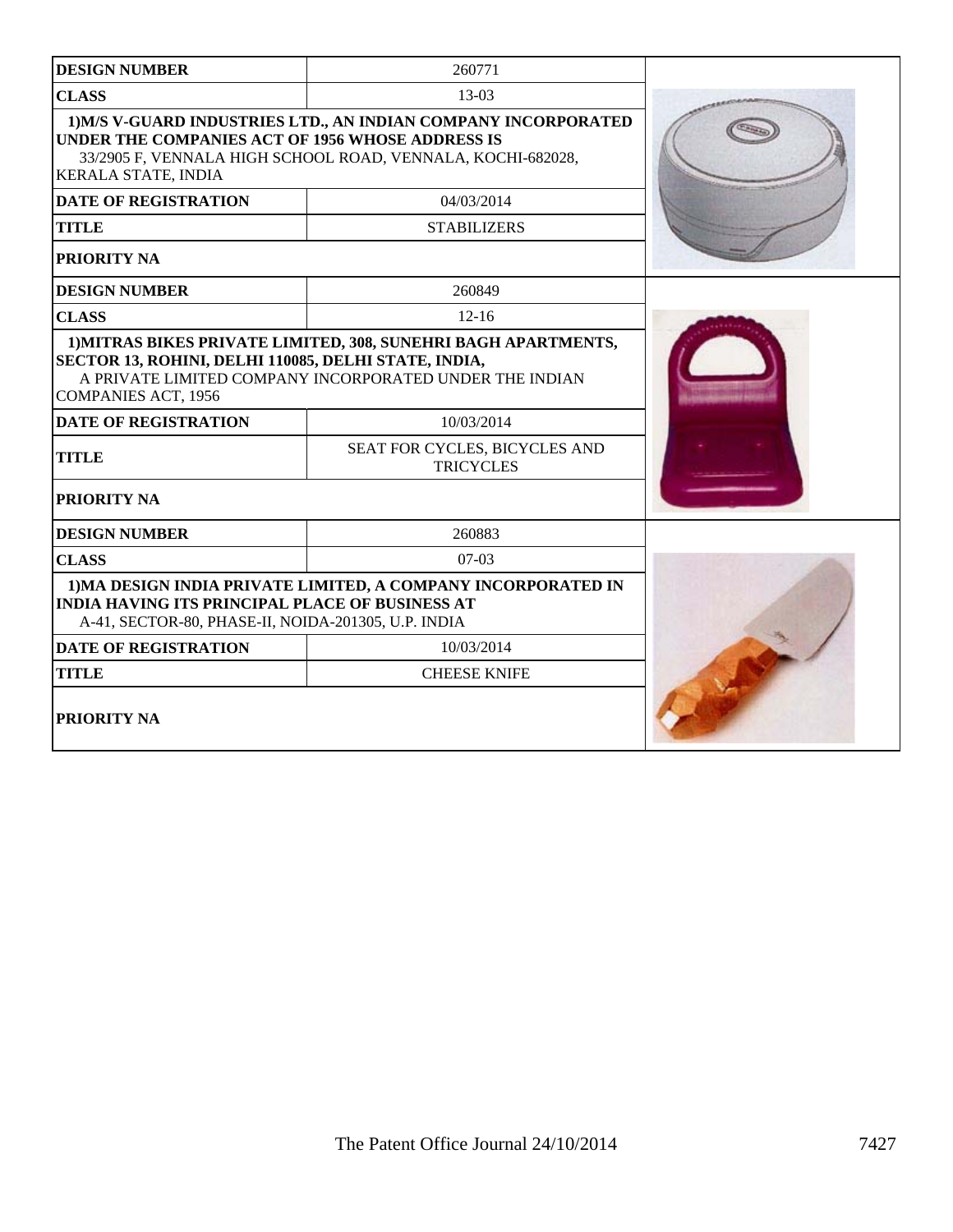| <b>DESIGN NUMBER</b>                                                                                                                                    | 260771                                                                                                                                                                                       |  |
|---------------------------------------------------------------------------------------------------------------------------------------------------------|----------------------------------------------------------------------------------------------------------------------------------------------------------------------------------------------|--|
| <b>CLASS</b>                                                                                                                                            | 13-03                                                                                                                                                                                        |  |
| UNDER THE COMPANIES ACT OF 1956 WHOSE ADDRESS IS<br>KERALA STATE, INDIA                                                                                 | 1) M/S V-GUARD INDUSTRIES LTD., AN INDIAN COMPANY INCORPORATED<br>33/2905 F, VENNALA HIGH SCHOOL ROAD, VENNALA, KOCHI-682028,                                                                |  |
| <b>DATE OF REGISTRATION</b>                                                                                                                             | 04/03/2014                                                                                                                                                                                   |  |
| <b>TITLE</b>                                                                                                                                            | <b>STABILIZERS</b>                                                                                                                                                                           |  |
| PRIORITY NA                                                                                                                                             |                                                                                                                                                                                              |  |
| <b>DESIGN NUMBER</b>                                                                                                                                    | 260849                                                                                                                                                                                       |  |
| <b>CLASS</b>                                                                                                                                            | $12 - 16$                                                                                                                                                                                    |  |
| SECTOR 13, ROHINI, DELHI 110085, DELHI STATE, INDIA,<br><b>COMPANIES ACT, 1956</b><br><b>DATE OF REGISTRATION</b><br><b>TITLE</b><br><b>PRIORITY NA</b> | 1) MITRAS BIKES PRIVATE LIMITED, 308, SUNEHRI BAGH APARTMENTS,<br>A PRIVATE LIMITED COMPANY INCORPORATED UNDER THE INDIAN<br>10/03/2014<br>SEAT FOR CYCLES, BICYCLES AND<br><b>TRICYCLES</b> |  |
| <b>DESIGN NUMBER</b>                                                                                                                                    | 260883                                                                                                                                                                                       |  |
| <b>CLASS</b>                                                                                                                                            | $07-03$                                                                                                                                                                                      |  |
| <b>INDIA HAVING ITS PRINCIPAL PLACE OF BUSINESS AT</b><br>A-41, SECTOR-80, PHASE-II, NOIDA-201305, U.P. INDIA                                           | 1) MA DESIGN INDIA PRIVATE LIMITED, A COMPANY INCORPORATED IN                                                                                                                                |  |
| <b>DATE OF REGISTRATION</b>                                                                                                                             | 10/03/2014                                                                                                                                                                                   |  |
| <b>TITLE</b>                                                                                                                                            | <b>CHEESE KNIFE</b>                                                                                                                                                                          |  |
| <b>PRIORITY NA</b>                                                                                                                                      |                                                                                                                                                                                              |  |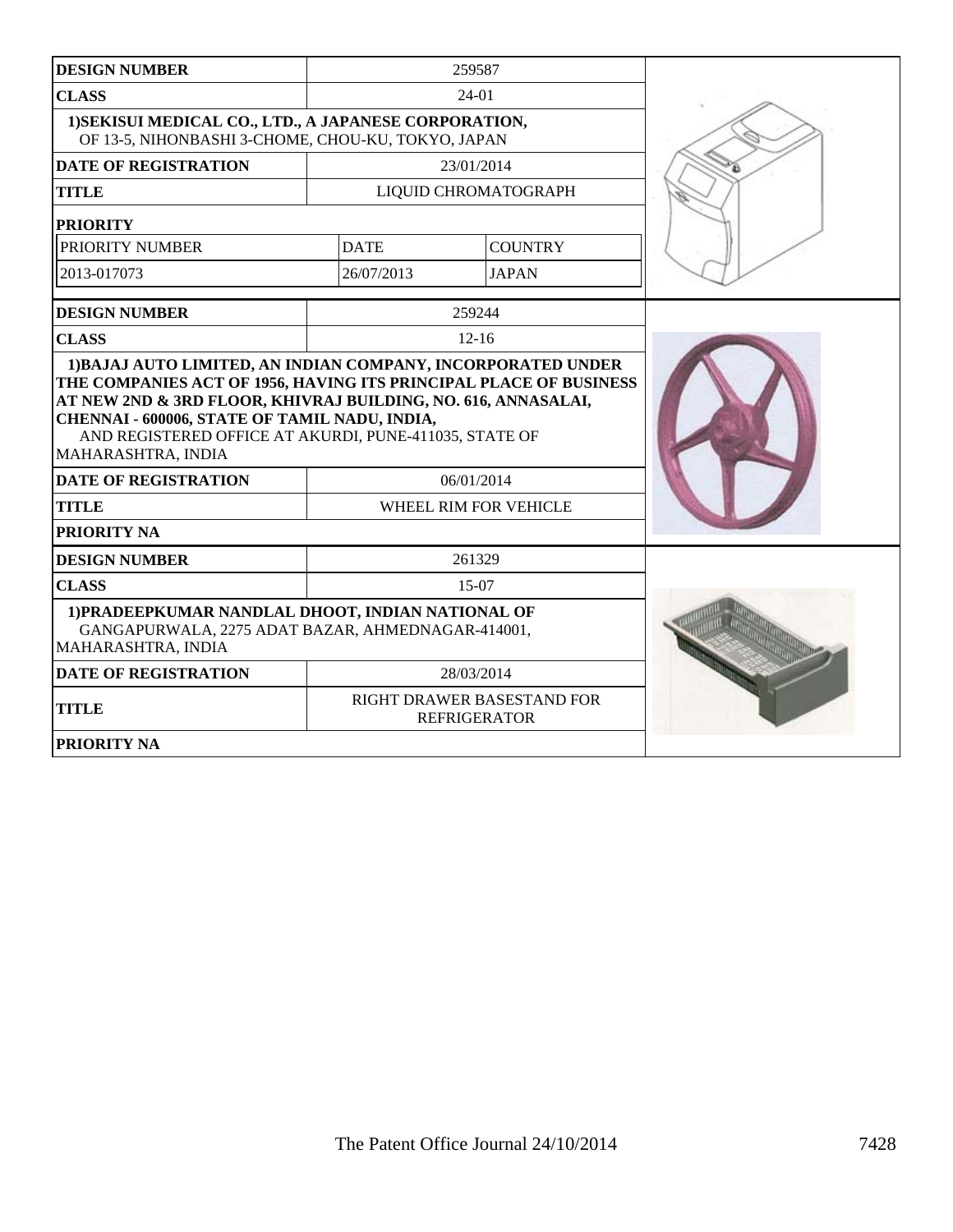| <b>DESIGN NUMBER</b>                                                                                                                                                                           |                       | 259587                                            |  |
|------------------------------------------------------------------------------------------------------------------------------------------------------------------------------------------------|-----------------------|---------------------------------------------------|--|
| <b>CLASS</b>                                                                                                                                                                                   |                       | 24-01                                             |  |
| 1) SEKISUI MEDICAL CO., LTD., A JAPANESE CORPORATION,<br>OF 13-5, NIHONBASHI 3-CHOME, CHOU-KU, TOKYO, JAPAN                                                                                    |                       |                                                   |  |
| <b>DATE OF REGISTRATION</b>                                                                                                                                                                    |                       | 23/01/2014                                        |  |
| <b>TITLE</b>                                                                                                                                                                                   |                       | LIQUID CHROMATOGRAPH                              |  |
| <b>PRIORITY</b>                                                                                                                                                                                |                       |                                                   |  |
| PRIORITY NUMBER                                                                                                                                                                                | <b>DATE</b>           | <b>COUNTRY</b>                                    |  |
| 2013-017073                                                                                                                                                                                    | 26/07/2013            | <b>JAPAN</b>                                      |  |
| <b>DESIGN NUMBER</b>                                                                                                                                                                           |                       | 259244                                            |  |
| <b>CLASS</b>                                                                                                                                                                                   |                       | $12 - 16$                                         |  |
| AT NEW 2ND & 3RD FLOOR, KHIVRAJ BUILDING, NO. 616, ANNASALAI,<br>CHENNAI - 600006, STATE OF TAMIL NADU, INDIA,<br>AND REGISTERED OFFICE AT AKURDI, PUNE-411035, STATE OF<br>MAHARASHTRA, INDIA |                       |                                                   |  |
| <b>DATE OF REGISTRATION</b>                                                                                                                                                                    | 06/01/2014            |                                                   |  |
| <b>TITLE</b>                                                                                                                                                                                   | WHEEL RIM FOR VEHICLE |                                                   |  |
| PRIORITY NA                                                                                                                                                                                    |                       |                                                   |  |
| <b>DESIGN NUMBER</b>                                                                                                                                                                           |                       | 261329                                            |  |
| <b>CLASS</b>                                                                                                                                                                                   |                       | 15-07                                             |  |
| 1) PRADEEPKUMAR NANDLAL DHOOT, INDIAN NATIONAL OF<br>GANGAPURWALA, 2275 ADAT BAZAR, AHMEDNAGAR-414001,<br>MAHARASHTRA, INDIA                                                                   |                       |                                                   |  |
| <b>DATE OF REGISTRATION</b>                                                                                                                                                                    |                       | 28/03/2014                                        |  |
| <b>TITLE</b>                                                                                                                                                                                   |                       | RIGHT DRAWER BASESTAND FOR<br><b>REFRIGERATOR</b> |  |
| <b>PRIORITY NA</b>                                                                                                                                                                             |                       |                                                   |  |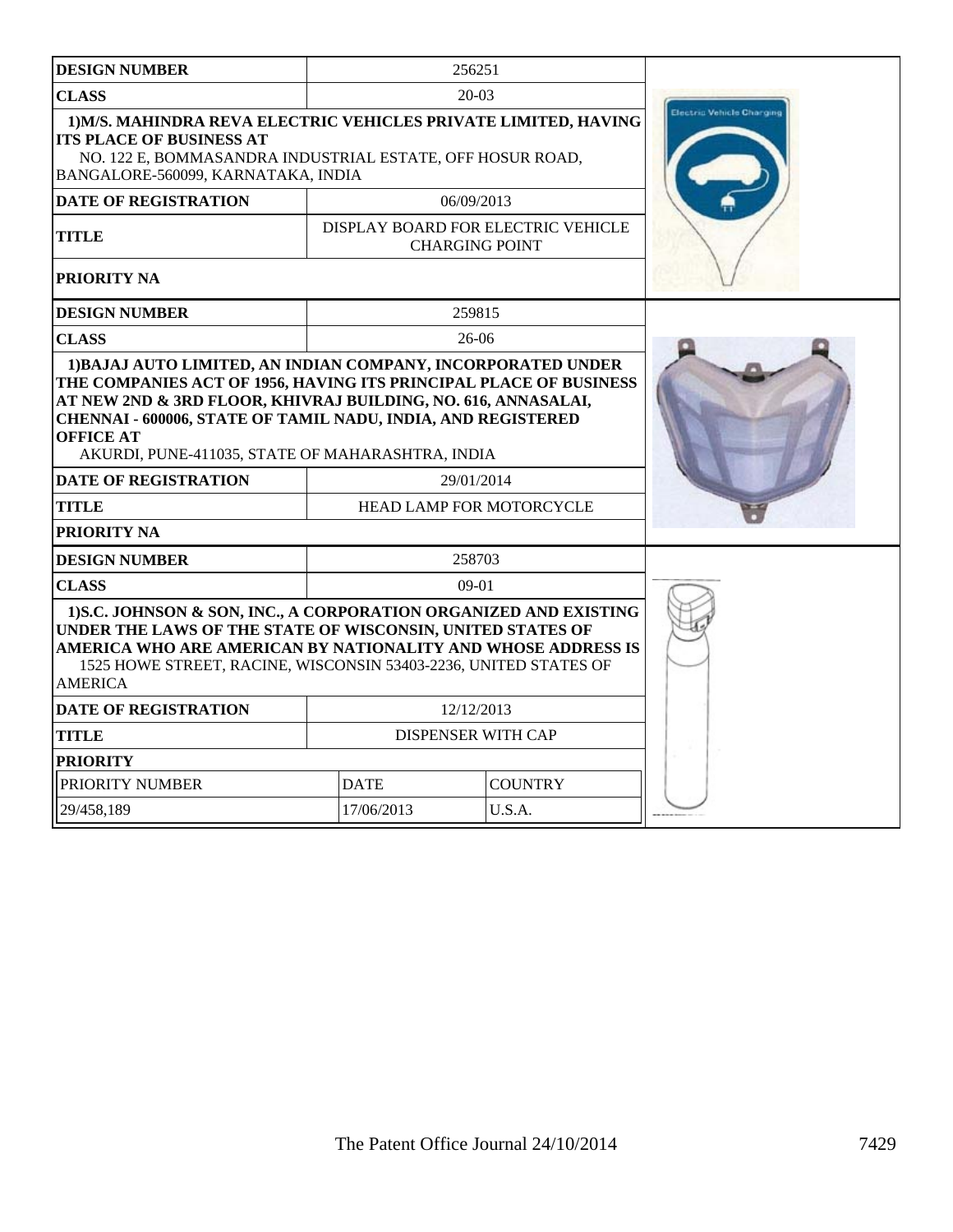| <b>DESIGN NUMBER</b>                                                                                                                                                                                                                                                                  |                                 | 256251                                                      |  |
|---------------------------------------------------------------------------------------------------------------------------------------------------------------------------------------------------------------------------------------------------------------------------------------|---------------------------------|-------------------------------------------------------------|--|
| <b>CLASS</b>                                                                                                                                                                                                                                                                          |                                 | $20-03$                                                     |  |
| 1) M/S. MAHINDRA REVA ELECTRIC VEHICLES PRIVATE LIMITED, HAVING<br><b>ITS PLACE OF BUSINESS AT</b><br>NO. 122 E, BOMMASANDRA INDUSTRIAL ESTATE, OFF HOSUR ROAD,<br>BANGALORE-560099, KARNATAKA, INDIA                                                                                 | Electric Vehicle Charging       |                                                             |  |
| <b>DATE OF REGISTRATION</b>                                                                                                                                                                                                                                                           |                                 | 06/09/2013                                                  |  |
| TITLE                                                                                                                                                                                                                                                                                 |                                 | DISPLAY BOARD FOR ELECTRIC VEHICLE<br><b>CHARGING POINT</b> |  |
| <b>PRIORITY NA</b>                                                                                                                                                                                                                                                                    |                                 |                                                             |  |
| <b>DESIGN NUMBER</b>                                                                                                                                                                                                                                                                  |                                 | 259815                                                      |  |
| <b>CLASS</b>                                                                                                                                                                                                                                                                          |                                 | $26-06$                                                     |  |
| AT NEW 2ND & 3RD FLOOR, KHIVRAJ BUILDING, NO. 616, ANNASALAI,<br><b>CHENNAI - 600006, STATE OF TAMIL NADU, INDIA, AND REGISTERED</b><br><b>OFFICE AT</b><br>AKURDI, PUNE-411035, STATE OF MAHARASHTRA, INDIA                                                                          |                                 |                                                             |  |
| <b>DATE OF REGISTRATION</b>                                                                                                                                                                                                                                                           |                                 | 29/01/2014                                                  |  |
| <b>TITLE</b>                                                                                                                                                                                                                                                                          | <b>HEAD LAMP FOR MOTORCYCLE</b> |                                                             |  |
| <b>PRIORITY NA</b>                                                                                                                                                                                                                                                                    |                                 |                                                             |  |
| <b>DESIGN NUMBER</b>                                                                                                                                                                                                                                                                  |                                 | 258703                                                      |  |
| <b>CLASS</b>                                                                                                                                                                                                                                                                          |                                 | $09-01$                                                     |  |
| 1) S.C. JOHNSON & SON, INC., A CORPORATION ORGANIZED AND EXISTING<br>UNDER THE LAWS OF THE STATE OF WISCONSIN, UNITED STATES OF<br>AMERICA WHO ARE AMERICAN BY NATIONALITY AND WHOSE ADDRESS IS<br>1525 HOWE STREET, RACINE, WISCONSIN 53403-2236, UNITED STATES OF<br><b>AMERICA</b> |                                 |                                                             |  |
| <b>DATE OF REGISTRATION</b>                                                                                                                                                                                                                                                           |                                 | 12/12/2013                                                  |  |
| <b>TITLE</b>                                                                                                                                                                                                                                                                          | <b>DISPENSER WITH CAP</b>       |                                                             |  |
| <b>PRIORITY</b>                                                                                                                                                                                                                                                                       |                                 |                                                             |  |
| PRIORITY NUMBER                                                                                                                                                                                                                                                                       | <b>DATE</b><br><b>COUNTRY</b>   |                                                             |  |
| 29/458,189                                                                                                                                                                                                                                                                            | 17/06/2013                      | U.S.A.                                                      |  |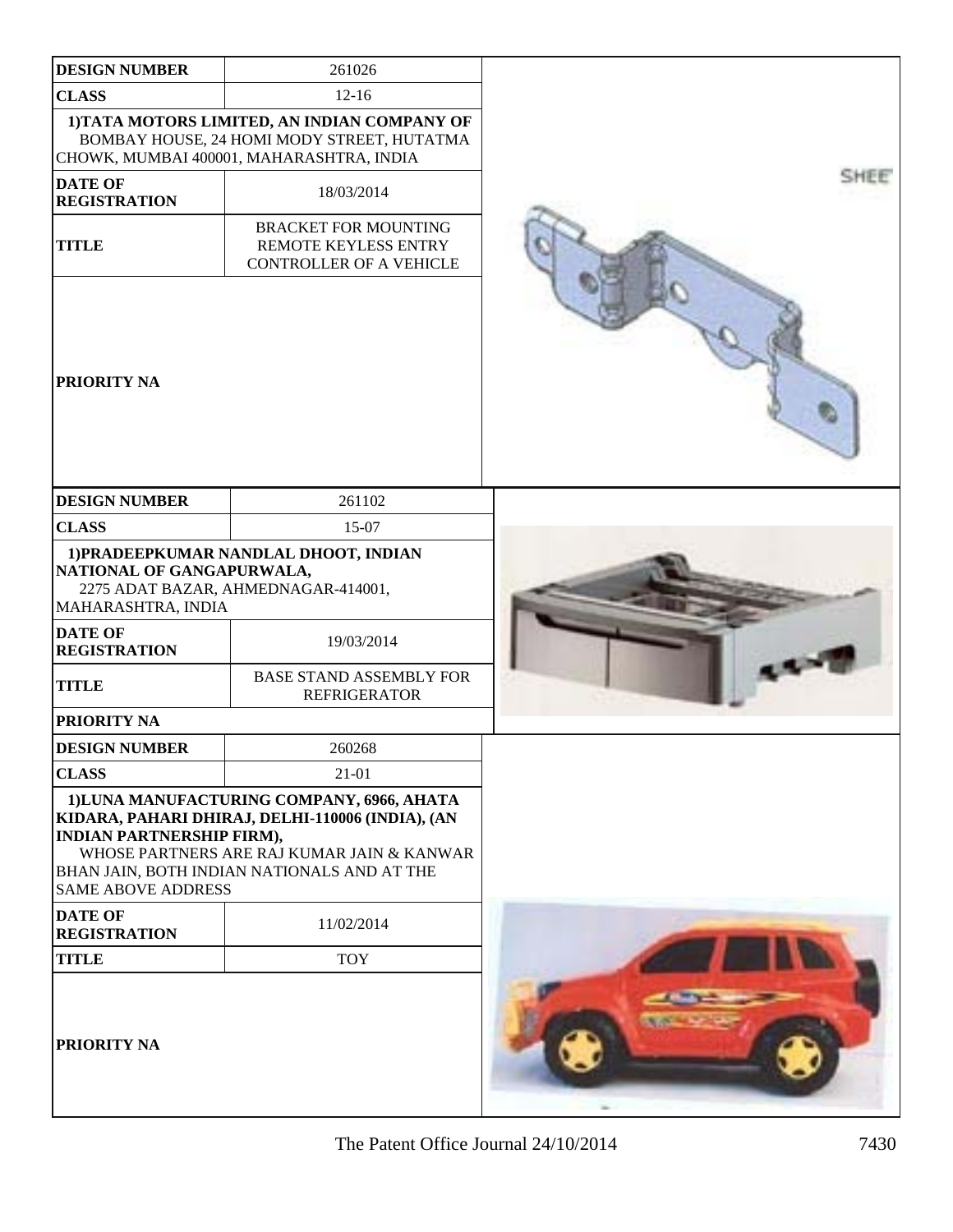| <b>DESIGN NUMBER</b>                                                                                     | 261026                                                                                                                                                                                      |      |
|----------------------------------------------------------------------------------------------------------|---------------------------------------------------------------------------------------------------------------------------------------------------------------------------------------------|------|
| <b>CLASS</b>                                                                                             | $12 - 16$                                                                                                                                                                                   |      |
|                                                                                                          | 1) TATA MOTORS LIMITED, AN INDIAN COMPANY OF<br>BOMBAY HOUSE, 24 HOMI MODY STREET, HUTATMA<br>CHOWK, MUMBAI 400001, MAHARASHTRA, INDIA                                                      |      |
| <b>DATE OF</b><br><b>REGISTRATION</b>                                                                    | 18/03/2014                                                                                                                                                                                  | SHEE |
| <b>TITLE</b>                                                                                             | <b>BRACKET FOR MOUNTING</b><br>REMOTE KEYLESS ENTRY<br><b>CONTROLLER OF A VEHICLE</b>                                                                                                       |      |
| <b>PRIORITY NA</b>                                                                                       |                                                                                                                                                                                             |      |
| <b>DESIGN NUMBER</b>                                                                                     | 261102                                                                                                                                                                                      |      |
| <b>CLASS</b>                                                                                             | 15-07                                                                                                                                                                                       |      |
| NATIONAL OF GANGAPURWALA,<br>MAHARASHTRA, INDIA<br><b>DATE OF</b><br><b>REGISTRATION</b><br><b>TITLE</b> | 1) PRADEEPKUMAR NANDLAL DHOOT, INDIAN<br>2275 ADAT BAZAR, AHMEDNAGAR-414001,<br>19/03/2014<br><b>BASE STAND ASSEMBLY FOR</b><br><b>REFRIGERATOR</b>                                         |      |
| PRIORITY NA                                                                                              |                                                                                                                                                                                             |      |
| <b>DESIGN NUMBER</b>                                                                                     | 260268                                                                                                                                                                                      |      |
| <b>CLASS</b>                                                                                             | 21-01                                                                                                                                                                                       |      |
| <b>INDIAN PARTNERSHIP FIRM),</b><br><b>SAME ABOVE ADDRESS</b>                                            | 1) LUNA MANUFACTURING COMPANY, 6966, AHATA<br>KIDARA, PAHARI DHIRAJ, DELHI-110006 (INDIA), (AN<br>WHOSE PARTNERS ARE RAJ KUMAR JAIN & KANWAR<br>BHAN JAIN, BOTH INDIAN NATIONALS AND AT THE |      |
| <b>DATE OF</b><br><b>REGISTRATION</b>                                                                    | 11/02/2014                                                                                                                                                                                  |      |
| <b>TITLE</b>                                                                                             | <b>TOY</b>                                                                                                                                                                                  |      |
| <b>PRIORITY NA</b>                                                                                       |                                                                                                                                                                                             |      |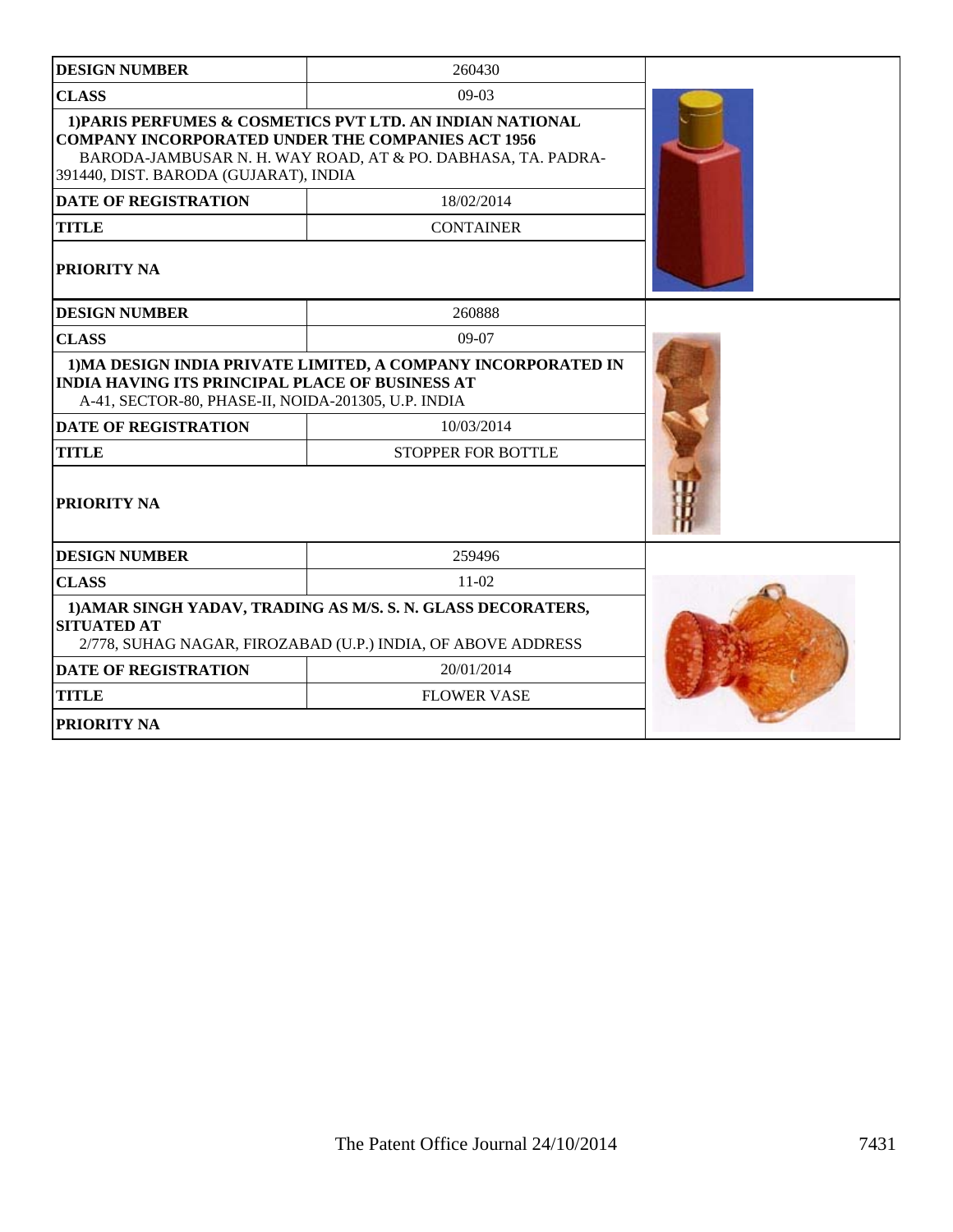| <b>DESIGN NUMBER</b>                                                                                          | 260430                                                                                                                       |  |
|---------------------------------------------------------------------------------------------------------------|------------------------------------------------------------------------------------------------------------------------------|--|
| <b>CLASS</b>                                                                                                  | $09-03$                                                                                                                      |  |
| <b>COMPANY INCORPORATED UNDER THE COMPANIES ACT 1956</b><br>391440, DIST. BARODA (GUJARAT), INDIA             | 1) PARIS PERFUMES & COSMETICS PVT LTD. AN INDIAN NATIONAL<br>BARODA-JAMBUSAR N. H. WAY ROAD, AT & PO. DABHASA, TA. PADRA-    |  |
| <b>DATE OF REGISTRATION</b>                                                                                   | 18/02/2014                                                                                                                   |  |
| <b>TITLE</b>                                                                                                  | <b>CONTAINER</b>                                                                                                             |  |
| PRIORITY NA                                                                                                   |                                                                                                                              |  |
| <b>DESIGN NUMBER</b>                                                                                          | 260888                                                                                                                       |  |
| <b>CLASS</b>                                                                                                  | $09-07$                                                                                                                      |  |
| <b>INDIA HAVING ITS PRINCIPAL PLACE OF BUSINESS AT</b><br>A-41, SECTOR-80, PHASE-II, NOIDA-201305, U.P. INDIA | 1) MA DESIGN INDIA PRIVATE LIMITED, A COMPANY INCORPORATED IN                                                                |  |
| <b>DATE OF REGISTRATION</b>                                                                                   |                                                                                                                              |  |
| <b>TITLE</b>                                                                                                  |                                                                                                                              |  |
| PRIORITY NA                                                                                                   |                                                                                                                              |  |
| <b>DESIGN NUMBER</b>                                                                                          | 259496                                                                                                                       |  |
| <b>CLASS</b>                                                                                                  | $11-02$                                                                                                                      |  |
| <b>SITUATED AT</b>                                                                                            | 1) AMAR SINGH YADAV, TRADING AS M/S. S. N. GLASS DECORATERS,<br>2/778, SUHAG NAGAR, FIROZABAD (U.P.) INDIA, OF ABOVE ADDRESS |  |
| <b>DATE OF REGISTRATION</b>                                                                                   | 20/01/2014                                                                                                                   |  |
| <b>TITLE</b>                                                                                                  | <b>FLOWER VASE</b>                                                                                                           |  |
| PRIORITY NA                                                                                                   |                                                                                                                              |  |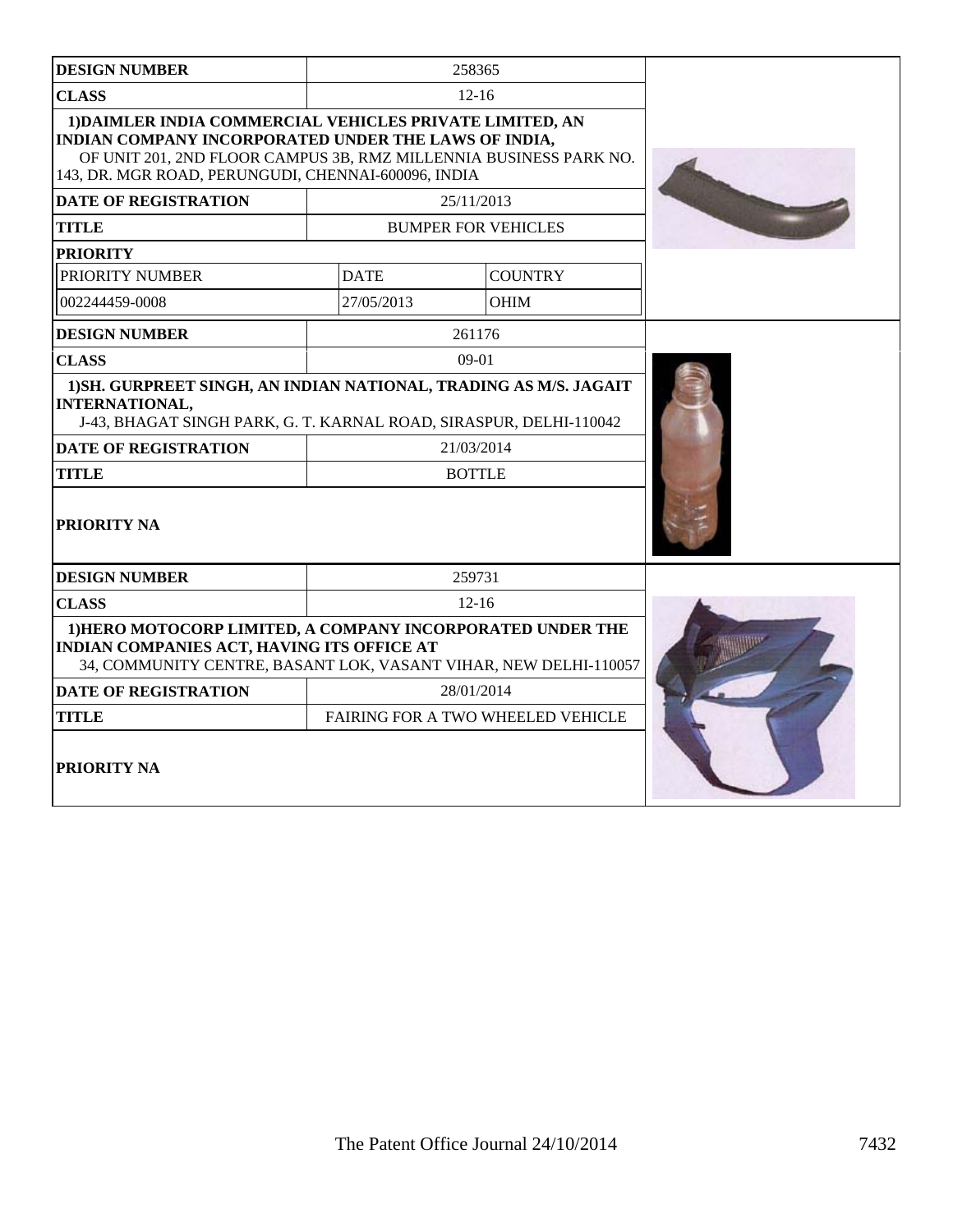| <b>DESIGN NUMBER</b>                                                                                                                                                                                                                         |                                                                                                                                                                        | 258365                            |  |  |
|----------------------------------------------------------------------------------------------------------------------------------------------------------------------------------------------------------------------------------------------|------------------------------------------------------------------------------------------------------------------------------------------------------------------------|-----------------------------------|--|--|
| <b>CLASS</b>                                                                                                                                                                                                                                 |                                                                                                                                                                        | $12 - 16$                         |  |  |
| 1) DAIMLER INDIA COMMERCIAL VEHICLES PRIVATE LIMITED, AN<br>INDIAN COMPANY INCORPORATED UNDER THE LAWS OF INDIA,<br>OF UNIT 201, 2ND FLOOR CAMPUS 3B, RMZ MILLENNIA BUSINESS PARK NO.<br>143, DR. MGR ROAD, PERUNGUDI, CHENNAI-600096, INDIA |                                                                                                                                                                        |                                   |  |  |
| <b>DATE OF REGISTRATION</b>                                                                                                                                                                                                                  |                                                                                                                                                                        | 25/11/2013                        |  |  |
| <b>TITLE</b>                                                                                                                                                                                                                                 |                                                                                                                                                                        | <b>BUMPER FOR VEHICLES</b>        |  |  |
| <b>PRIORITY</b>                                                                                                                                                                                                                              |                                                                                                                                                                        |                                   |  |  |
| PRIORITY NUMBER                                                                                                                                                                                                                              | <b>DATE</b>                                                                                                                                                            | <b>COUNTRY</b>                    |  |  |
| 002244459-0008                                                                                                                                                                                                                               | 27/05/2013                                                                                                                                                             | <b>OHIM</b>                       |  |  |
| <b>DESIGN NUMBER</b>                                                                                                                                                                                                                         |                                                                                                                                                                        | 261176                            |  |  |
| <b>CLASS</b>                                                                                                                                                                                                                                 |                                                                                                                                                                        | $09-01$                           |  |  |
| <b>INTERNATIONAL,</b><br><b>DATE OF REGISTRATION</b><br><b>TITLE</b>                                                                                                                                                                         | 1) SH. GURPREET SINGH, AN INDIAN NATIONAL, TRADING AS M/S. JAGAIT<br>J-43, BHAGAT SINGH PARK, G. T. KARNAL ROAD, SIRASPUR, DELHI-110042<br>21/03/2014<br><b>BOTTLE</b> |                                   |  |  |
| PRIORITY NA                                                                                                                                                                                                                                  |                                                                                                                                                                        |                                   |  |  |
| <b>DESIGN NUMBER</b>                                                                                                                                                                                                                         |                                                                                                                                                                        | 259731                            |  |  |
| <b>CLASS</b>                                                                                                                                                                                                                                 | $12 - 16$                                                                                                                                                              |                                   |  |  |
| 1) HERO MOTOCORP LIMITED, A COMPANY INCORPORATED UNDER THE<br>INDIAN COMPANIES ACT, HAVING ITS OFFICE AT<br>34, COMMUNITY CENTRE, BASANT LOK, VASANT VIHAR, NEW DELHI-110057                                                                 |                                                                                                                                                                        |                                   |  |  |
| <b>DATE OF REGISTRATION</b>                                                                                                                                                                                                                  |                                                                                                                                                                        | 28/01/2014                        |  |  |
| <b>TITLE</b>                                                                                                                                                                                                                                 |                                                                                                                                                                        | FAIRING FOR A TWO WHEELED VEHICLE |  |  |
| <b>PRIORITY NA</b>                                                                                                                                                                                                                           |                                                                                                                                                                        |                                   |  |  |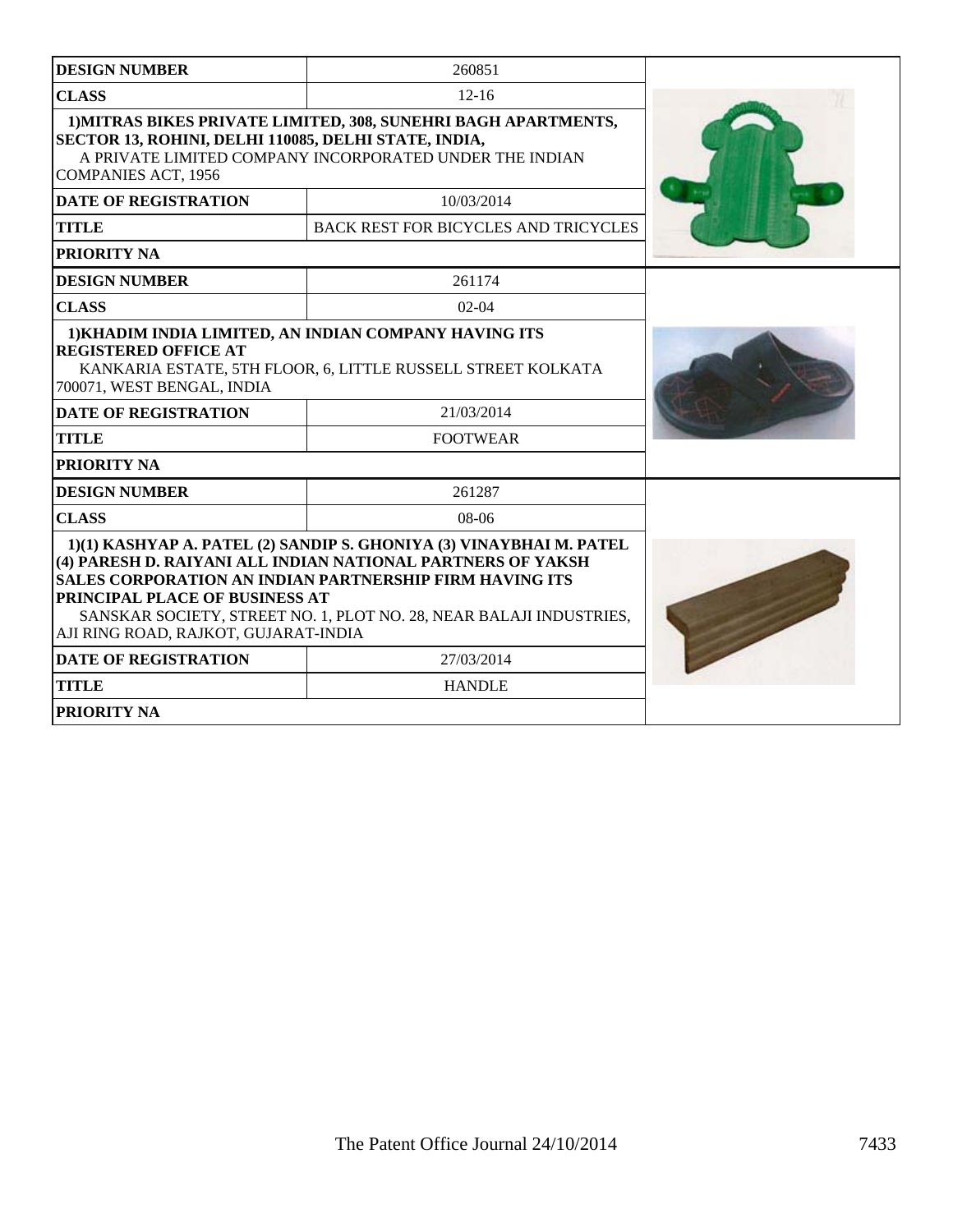| <b>DESIGN NUMBER</b>                                                                                                                                                                                                                                                                                                                                  | 260851                                                                                                                    |  |
|-------------------------------------------------------------------------------------------------------------------------------------------------------------------------------------------------------------------------------------------------------------------------------------------------------------------------------------------------------|---------------------------------------------------------------------------------------------------------------------------|--|
| <b>CLASS</b>                                                                                                                                                                                                                                                                                                                                          | $12 - 16$                                                                                                                 |  |
| SECTOR 13, ROHINI, DELHI 110085, DELHI STATE, INDIA,<br><b>COMPANIES ACT, 1956</b>                                                                                                                                                                                                                                                                    | 1) MITRAS BIKES PRIVATE LIMITED, 308, SUNEHRI BAGH APARTMENTS,<br>A PRIVATE LIMITED COMPANY INCORPORATED UNDER THE INDIAN |  |
| <b>DATE OF REGISTRATION</b>                                                                                                                                                                                                                                                                                                                           | 10/03/2014                                                                                                                |  |
| <b>TITLE</b>                                                                                                                                                                                                                                                                                                                                          | <b>BACK REST FOR BICYCLES AND TRICYCLES</b>                                                                               |  |
| PRIORITY NA                                                                                                                                                                                                                                                                                                                                           |                                                                                                                           |  |
| <b>DESIGN NUMBER</b>                                                                                                                                                                                                                                                                                                                                  | 261174                                                                                                                    |  |
| <b>CLASS</b>                                                                                                                                                                                                                                                                                                                                          | $02-04$                                                                                                                   |  |
| 1) KHADIM INDIA LIMITED, AN INDIAN COMPANY HAVING ITS<br><b>REGISTERED OFFICE AT</b><br>KANKARIA ESTATE, 5TH FLOOR, 6, LITTLE RUSSELL STREET KOLKATA<br>700071, WEST BENGAL, INDIA<br><b>DATE OF REGISTRATION</b><br><b>TITLE</b>                                                                                                                     |                                                                                                                           |  |
| <b>PRIORITY NA</b>                                                                                                                                                                                                                                                                                                                                    |                                                                                                                           |  |
| <b>DESIGN NUMBER</b>                                                                                                                                                                                                                                                                                                                                  | 261287                                                                                                                    |  |
| <b>CLASS</b>                                                                                                                                                                                                                                                                                                                                          | $08-06$                                                                                                                   |  |
| 1)(1) KASHYAP A. PATEL (2) SANDIP S. GHONIYA (3) VINAYBHAI M. PATEL<br>(4) PARESH D. RAIYANI ALL INDIAN NATIONAL PARTNERS OF YAKSH<br><b>SALES CORPORATION AN INDIAN PARTNERSHIP FIRM HAVING ITS</b><br>PRINCIPAL PLACE OF BUSINESS AT<br>SANSKAR SOCIETY, STREET NO. 1, PLOT NO. 28, NEAR BALAJI INDUSTRIES,<br>AJI RING ROAD, RAJKOT, GUJARAT-INDIA |                                                                                                                           |  |
| <b>DATE OF REGISTRATION</b>                                                                                                                                                                                                                                                                                                                           | 27/03/2014                                                                                                                |  |
| <b>TITLE</b>                                                                                                                                                                                                                                                                                                                                          | <b>HANDLE</b>                                                                                                             |  |
| <b>PRIORITY NA</b>                                                                                                                                                                                                                                                                                                                                    |                                                                                                                           |  |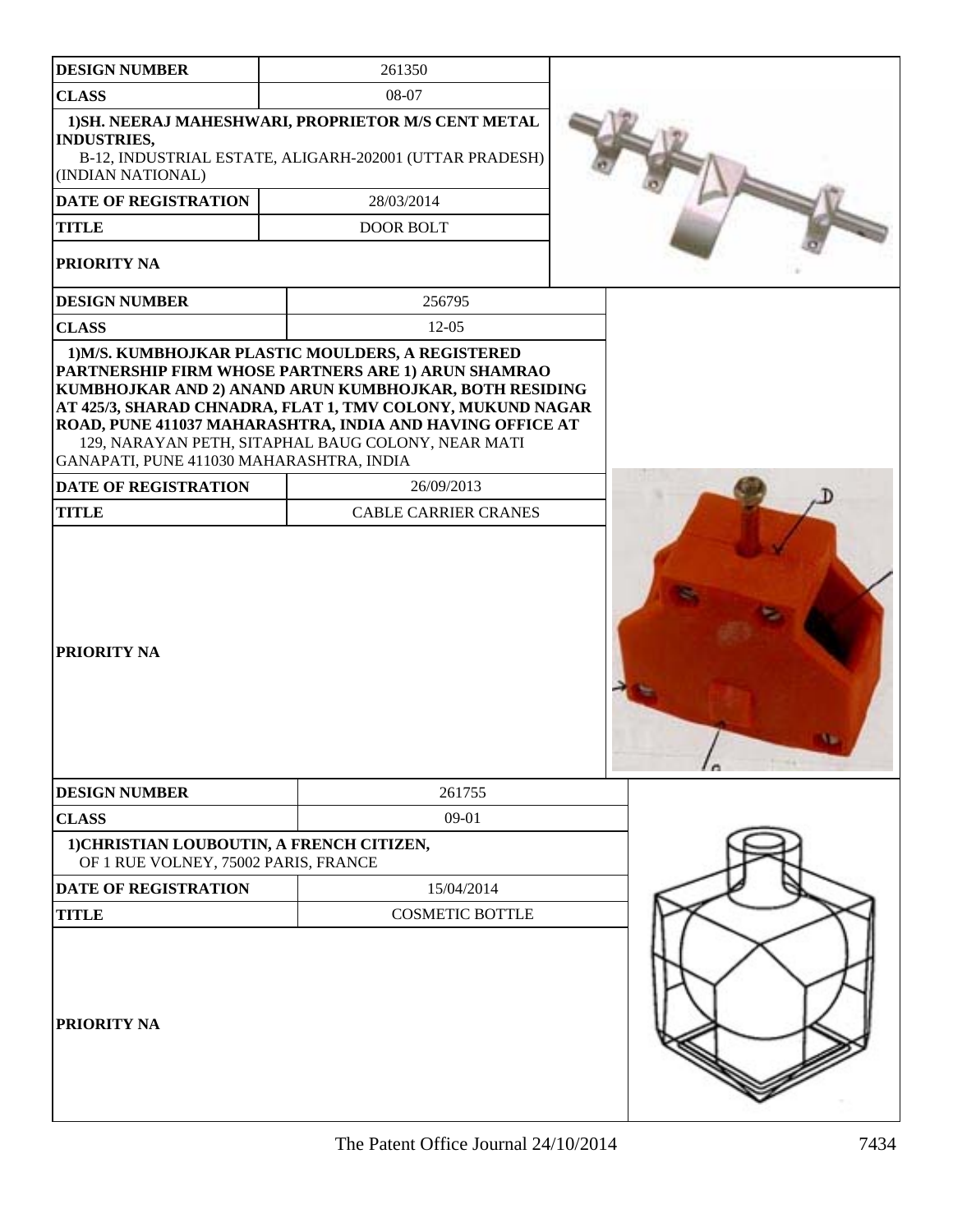| <b>DESIGN NUMBER</b>                                                              | 261350                                                                                                                                                                                                                                                                                                                                              |  |
|-----------------------------------------------------------------------------------|-----------------------------------------------------------------------------------------------------------------------------------------------------------------------------------------------------------------------------------------------------------------------------------------------------------------------------------------------------|--|
| <b>CLASS</b>                                                                      | 08-07                                                                                                                                                                                                                                                                                                                                               |  |
| <b>INDUSTRIES,</b><br>(INDIAN NATIONAL)                                           | 1) SH. NEERAJ MAHESHWARI, PROPRIETOR M/S CENT METAL<br>B-12, INDUSTRIAL ESTATE, ALIGARH-202001 (UTTAR PRADESH)                                                                                                                                                                                                                                      |  |
| <b>DATE OF REGISTRATION</b>                                                       | 28/03/2014                                                                                                                                                                                                                                                                                                                                          |  |
| <b>TITLE</b>                                                                      | <b>DOOR BOLT</b>                                                                                                                                                                                                                                                                                                                                    |  |
| PRIORITY NA                                                                       |                                                                                                                                                                                                                                                                                                                                                     |  |
| <b>DESIGN NUMBER</b>                                                              | 256795                                                                                                                                                                                                                                                                                                                                              |  |
| <b>CLASS</b>                                                                      | $12-05$                                                                                                                                                                                                                                                                                                                                             |  |
| GANAPATI, PUNE 411030 MAHARASHTRA, INDIA                                          | 1) M/S. KUMBHOJKAR PLASTIC MOULDERS, A REGISTERED<br>PARTNERSHIP FIRM WHOSE PARTNERS ARE 1) ARUN SHAMRAO<br>KUMBHOJKAR AND 2) ANAND ARUN KUMBHOJKAR, BOTH RESIDING<br>AT 425/3, SHARAD CHNADRA, FLAT 1, TMV COLONY, MUKUND NAGAR<br>ROAD, PUNE 411037 MAHARASHTRA, INDIA AND HAVING OFFICE AT<br>129, NARAYAN PETH, SITAPHAL BAUG COLONY, NEAR MATI |  |
| DATE OF REGISTRATION                                                              | 26/09/2013                                                                                                                                                                                                                                                                                                                                          |  |
| <b>TITLE</b>                                                                      | <b>CABLE CARRIER CRANES</b>                                                                                                                                                                                                                                                                                                                         |  |
| PRIORITY NA                                                                       |                                                                                                                                                                                                                                                                                                                                                     |  |
| <b>DESIGN NUMBER</b>                                                              | 261755                                                                                                                                                                                                                                                                                                                                              |  |
| <b>CLASS</b>                                                                      | 09-01                                                                                                                                                                                                                                                                                                                                               |  |
| 1) CHRISTIAN LOUBOUTIN, A FRENCH CITIZEN,<br>OF 1 RUE VOLNEY, 75002 PARIS, FRANCE |                                                                                                                                                                                                                                                                                                                                                     |  |
| <b>DATE OF REGISTRATION</b>                                                       | 15/04/2014                                                                                                                                                                                                                                                                                                                                          |  |
| <b>TITLE</b>                                                                      | <b>COSMETIC BOTTLE</b>                                                                                                                                                                                                                                                                                                                              |  |
| PRIORITY NA                                                                       |                                                                                                                                                                                                                                                                                                                                                     |  |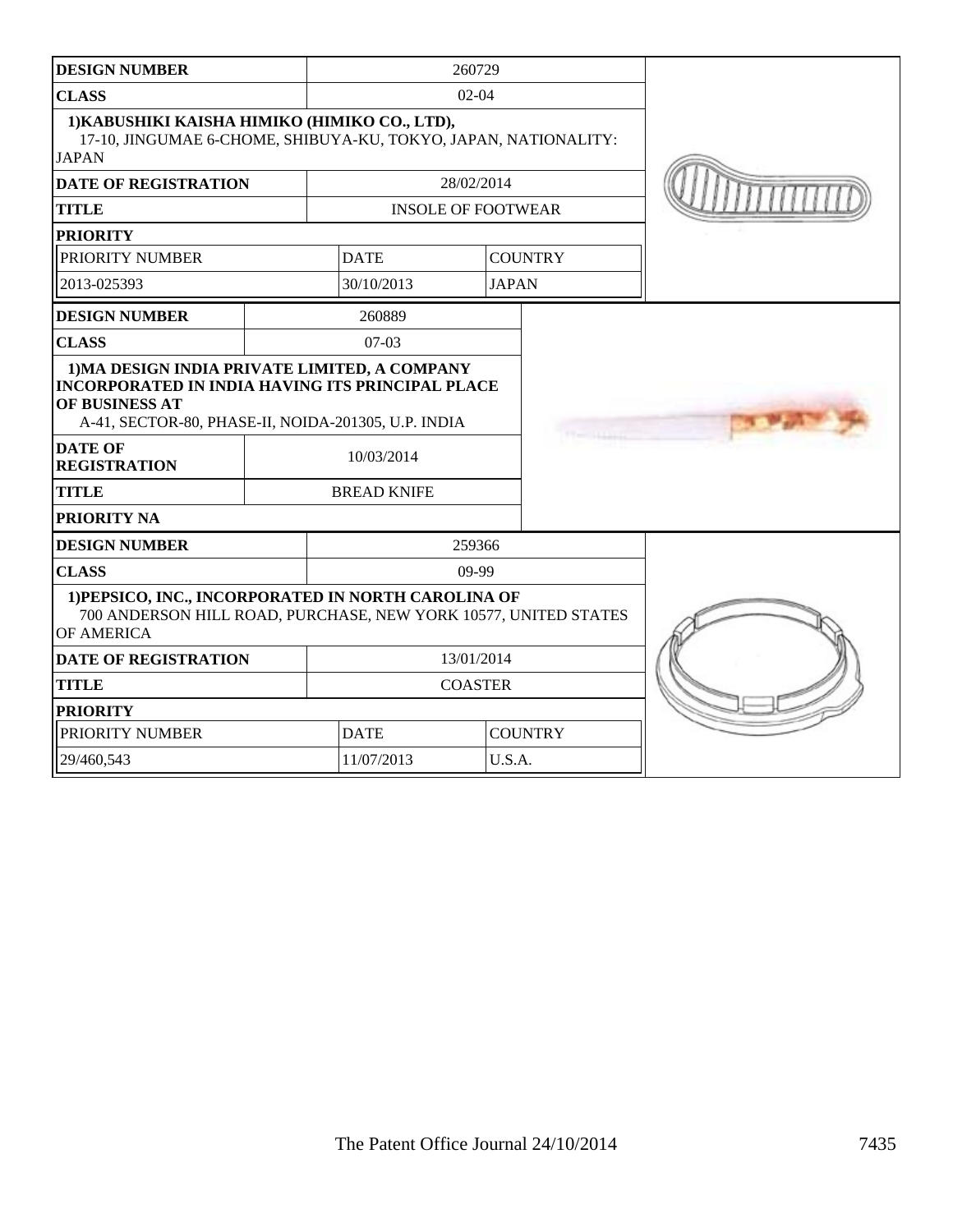| <b>DESIGN NUMBER</b>                                                                                                                                                              |                               |                    | 260729                    |                |  |
|-----------------------------------------------------------------------------------------------------------------------------------------------------------------------------------|-------------------------------|--------------------|---------------------------|----------------|--|
| <b>CLASS</b>                                                                                                                                                                      |                               | $02 - 04$          |                           |                |  |
| 1) KABUSHIKI KAISHA HIMIKO (HIMIKO CO., LTD),<br>17-10, JINGUMAE 6-CHOME, SHIBUYA-KU, TOKYO, JAPAN, NATIONALITY:<br><b>JAPAN</b>                                                  |                               |                    |                           |                |  |
| <b>DATE OF REGISTRATION</b>                                                                                                                                                       |                               |                    | 28/02/2014                |                |  |
| <b>TITLE</b>                                                                                                                                                                      |                               |                    | <b>INSOLE OF FOOTWEAR</b> |                |  |
| <b>PRIORITY</b>                                                                                                                                                                   |                               |                    |                           |                |  |
| PRIORITY NUMBER                                                                                                                                                                   |                               | <b>DATE</b>        |                           | <b>COUNTRY</b> |  |
| 2013-025393                                                                                                                                                                       |                               | 30/10/2013         | <b>JAPAN</b>              |                |  |
| <b>DESIGN NUMBER</b>                                                                                                                                                              |                               | 260889             |                           |                |  |
| <b>CLASS</b>                                                                                                                                                                      |                               | $07-03$            |                           |                |  |
| 1) MA DESIGN INDIA PRIVATE LIMITED, A COMPANY<br><b>INCORPORATED IN INDIA HAVING ITS PRINCIPAL PLACE</b><br>OF BUSINESS AT<br>A-41, SECTOR-80, PHASE-II, NOIDA-201305, U.P. INDIA |                               |                    |                           |                |  |
| <b>DATE OF</b><br><b>REGISTRATION</b>                                                                                                                                             |                               | 10/03/2014         |                           |                |  |
| <b>TITLE</b>                                                                                                                                                                      |                               | <b>BREAD KNIFE</b> |                           |                |  |
| PRIORITY NA                                                                                                                                                                       |                               |                    |                           |                |  |
| <b>DESIGN NUMBER</b>                                                                                                                                                              |                               |                    | 259366                    |                |  |
| <b>CLASS</b>                                                                                                                                                                      |                               |                    | $09-99$                   |                |  |
| 1) PEPSICO, INC., INCORPORATED IN NORTH CAROLINA OF<br>700 ANDERSON HILL ROAD, PURCHASE, NEW YORK 10577, UNITED STATES<br>OF AMERICA                                              |                               |                    |                           |                |  |
| <b>DATE OF REGISTRATION</b>                                                                                                                                                       |                               | 13/01/2014         |                           |                |  |
| <b>TITLE</b>                                                                                                                                                                      |                               | <b>COASTER</b>     |                           |                |  |
| <b>PRIORITY</b>                                                                                                                                                                   |                               |                    |                           |                |  |
| PRIORITY NUMBER                                                                                                                                                                   | <b>DATE</b><br><b>COUNTRY</b> |                    |                           |                |  |
| 29/460,543                                                                                                                                                                        | U.S.A.<br>11/07/2013          |                    |                           |                |  |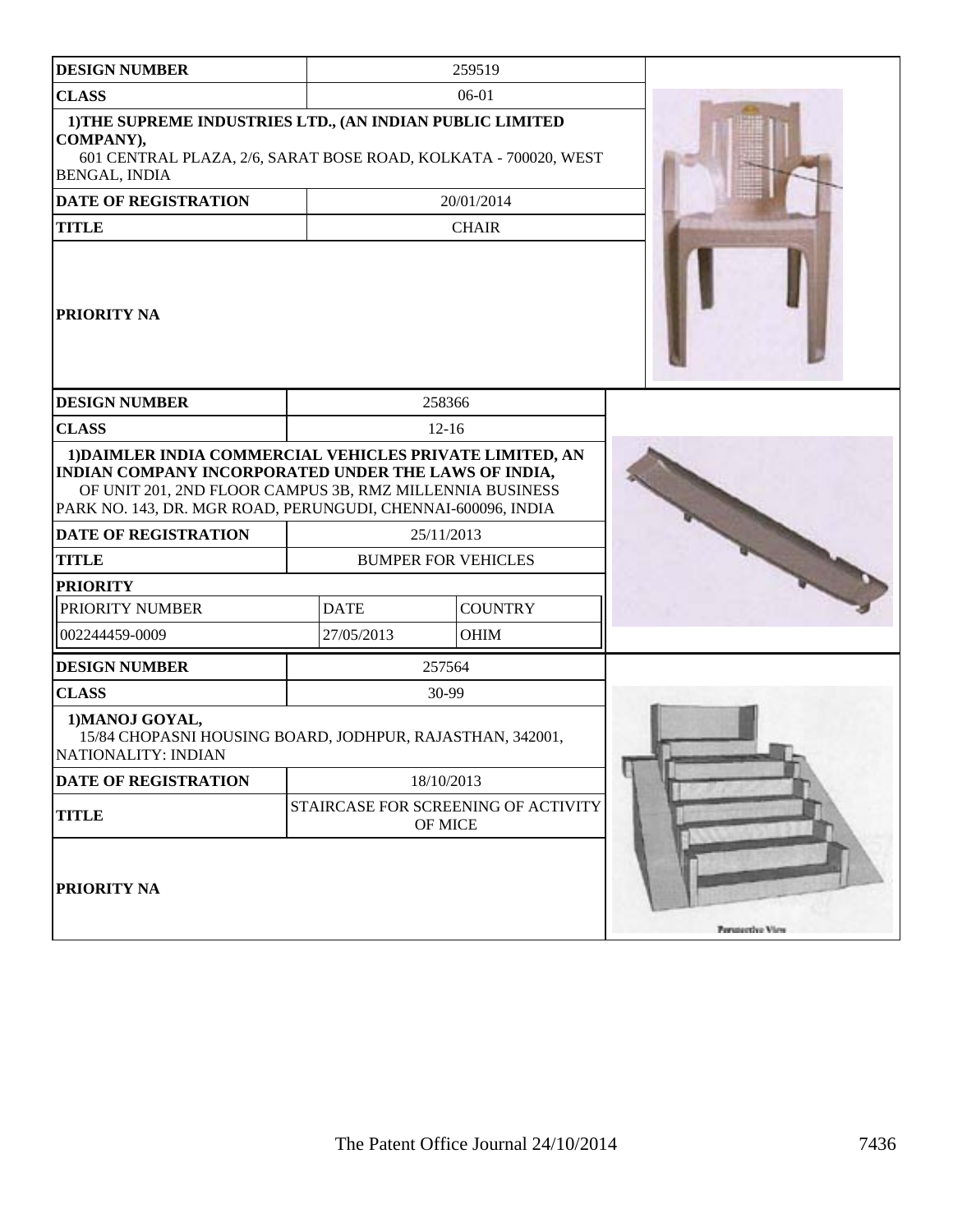| <b>DESIGN NUMBER</b>                                                                                                                                                                                                                         |             | 259519                                         |                  |
|----------------------------------------------------------------------------------------------------------------------------------------------------------------------------------------------------------------------------------------------|-------------|------------------------------------------------|------------------|
| <b>CLASS</b>                                                                                                                                                                                                                                 |             | 06-01                                          |                  |
| 1) THE SUPREME INDUSTRIES LTD., (AN INDIAN PUBLIC LIMITED<br>COMPANY),<br>601 CENTRAL PLAZA, 2/6, SARAT BOSE ROAD, KOLKATA - 700020, WEST<br>BENGAL, INDIA                                                                                   |             |                                                |                  |
| DATE OF REGISTRATION                                                                                                                                                                                                                         |             | 20/01/2014                                     |                  |
| <b>TITLE</b>                                                                                                                                                                                                                                 |             | <b>CHAIR</b>                                   |                  |
| <b>PRIORITY NA</b>                                                                                                                                                                                                                           |             |                                                |                  |
| <b>DESIGN NUMBER</b>                                                                                                                                                                                                                         |             | 258366                                         |                  |
| <b>CLASS</b>                                                                                                                                                                                                                                 |             | $12-16$                                        |                  |
| 1) DAIMLER INDIA COMMERCIAL VEHICLES PRIVATE LIMITED, AN<br>INDIAN COMPANY INCORPORATED UNDER THE LAWS OF INDIA,<br>OF UNIT 201, 2ND FLOOR CAMPUS 3B, RMZ MILLENNIA BUSINESS<br>PARK NO. 143, DR. MGR ROAD, PERUNGUDI, CHENNAI-600096, INDIA |             |                                                |                  |
| <b>DATE OF REGISTRATION</b>                                                                                                                                                                                                                  |             | 25/11/2013                                     |                  |
| <b>TITLE</b>                                                                                                                                                                                                                                 |             | <b>BUMPER FOR VEHICLES</b>                     |                  |
| <b>PRIORITY</b>                                                                                                                                                                                                                              |             |                                                |                  |
| PRIORITY NUMBER                                                                                                                                                                                                                              | <b>DATE</b> | <b>COUNTRY</b>                                 |                  |
| 002244459-0009                                                                                                                                                                                                                               | 27/05/2013  | <b>OHIM</b>                                    |                  |
| <b>DESIGN NUMBER</b>                                                                                                                                                                                                                         |             | 257564                                         |                  |
| <b>CLASS</b>                                                                                                                                                                                                                                 |             | 30-99                                          |                  |
| 1) MANOJ GOYAL,<br>15/84 CHOPASNI HOUSING BOARD, JODHPUR, RAJASTHAN, 342001,<br>NATIONALITY: INDIAN                                                                                                                                          |             |                                                |                  |
| <b>DATE OF REGISTRATION</b>                                                                                                                                                                                                                  |             | 18/10/2013                                     |                  |
| <b>TITLE</b>                                                                                                                                                                                                                                 |             | STAIRCASE FOR SCREENING OF ACTIVITY<br>OF MICE |                  |
| PRIORITY NA                                                                                                                                                                                                                                  |             |                                                | Perspective View |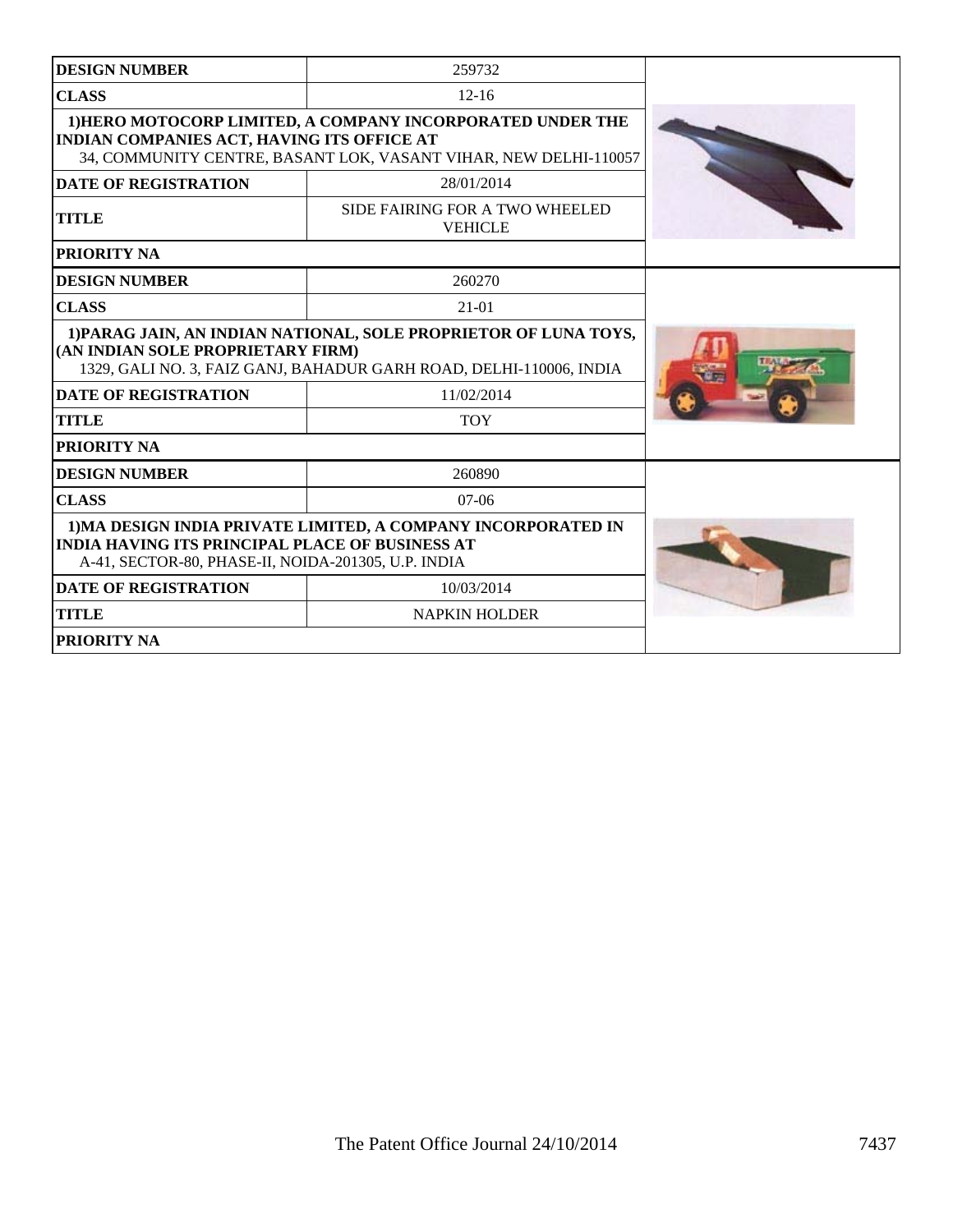| <b>DESIGN NUMBER</b>                                                                                                                                                           | 259732                                                                                                                         |  |
|--------------------------------------------------------------------------------------------------------------------------------------------------------------------------------|--------------------------------------------------------------------------------------------------------------------------------|--|
| <b>CLASS</b>                                                                                                                                                                   | $12 - 16$                                                                                                                      |  |
| INDIAN COMPANIES ACT, HAVING ITS OFFICE AT                                                                                                                                     | 1) HERO MOTOCORP LIMITED, A COMPANY INCORPORATED UNDER THE<br>34, COMMUNITY CENTRE, BASANT LOK, VASANT VIHAR, NEW DELHI-110057 |  |
| <b>DATE OF REGISTRATION</b>                                                                                                                                                    | 28/01/2014                                                                                                                     |  |
| <b>TITLE</b>                                                                                                                                                                   | SIDE FAIRING FOR A TWO WHEELED<br><b>VEHICLE</b>                                                                               |  |
| <b>PRIORITY NA</b>                                                                                                                                                             |                                                                                                                                |  |
| <b>DESIGN NUMBER</b>                                                                                                                                                           | 260270                                                                                                                         |  |
| <b>CLASS</b>                                                                                                                                                                   | $21 - 01$                                                                                                                      |  |
| 1) PARAG JAIN, AN INDIAN NATIONAL, SOLE PROPRIETOR OF LUNA TOYS,<br>(AN INDIAN SOLE PROPRIETARY FIRM)<br>1329, GALI NO. 3, FAIZ GANJ, BAHADUR GARH ROAD, DELHI-110006, INDIA   |                                                                                                                                |  |
| <b>DATE OF REGISTRATION</b><br>11/02/2014                                                                                                                                      |                                                                                                                                |  |
| <b>TITLE</b>                                                                                                                                                                   | <b>TOY</b>                                                                                                                     |  |
| PRIORITY NA                                                                                                                                                                    |                                                                                                                                |  |
| <b>DESIGN NUMBER</b>                                                                                                                                                           | 260890                                                                                                                         |  |
| <b>CLASS</b>                                                                                                                                                                   | $07-06$                                                                                                                        |  |
| 1) MA DESIGN INDIA PRIVATE LIMITED, A COMPANY INCORPORATED IN<br><b>INDIA HAVING ITS PRINCIPAL PLACE OF BUSINESS AT</b><br>A-41, SECTOR-80, PHASE-II, NOIDA-201305, U.P. INDIA |                                                                                                                                |  |
| <b>DATE OF REGISTRATION</b>                                                                                                                                                    | 10/03/2014                                                                                                                     |  |
| <b>TITLE</b>                                                                                                                                                                   | <b>NAPKIN HOLDER</b>                                                                                                           |  |
| <b>PRIORITY NA</b>                                                                                                                                                             |                                                                                                                                |  |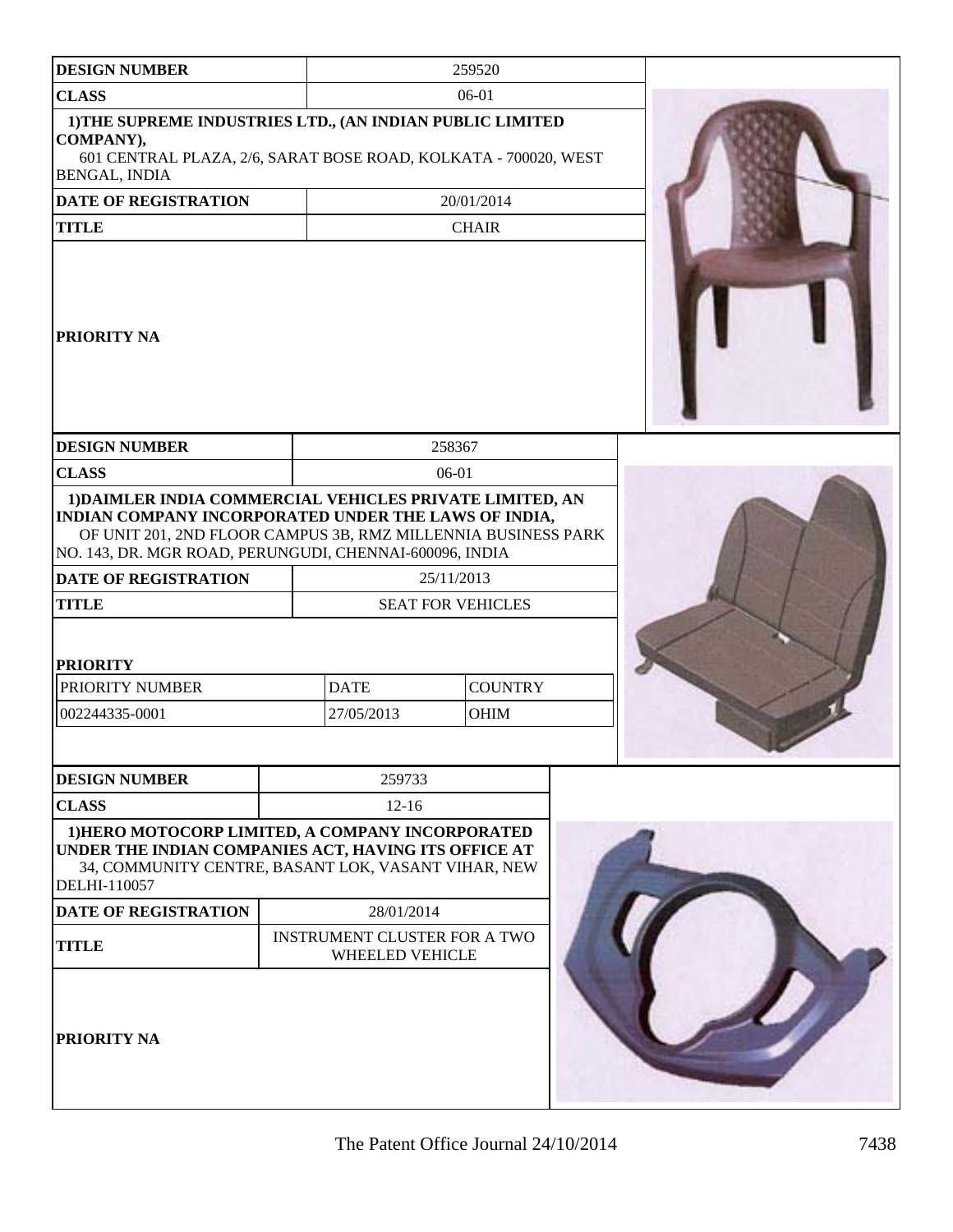| <b>DESIGN NUMBER</b>                                                                                                                                                                                                                                                 |                                                        | 259520                        |  |
|----------------------------------------------------------------------------------------------------------------------------------------------------------------------------------------------------------------------------------------------------------------------|--------------------------------------------------------|-------------------------------|--|
| <b>CLASS</b>                                                                                                                                                                                                                                                         |                                                        | $06-01$                       |  |
|                                                                                                                                                                                                                                                                      |                                                        |                               |  |
| 1) THE SUPREME INDUSTRIES LTD., (AN INDIAN PUBLIC LIMITED<br>COMPANY),<br>601 CENTRAL PLAZA, 2/6, SARAT BOSE ROAD, KOLKATA - 700020, WEST<br><b>BENGAL, INDIA</b>                                                                                                    |                                                        |                               |  |
| <b>DATE OF REGISTRATION</b>                                                                                                                                                                                                                                          |                                                        | 20/01/2014                    |  |
| <b>TITLE</b>                                                                                                                                                                                                                                                         |                                                        | <b>CHAIR</b>                  |  |
| PRIORITY NA                                                                                                                                                                                                                                                          |                                                        |                               |  |
| <b>DESIGN NUMBER</b>                                                                                                                                                                                                                                                 |                                                        | 258367                        |  |
| <b>CLASS</b>                                                                                                                                                                                                                                                         |                                                        | 06-01                         |  |
| 1) DAIMLER INDIA COMMERCIAL VEHICLES PRIVATE LIMITED, AN<br>INDIAN COMPANY INCORPORATED UNDER THE LAWS OF INDIA,<br>OF UNIT 201, 2ND FLOOR CAMPUS 3B, RMZ MILLENNIA BUSINESS PARK<br>NO. 143, DR. MGR ROAD, PERUNGUDI, CHENNAI-600096, INDIA<br>DATE OF REGISTRATION |                                                        | 25/11/2013                    |  |
| <b>TITLE</b>                                                                                                                                                                                                                                                         |                                                        | <b>SEAT FOR VEHICLES</b>      |  |
| <b>PRIORITY</b><br>PRIORITY NUMBER<br>002244335-0001                                                                                                                                                                                                                 | <b>DATE</b><br>27/05/2013                              | <b>COUNTRY</b><br><b>OHIM</b> |  |
|                                                                                                                                                                                                                                                                      |                                                        |                               |  |
| <b>DESIGN NUMBER</b>                                                                                                                                                                                                                                                 | 259733                                                 |                               |  |
| <b>CLASS</b>                                                                                                                                                                                                                                                         | $12 - 16$                                              |                               |  |
| 1) HERO MOTOCORP LIMITED, A COMPANY INCORPORATED<br>UNDER THE INDIAN COMPANIES ACT, HAVING ITS OFFICE AT<br>34, COMMUNITY CENTRE, BASANT LOK, VASANT VIHAR, NEW<br>DELHI-110057                                                                                      |                                                        |                               |  |
| <b>DATE OF REGISTRATION</b>                                                                                                                                                                                                                                          | 28/01/2014                                             |                               |  |
| <b>TITLE</b>                                                                                                                                                                                                                                                         | <b>INSTRUMENT CLUSTER FOR A TWO</b><br>WHEELED VEHICLE |                               |  |
| PRIORITY NA                                                                                                                                                                                                                                                          |                                                        |                               |  |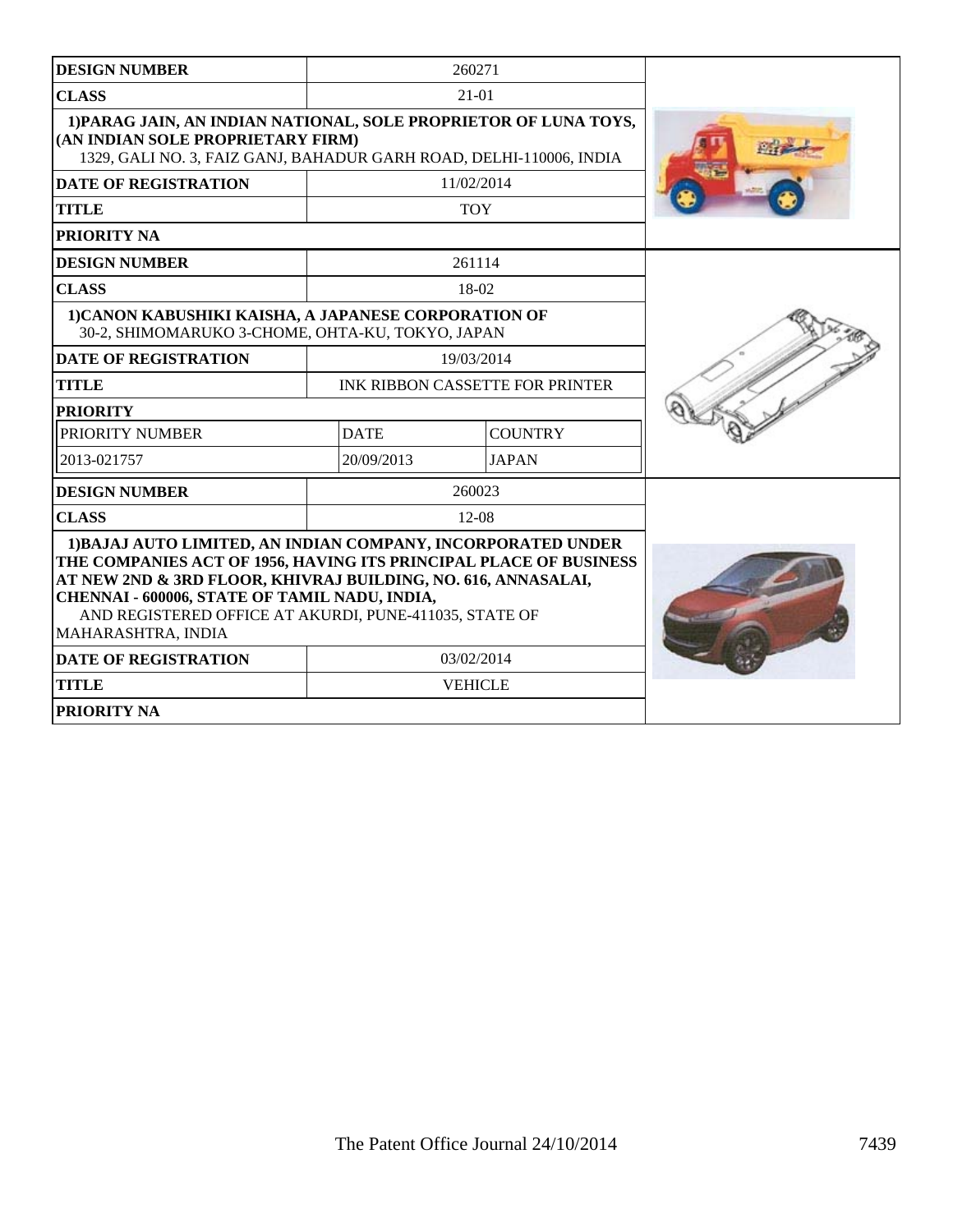| <b>DESIGN NUMBER</b>                                                                                                                                                                                                                                                                                                                |                                        | 260271         |  |
|-------------------------------------------------------------------------------------------------------------------------------------------------------------------------------------------------------------------------------------------------------------------------------------------------------------------------------------|----------------------------------------|----------------|--|
| <b>CLASS</b>                                                                                                                                                                                                                                                                                                                        |                                        | $21-01$        |  |
| 1) PARAG JAIN, AN INDIAN NATIONAL, SOLE PROPRIETOR OF LUNA TOYS,<br>(AN INDIAN SOLE PROPRIETARY FIRM)<br>1329, GALI NO. 3, FAIZ GANJ, BAHADUR GARH ROAD, DELHI-110006, INDIA                                                                                                                                                        |                                        |                |  |
| <b>DATE OF REGISTRATION</b>                                                                                                                                                                                                                                                                                                         | 11/02/2014                             |                |  |
| <b>TITLE</b>                                                                                                                                                                                                                                                                                                                        | <b>TOY</b>                             |                |  |
| <b>PRIORITY NA</b>                                                                                                                                                                                                                                                                                                                  |                                        |                |  |
| <b>DESIGN NUMBER</b>                                                                                                                                                                                                                                                                                                                |                                        | 261114         |  |
| <b>CLASS</b>                                                                                                                                                                                                                                                                                                                        |                                        | $18-02$        |  |
| 1) CANON KABUSHIKI KAISHA, A JAPANESE CORPORATION OF<br>30-2, SHIMOMARUKO 3-CHOME, OHTA-KU, TOKYO, JAPAN                                                                                                                                                                                                                            |                                        |                |  |
| <b>DATE OF REGISTRATION</b>                                                                                                                                                                                                                                                                                                         | 19/03/2014                             |                |  |
| <b>TITLE</b>                                                                                                                                                                                                                                                                                                                        | <b>INK RIBBON CASSETTE FOR PRINTER</b> |                |  |
| <b>PRIORITY</b>                                                                                                                                                                                                                                                                                                                     |                                        |                |  |
| PRIORITY NUMBER                                                                                                                                                                                                                                                                                                                     | <b>DATE</b><br><b>COUNTRY</b>          |                |  |
| 2013-021757                                                                                                                                                                                                                                                                                                                         | 20/09/2013                             | <b>JAPAN</b>   |  |
| <b>DESIGN NUMBER</b>                                                                                                                                                                                                                                                                                                                |                                        | 260023         |  |
| <b>CLASS</b>                                                                                                                                                                                                                                                                                                                        |                                        | $12-08$        |  |
| 1) BAJAJ AUTO LIMITED, AN INDIAN COMPANY, INCORPORATED UNDER<br>THE COMPANIES ACT OF 1956, HAVING ITS PRINCIPAL PLACE OF BUSINESS<br>AT NEW 2ND & 3RD FLOOR, KHIVRAJ BUILDING, NO. 616, ANNASALAI,<br>CHENNAI - 600006, STATE OF TAMIL NADU, INDIA,<br>AND REGISTERED OFFICE AT AKURDI, PUNE-411035, STATE OF<br>MAHARASHTRA, INDIA |                                        |                |  |
| <b>DATE OF REGISTRATION</b>                                                                                                                                                                                                                                                                                                         | 03/02/2014                             |                |  |
| <b>TITLE</b>                                                                                                                                                                                                                                                                                                                        |                                        | <b>VEHICLE</b> |  |
| <b>PRIORITY NA</b>                                                                                                                                                                                                                                                                                                                  |                                        |                |  |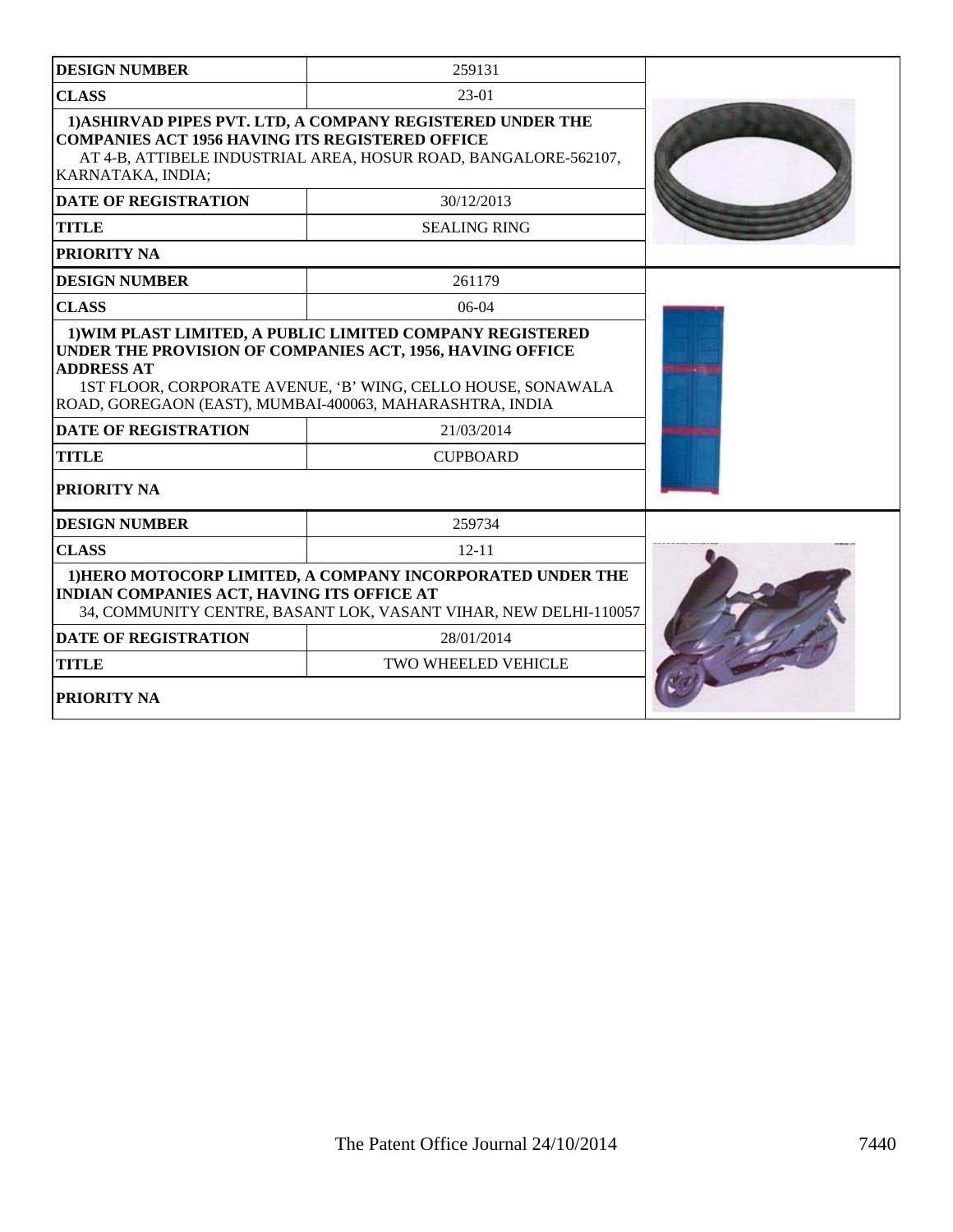| <b>DESIGN NUMBER</b>                                                          | 259131                                                                                                                         |  |
|-------------------------------------------------------------------------------|--------------------------------------------------------------------------------------------------------------------------------|--|
| <b>CLASS</b>                                                                  | $23-01$                                                                                                                        |  |
| <b>COMPANIES ACT 1956 HAVING ITS REGISTERED OFFICE</b><br>KARNATAKA, INDIA;   | 1) ASHIRVAD PIPES PVT. LTD, A COMPANY REGISTERED UNDER THE<br>AT 4-B, ATTIBELE INDUSTRIAL AREA, HOSUR ROAD, BANGALORE-562107,  |  |
| <b>DATE OF REGISTRATION</b>                                                   | 30/12/2013                                                                                                                     |  |
| <b>TITLE</b>                                                                  | <b>SEALING RING</b>                                                                                                            |  |
| <b>PRIORITY NA</b>                                                            |                                                                                                                                |  |
| <b>DESIGN NUMBER</b>                                                          | 261179                                                                                                                         |  |
| <b>CLASS</b>                                                                  | $06-04$                                                                                                                        |  |
| <b>ADDRESS AT</b><br>ROAD, GOREGAON (EAST), MUMBAI-400063, MAHARASHTRA, INDIA | 1ST FLOOR, CORPORATE AVENUE, 'B' WING, CELLO HOUSE, SONAWALA                                                                   |  |
| <b>DATE OF REGISTRATION</b>                                                   | 21/03/2014                                                                                                                     |  |
| <b>TITLE</b>                                                                  | <b>CUPBOARD</b>                                                                                                                |  |
| <b>PRIORITY NA</b>                                                            |                                                                                                                                |  |
| <b>DESIGN NUMBER</b>                                                          | 259734                                                                                                                         |  |
| <b>CLASS</b>                                                                  | $12 - 11$                                                                                                                      |  |
| <b>INDIAN COMPANIES ACT, HAVING ITS OFFICE AT</b>                             | 1) HERO MOTOCORP LIMITED, A COMPANY INCORPORATED UNDER THE<br>34, COMMUNITY CENTRE, BASANT LOK, VASANT VIHAR, NEW DELHI-110057 |  |
| <b>DATE OF REGISTRATION</b>                                                   | 28/01/2014                                                                                                                     |  |
| <b>TITLE</b>                                                                  | <b>TWO WHEELED VEHICLE</b>                                                                                                     |  |
| <b>PRIORITY NA</b>                                                            |                                                                                                                                |  |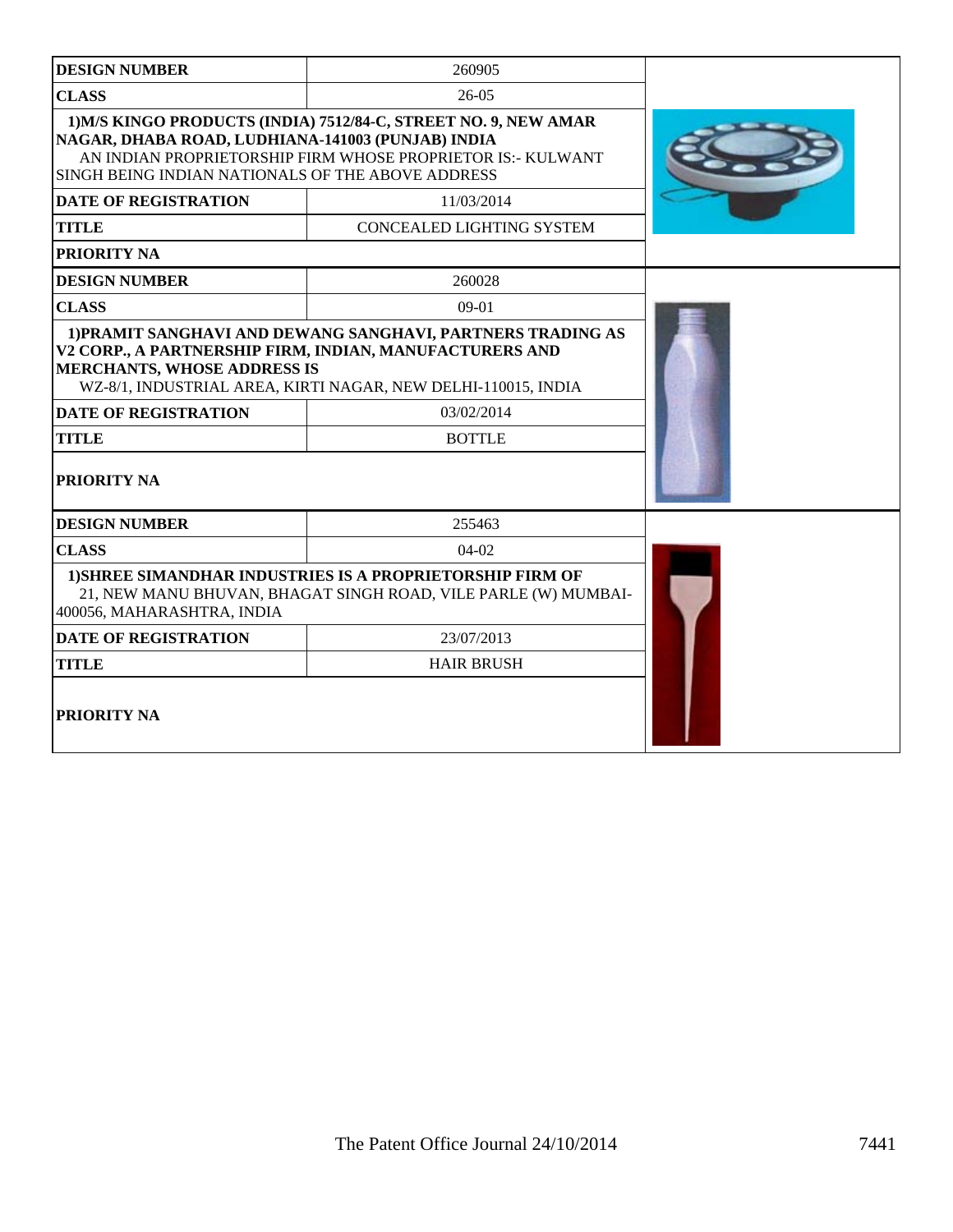| <b>DESIGN NUMBER</b>                                                                                                                                                                                          | 260905                                                                                                                             |  |  |
|---------------------------------------------------------------------------------------------------------------------------------------------------------------------------------------------------------------|------------------------------------------------------------------------------------------------------------------------------------|--|--|
| <b>CLASS</b>                                                                                                                                                                                                  | $26-05$                                                                                                                            |  |  |
| NAGAR, DHABA ROAD, LUDHIANA-141003 (PUNJAB) INDIA<br>SINGH BEING INDIAN NATIONALS OF THE ABOVE ADDRESS                                                                                                        | 1) M/S KINGO PRODUCTS (INDIA) 7512/84-C, STREET NO. 9, NEW AMAR<br>AN INDIAN PROPRIETORSHIP FIRM WHOSE PROPRIETOR IS:- KULWANT     |  |  |
| <b>DATE OF REGISTRATION</b>                                                                                                                                                                                   | 11/03/2014                                                                                                                         |  |  |
| <b>TITLE</b>                                                                                                                                                                                                  | CONCEALED LIGHTING SYSTEM                                                                                                          |  |  |
| <b>PRIORITY NA</b>                                                                                                                                                                                            |                                                                                                                                    |  |  |
| <b>DESIGN NUMBER</b>                                                                                                                                                                                          | 260028                                                                                                                             |  |  |
| <b>CLASS</b>                                                                                                                                                                                                  | $09-01$                                                                                                                            |  |  |
| V2 CORP., A PARTNERSHIP FIRM, INDIAN, MANUFACTURERS AND<br><b>MERCHANTS, WHOSE ADDRESS IS</b><br>WZ-8/1, INDUSTRIAL AREA, KIRTI NAGAR, NEW DELHI-110015, INDIA<br><b>DATE OF REGISTRATION</b><br><b>TITLE</b> |                                                                                                                                    |  |  |
| <b>PRIORITY NA</b>                                                                                                                                                                                            |                                                                                                                                    |  |  |
| <b>DESIGN NUMBER</b>                                                                                                                                                                                          | 255463                                                                                                                             |  |  |
| <b>CLASS</b>                                                                                                                                                                                                  | $04-02$                                                                                                                            |  |  |
| 400056, MAHARASHTRA, INDIA                                                                                                                                                                                    | <b>1) SHREE SIMANDHAR INDUSTRIES IS A PROPRIETORSHIP FIRM OF</b><br>21, NEW MANU BHUVAN, BHAGAT SINGH ROAD, VILE PARLE (W) MUMBAI- |  |  |
| <b>DATE OF REGISTRATION</b>                                                                                                                                                                                   | 23/07/2013                                                                                                                         |  |  |
| <b>TITLE</b>                                                                                                                                                                                                  | <b>HAIR BRUSH</b>                                                                                                                  |  |  |
| <b>PRIORITY NA</b>                                                                                                                                                                                            |                                                                                                                                    |  |  |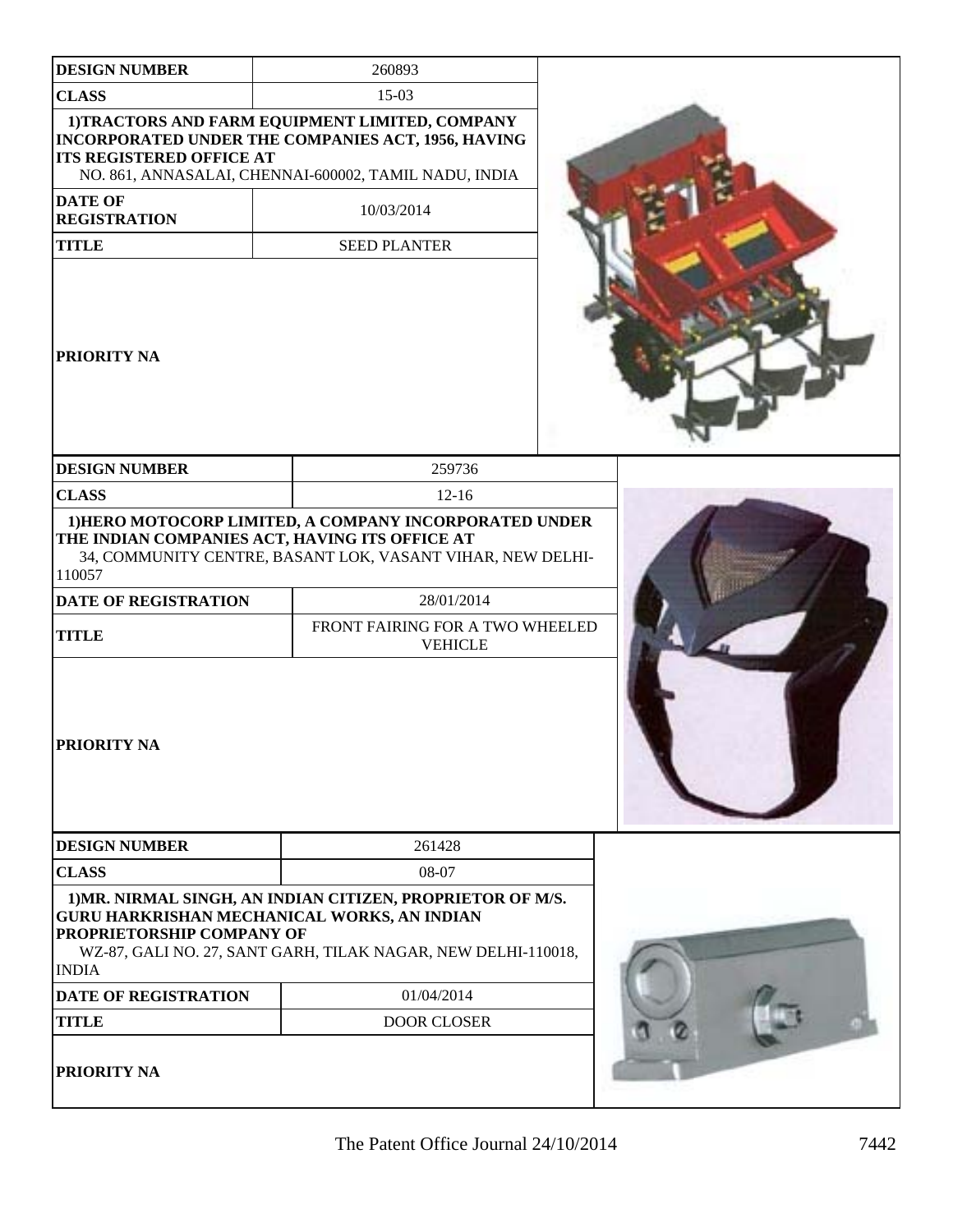| <b>DESIGN NUMBER</b><br><b>CLASS</b><br><b>ITS REGISTERED OFFICE AT</b>                                                                         | 260893                                                                                                                                                                            |
|-------------------------------------------------------------------------------------------------------------------------------------------------|-----------------------------------------------------------------------------------------------------------------------------------------------------------------------------------|
|                                                                                                                                                 | $15-03$                                                                                                                                                                           |
|                                                                                                                                                 | 1) TRACTORS AND FARM EQUIPMENT LIMITED, COMPANY<br>INCORPORATED UNDER THE COMPANIES ACT, 1956, HAVING<br>NO. 861, ANNASALAI, CHENNAI-600002, TAMIL NADU, INDIA                    |
| <b>DATE OF</b><br><b>REGISTRATION</b>                                                                                                           | 10/03/2014                                                                                                                                                                        |
| <b>TITLE</b>                                                                                                                                    | <b>SEED PLANTER</b>                                                                                                                                                               |
| <b>PRIORITY NA</b>                                                                                                                              |                                                                                                                                                                                   |
| <b>DESIGN NUMBER</b>                                                                                                                            | 259736                                                                                                                                                                            |
| <b>CLASS</b>                                                                                                                                    | $12 - 16$                                                                                                                                                                         |
|                                                                                                                                                 | 34, COMMUNITY CENTRE, BASANT LOK, VASANT VIHAR, NEW DELHI-                                                                                                                        |
| 110057<br><b>DATE OF REGISTRATION</b>                                                                                                           | 28/01/2014                                                                                                                                                                        |
|                                                                                                                                                 | FRONT FAIRING FOR A TWO WHEELED<br><b>VEHICLE</b>                                                                                                                                 |
|                                                                                                                                                 |                                                                                                                                                                                   |
|                                                                                                                                                 | 261428                                                                                                                                                                            |
|                                                                                                                                                 | 08-07                                                                                                                                                                             |
|                                                                                                                                                 | 1) MR. NIRMAL SINGH, AN INDIAN CITIZEN, PROPRIETOR OF M/S.<br><b>GURU HARKRISHAN MECHANICAL WORKS, AN INDIAN</b><br>WZ-87, GALI NO. 27, SANT GARH, TILAK NAGAR, NEW DELHI-110018, |
| <b>TITLE</b><br>PRIORITY NA<br><b>DESIGN NUMBER</b><br><b>CLASS</b><br>PROPRIETORSHIP COMPANY OF<br><b>INDIA</b><br><b>DATE OF REGISTRATION</b> | 01/04/2014                                                                                                                                                                        |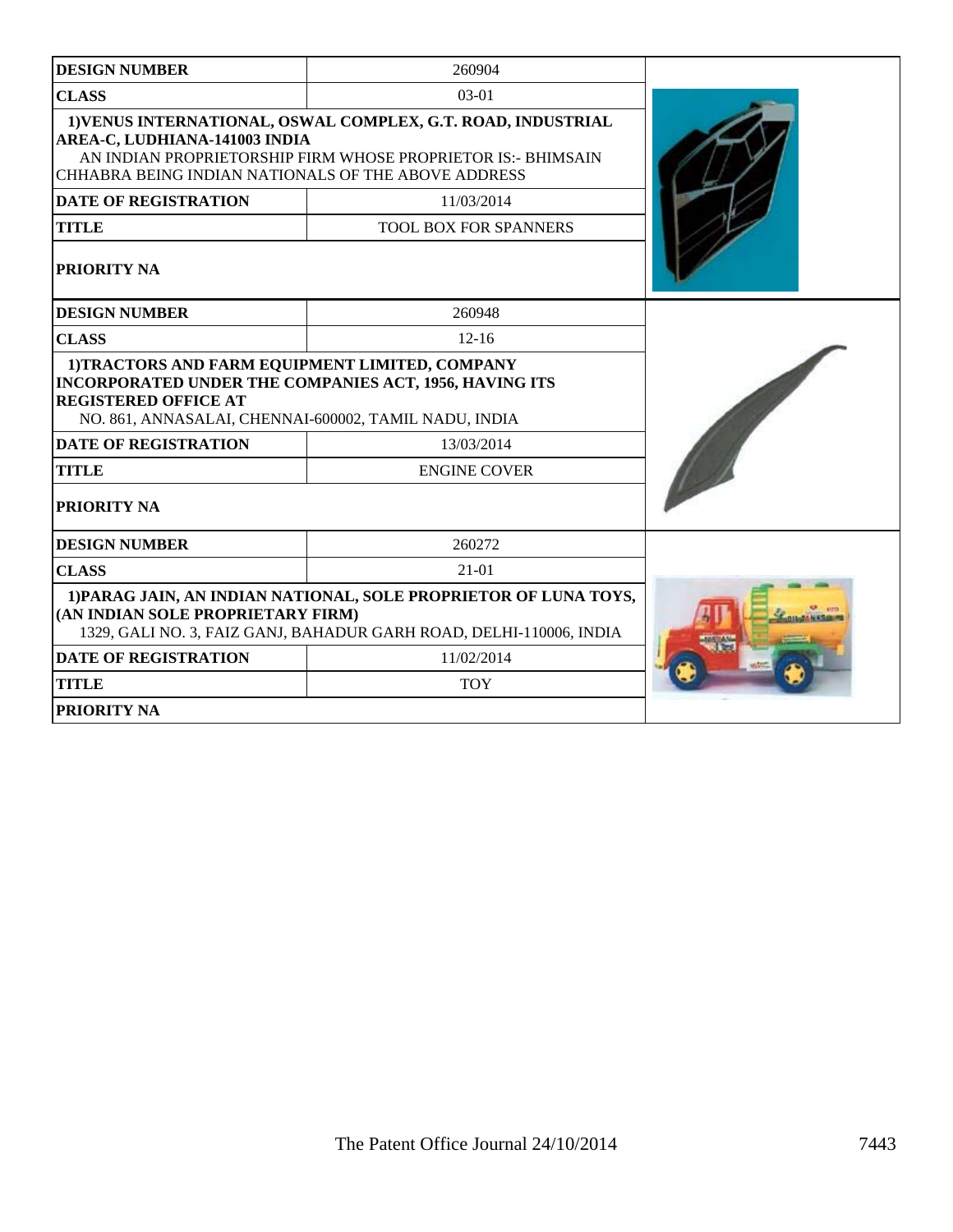| <b>DESIGN NUMBER</b>                                                                                                                                                                                    | 260904                                                                                                                                  |  |
|---------------------------------------------------------------------------------------------------------------------------------------------------------------------------------------------------------|-----------------------------------------------------------------------------------------------------------------------------------------|--|
| <b>CLASS</b>                                                                                                                                                                                            | $03-01$                                                                                                                                 |  |
| AREA-C, LUDHIANA-141003 INDIA<br>CHHABRA BEING INDIAN NATIONALS OF THE ABOVE ADDRESS                                                                                                                    | 1) VENUS INTERNATIONAL, OSWAL COMPLEX, G.T. ROAD, INDUSTRIAL<br>AN INDIAN PROPRIETORSHIP FIRM WHOSE PROPRIETOR IS:- BHIMSAIN            |  |
| <b>DATE OF REGISTRATION</b>                                                                                                                                                                             | 11/03/2014                                                                                                                              |  |
| <b>TITLE</b>                                                                                                                                                                                            | <b>TOOL BOX FOR SPANNERS</b>                                                                                                            |  |
| <b>PRIORITY NA</b>                                                                                                                                                                                      |                                                                                                                                         |  |
| <b>DESIGN NUMBER</b>                                                                                                                                                                                    | 260948                                                                                                                                  |  |
| <b>CLASS</b>                                                                                                                                                                                            | $12 - 16$                                                                                                                               |  |
| 1)TRACTORS AND FARM EQUIPMENT LIMITED, COMPANY<br><b>INCORPORATED UNDER THE COMPANIES ACT, 1956, HAVING ITS</b><br><b>REGISTERED OFFICE AT</b><br>NO. 861, ANNASALAI, CHENNAI-600002, TAMIL NADU, INDIA |                                                                                                                                         |  |
| <b>DATE OF REGISTRATION</b>                                                                                                                                                                             | 13/03/2014                                                                                                                              |  |
| <b>TITLE</b>                                                                                                                                                                                            | <b>ENGINE COVER</b>                                                                                                                     |  |
| PRIORITY NA                                                                                                                                                                                             |                                                                                                                                         |  |
| <b>DESIGN NUMBER</b>                                                                                                                                                                                    | 260272                                                                                                                                  |  |
| <b>CLASS</b>                                                                                                                                                                                            | $21 - 01$                                                                                                                               |  |
| (AN INDIAN SOLE PROPRIETARY FIRM)                                                                                                                                                                       | 1) PARAG JAIN, AN INDIAN NATIONAL, SOLE PROPRIETOR OF LUNA TOYS,<br>1329, GALI NO. 3, FAIZ GANJ, BAHADUR GARH ROAD, DELHI-110006, INDIA |  |
| <b>DATE OF REGISTRATION</b>                                                                                                                                                                             | 11/02/2014                                                                                                                              |  |
| <b>TITLE</b>                                                                                                                                                                                            | <b>TOY</b>                                                                                                                              |  |
| PRIORITY NA                                                                                                                                                                                             |                                                                                                                                         |  |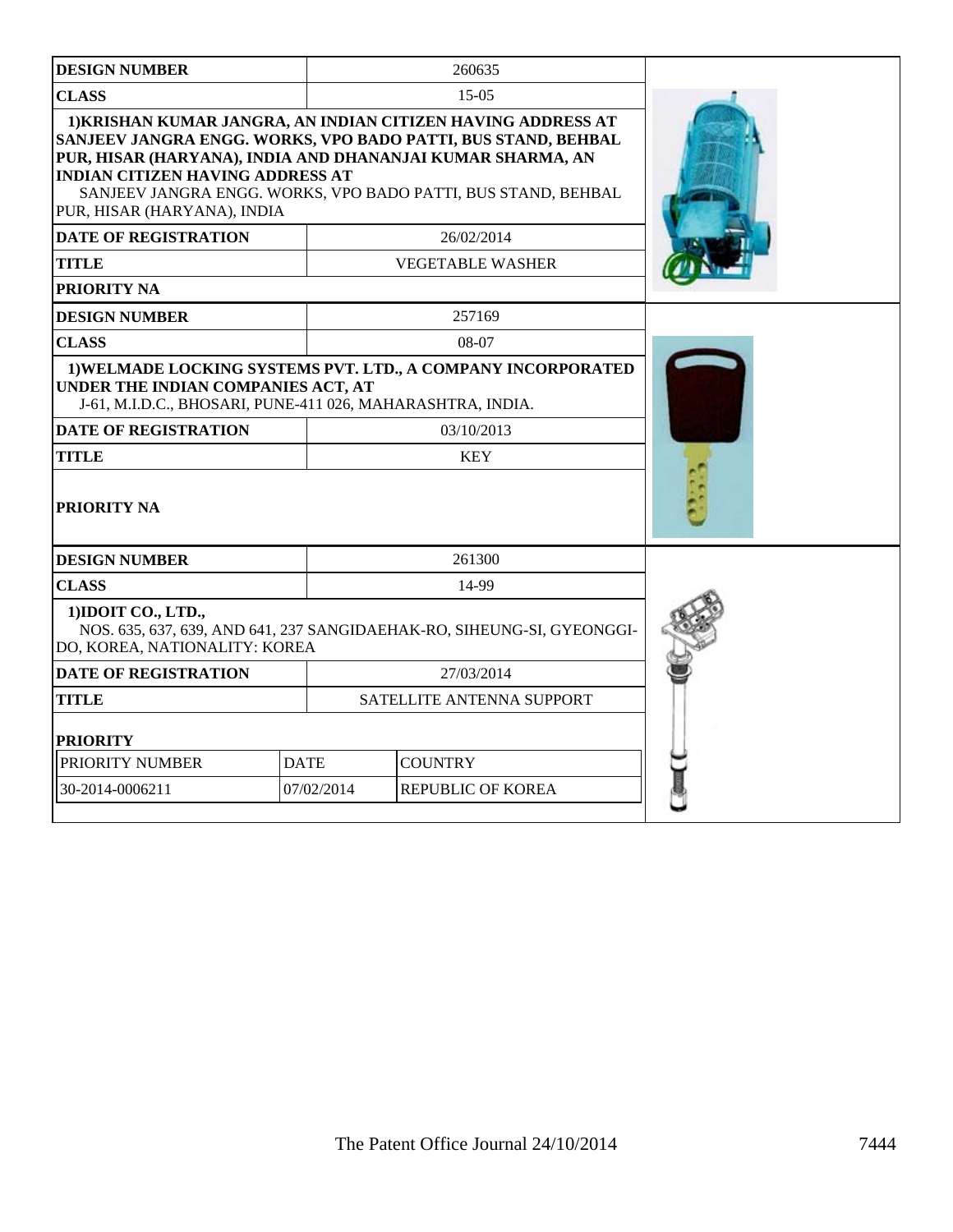| <b>DESIGN NUMBER</b>                                                                             |             | 260635                                                                                                                                                                                                                                                       |  |
|--------------------------------------------------------------------------------------------------|-------------|--------------------------------------------------------------------------------------------------------------------------------------------------------------------------------------------------------------------------------------------------------------|--|
| <b>CLASS</b>                                                                                     |             | $15-0.5$                                                                                                                                                                                                                                                     |  |
| <b>INDIAN CITIZEN HAVING ADDRESS AT</b><br>PUR, HISAR (HARYANA), INDIA                           |             | 1) KRISHAN KUMAR JANGRA, AN INDIAN CITIZEN HAVING ADDRESS AT<br>SANJEEV JANGRA ENGG. WORKS, VPO BADO PATTI, BUS STAND, BEHBAL<br>PUR, HISAR (HARYANA), INDIA AND DHANANJAI KUMAR SHARMA, AN<br>SANJEEV JANGRA ENGG. WORKS, VPO BADO PATTI, BUS STAND, BEHBAL |  |
| <b>DATE OF REGISTRATION</b>                                                                      |             | 26/02/2014                                                                                                                                                                                                                                                   |  |
| <b>TITLE</b>                                                                                     |             | <b>VEGETABLE WASHER</b>                                                                                                                                                                                                                                      |  |
| <b>PRIORITY NA</b>                                                                               |             |                                                                                                                                                                                                                                                              |  |
| <b>DESIGN NUMBER</b>                                                                             |             | 257169                                                                                                                                                                                                                                                       |  |
| <b>CLASS</b>                                                                                     |             | 08-07                                                                                                                                                                                                                                                        |  |
| UNDER THE INDIAN COMPANIES ACT, AT<br>J-61, M.I.D.C., BHOSARI, PUNE-411 026, MAHARASHTRA, INDIA. |             | 1) WELMADE LOCKING SYSTEMS PVT. LTD., A COMPANY INCORPORATED                                                                                                                                                                                                 |  |
| <b>DATE OF REGISTRATION</b>                                                                      |             | 03/10/2013                                                                                                                                                                                                                                                   |  |
| <b>TITLE</b>                                                                                     |             | <b>KEY</b>                                                                                                                                                                                                                                                   |  |
| <b>PRIORITY NA</b>                                                                               |             |                                                                                                                                                                                                                                                              |  |
| <b>DESIGN NUMBER</b>                                                                             |             | 261300                                                                                                                                                                                                                                                       |  |
| <b>CLASS</b>                                                                                     |             | 14-99                                                                                                                                                                                                                                                        |  |
| 1) IDOIT CO., LTD.,<br>DO, KOREA, NATIONALITY: KOREA                                             |             | NOS. 635, 637, 639, AND 641, 237 SANGIDAEHAK-RO, SIHEUNG-SI, GYEONGGI-                                                                                                                                                                                       |  |
| <b>DATE OF REGISTRATION</b>                                                                      | 27/03/2014  |                                                                                                                                                                                                                                                              |  |
| TITLE                                                                                            |             | SATELLITE ANTENNA SUPPORT                                                                                                                                                                                                                                    |  |
| <b>PRIORITY</b>                                                                                  |             |                                                                                                                                                                                                                                                              |  |
| PRIORITY NUMBER                                                                                  | <b>DATE</b> | <b>COUNTRY</b>                                                                                                                                                                                                                                               |  |
| 30-2014-0006211                                                                                  | 07/02/2014  | <b>REPUBLIC OF KOREA</b>                                                                                                                                                                                                                                     |  |
|                                                                                                  |             |                                                                                                                                                                                                                                                              |  |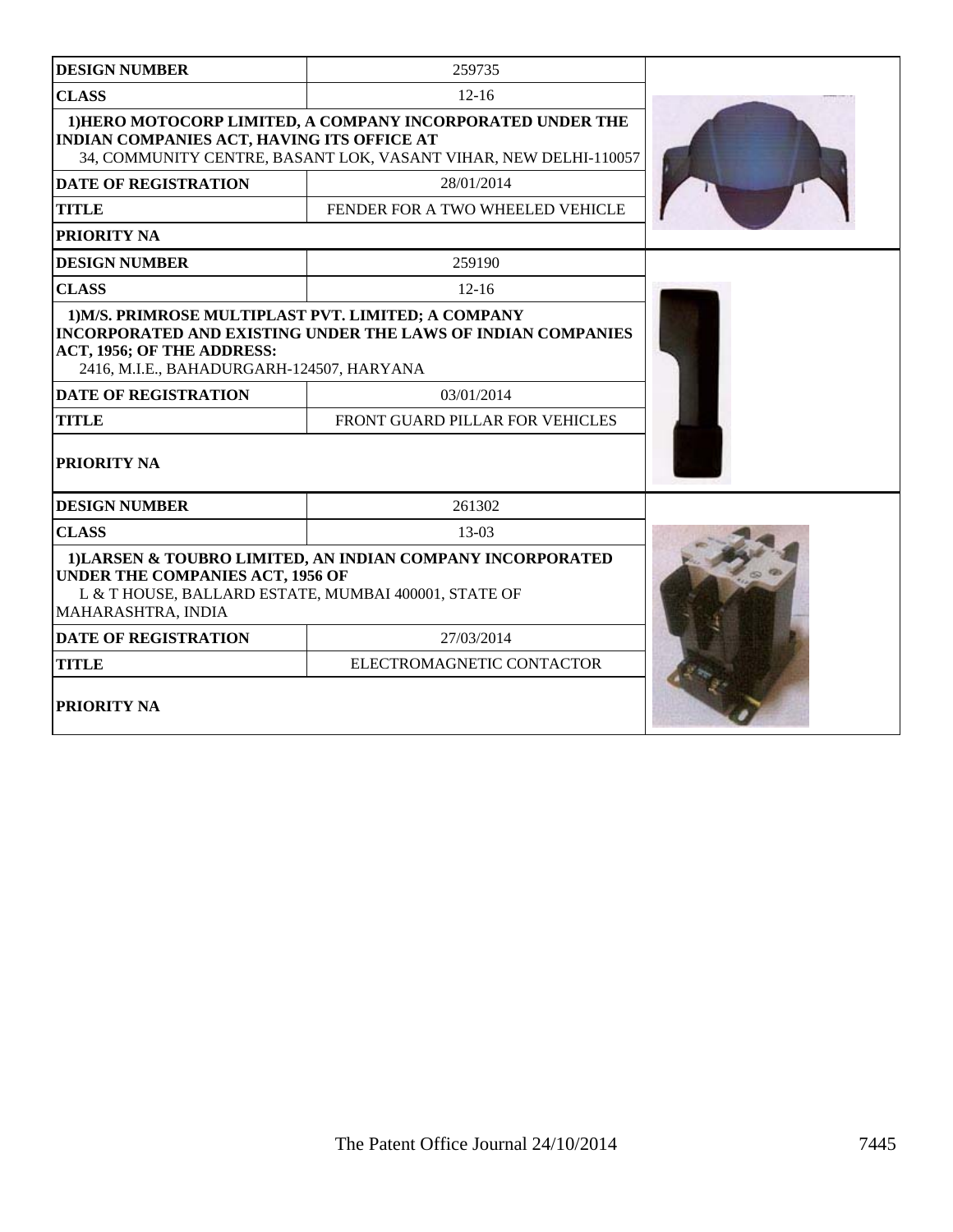| <b>DESIGN NUMBER</b>                                                                                                           | 259735                                                                                                                         |  |
|--------------------------------------------------------------------------------------------------------------------------------|--------------------------------------------------------------------------------------------------------------------------------|--|
| <b>CLASS</b>                                                                                                                   | $12 - 16$                                                                                                                      |  |
| INDIAN COMPANIES ACT, HAVING ITS OFFICE AT                                                                                     | 1) HERO MOTOCORP LIMITED, A COMPANY INCORPORATED UNDER THE<br>34, COMMUNITY CENTRE, BASANT LOK, VASANT VIHAR, NEW DELHI-110057 |  |
| <b>DATE OF REGISTRATION</b>                                                                                                    | 28/01/2014                                                                                                                     |  |
| <b>TITLE</b>                                                                                                                   | FENDER FOR A TWO WHEELED VEHICLE                                                                                               |  |
| PRIORITY NA                                                                                                                    |                                                                                                                                |  |
| <b>DESIGN NUMBER</b>                                                                                                           | 259190                                                                                                                         |  |
| <b>CLASS</b>                                                                                                                   | $12 - 16$                                                                                                                      |  |
| 1) M/S. PRIMROSE MULTIPLAST PVT. LIMITED; A COMPANY<br>ACT, 1956; OF THE ADDRESS:<br>2416, M.I.E., BAHADURGARH-124507, HARYANA | INCORPORATED AND EXISTING UNDER THE LAWS OF INDIAN COMPANIES                                                                   |  |
| <b>DATE OF REGISTRATION</b>                                                                                                    | 03/01/2014                                                                                                                     |  |
| <b>TITLE</b>                                                                                                                   | FRONT GUARD PILLAR FOR VEHICLES                                                                                                |  |
| PRIORITY NA                                                                                                                    |                                                                                                                                |  |
| <b>DESIGN NUMBER</b>                                                                                                           | 261302                                                                                                                         |  |
| <b>CLASS</b>                                                                                                                   | 13-03                                                                                                                          |  |
| <b>UNDER THE COMPANIES ACT, 1956 OF</b><br>L & T HOUSE, BALLARD ESTATE, MUMBAI 400001, STATE OF<br>MAHARASHTRA, INDIA          | 1) LARSEN & TOUBRO LIMITED, AN INDIAN COMPANY INCORPORATED                                                                     |  |
| <b>DATE OF REGISTRATION</b>                                                                                                    | 27/03/2014                                                                                                                     |  |
| <b>TITLE</b>                                                                                                                   | ELECTROMAGNETIC CONTACTOR                                                                                                      |  |
| PRIORITY NA                                                                                                                    |                                                                                                                                |  |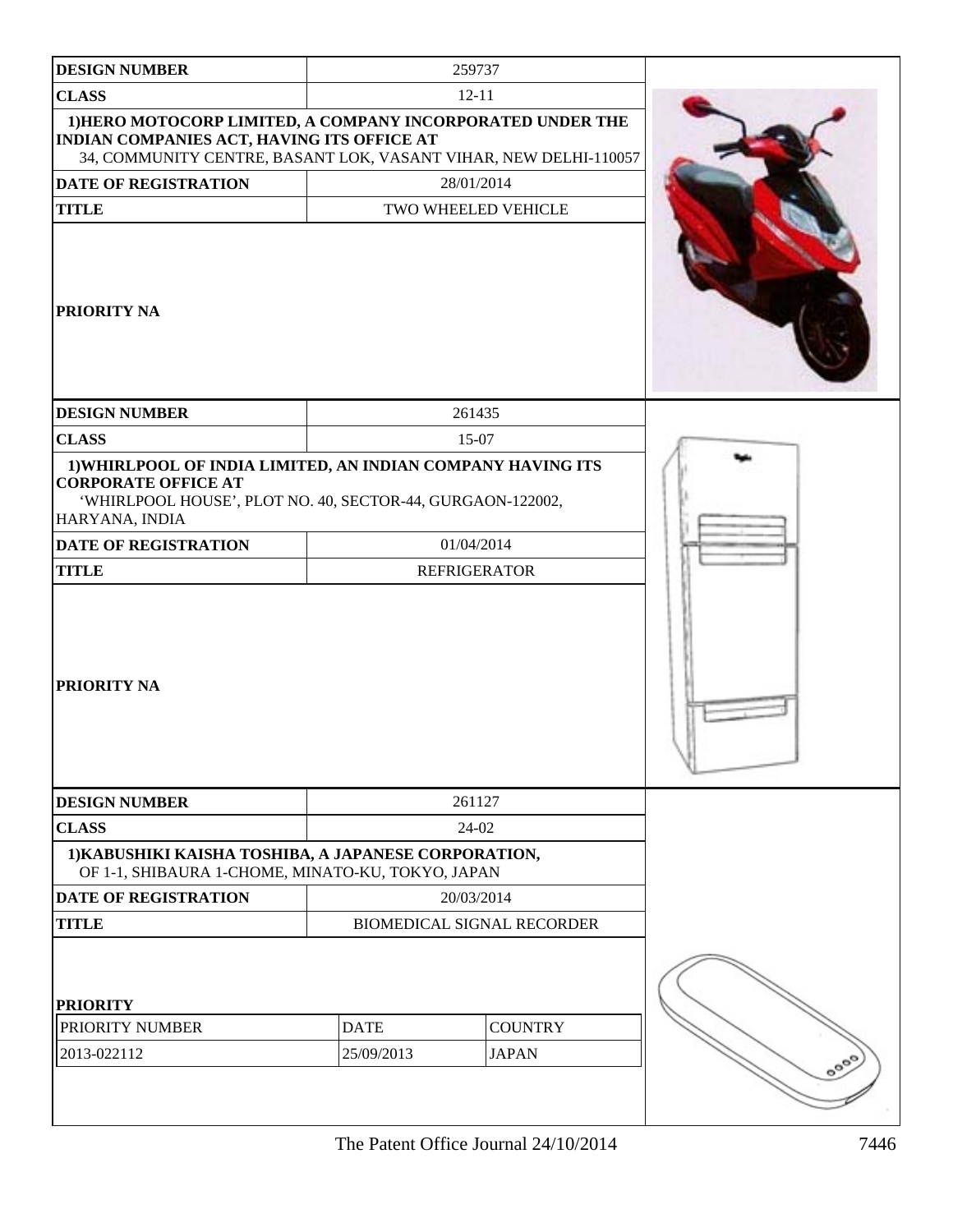| <b>DESIGN NUMBER</b>                                                                                                                                                         |                                   | 259737                         |  |
|------------------------------------------------------------------------------------------------------------------------------------------------------------------------------|-----------------------------------|--------------------------------|--|
| <b>CLASS</b>                                                                                                                                                                 |                                   | $12 - 11$                      |  |
| 1) HERO MOTOCORP LIMITED, A COMPANY INCORPORATED UNDER THE<br>INDIAN COMPANIES ACT, HAVING ITS OFFICE AT<br>34, COMMUNITY CENTRE, BASANT LOK, VASANT VIHAR, NEW DELHI-110057 |                                   |                                |  |
| <b>DATE OF REGISTRATION</b>                                                                                                                                                  |                                   | 28/01/2014                     |  |
| <b>TITLE</b>                                                                                                                                                                 |                                   | TWO WHEELED VEHICLE            |  |
| <b>PRIORITY NA</b>                                                                                                                                                           |                                   |                                |  |
| <b>DESIGN NUMBER</b>                                                                                                                                                         |                                   | 261435                         |  |
| <b>CLASS</b>                                                                                                                                                                 |                                   | 15-07                          |  |
| 1) WHIRLPOOL OF INDIA LIMITED, AN INDIAN COMPANY HAVING ITS<br><b>CORPORATE OFFICE AT</b><br>'WHIRLPOOL HOUSE', PLOT NO. 40, SECTOR-44, GURGAON-122002,<br>HARYANA, INDIA    |                                   |                                |  |
| <b>DATE OF REGISTRATION</b>                                                                                                                                                  |                                   | 01/04/2014                     |  |
| <b>TITLE</b>                                                                                                                                                                 | <b>REFRIGERATOR</b>               |                                |  |
| <b>PRIORITY NA</b>                                                                                                                                                           |                                   |                                |  |
| <b>DESIGN NUMBER</b>                                                                                                                                                         |                                   | 261127                         |  |
| <b>CLASS</b>                                                                                                                                                                 |                                   | 24-02                          |  |
| 1) KABUSHIKI KAISHA TOSHIBA, A JAPANESE CORPORATION,<br>OF 1-1, SHIBAURA 1-CHOME, MINATO-KU, TOKYO, JAPAN                                                                    |                                   |                                |  |
| DATE OF REGISTRATION                                                                                                                                                         | 20/03/2014                        |                                |  |
| <b>TITLE</b>                                                                                                                                                                 | <b>BIOMEDICAL SIGNAL RECORDER</b> |                                |  |
| <b>PRIORITY</b><br>PRIORITY NUMBER<br>2013-022112                                                                                                                            | <b>DATE</b><br>25/09/2013         | <b>COUNTRY</b><br><b>JAPAN</b> |  |
|                                                                                                                                                                              |                                   |                                |  |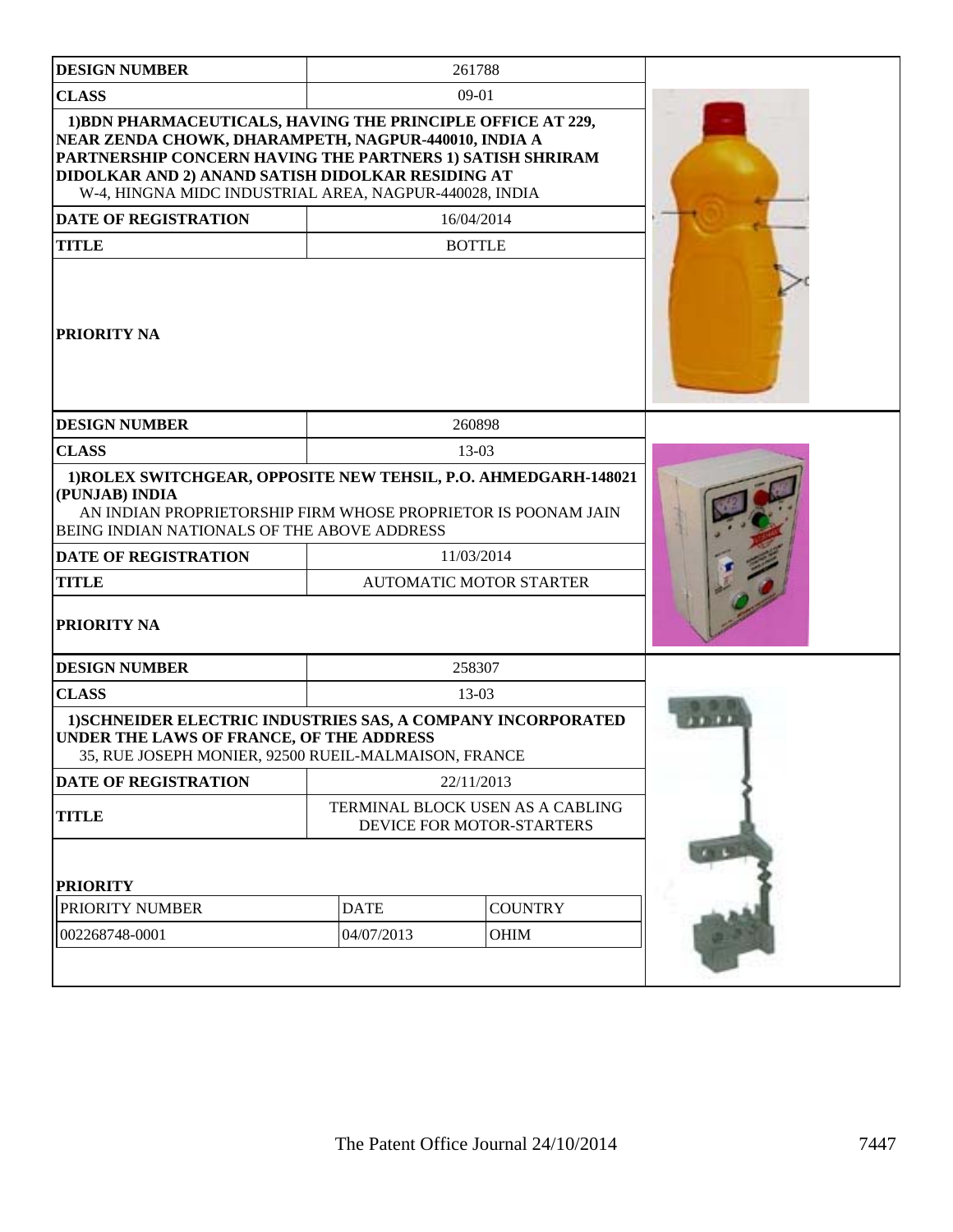| <b>DESIGN NUMBER</b>                                                                                                                                                                                                                                                                            |                                                               | 261788     |  |
|-------------------------------------------------------------------------------------------------------------------------------------------------------------------------------------------------------------------------------------------------------------------------------------------------|---------------------------------------------------------------|------------|--|
| <b>CLASS</b>                                                                                                                                                                                                                                                                                    |                                                               | $09-01$    |  |
| 1) BDN PHARMACEUTICALS, HAVING THE PRINCIPLE OFFICE AT 229,<br>NEAR ZENDA CHOWK, DHARAMPETH, NAGPUR-440010, INDIA A<br>PARTNERSHIP CONCERN HAVING THE PARTNERS 1) SATISH SHRIRAM<br>DIDOLKAR AND 2) ANAND SATISH DIDOLKAR RESIDING AT<br>W-4, HINGNA MIDC INDUSTRIAL AREA, NAGPUR-440028, INDIA |                                                               |            |  |
| <b>DATE OF REGISTRATION</b>                                                                                                                                                                                                                                                                     |                                                               | 16/04/2014 |  |
| <b>TITLE</b>                                                                                                                                                                                                                                                                                    | <b>BOTTLE</b>                                                 |            |  |
| <b>PRIORITY NA</b>                                                                                                                                                                                                                                                                              |                                                               |            |  |
| <b>DESIGN NUMBER</b>                                                                                                                                                                                                                                                                            |                                                               | 260898     |  |
| <b>CLASS</b>                                                                                                                                                                                                                                                                                    |                                                               | 13-03      |  |
| 1) ROLEX SWITCHGEAR, OPPOSITE NEW TEHSIL, P.O. AHMEDGARH-148021<br>(PUNJAB) INDIA<br>AN INDIAN PROPRIETORSHIP FIRM WHOSE PROPRIETOR IS POONAM JAIN<br>BEING INDIAN NATIONALS OF THE ABOVE ADDRESS                                                                                               |                                                               |            |  |
| <b>DATE OF REGISTRATION</b>                                                                                                                                                                                                                                                                     | 11/03/2014                                                    |            |  |
| <b>TITLE</b>                                                                                                                                                                                                                                                                                    | <b>AUTOMATIC MOTOR STARTER</b>                                |            |  |
| <b>PRIORITY NA</b>                                                                                                                                                                                                                                                                              |                                                               |            |  |
| <b>DESIGN NUMBER</b>                                                                                                                                                                                                                                                                            | 258307                                                        |            |  |
| <b>CLASS</b>                                                                                                                                                                                                                                                                                    |                                                               | 13-03      |  |
| <b>1)SCHNEIDER ELECTRIC INDUSTRIES SAS, A COMPANY INCORPORATED</b><br><b>UNDER THE LAWS OF FRANCE, OF THE ADDRESS</b><br>35, RUE JOSEPH MONIER, 92500 RUEIL-MALMAISON, FRANCE                                                                                                                   |                                                               |            |  |
| <b>DATE OF REGISTRATION</b>                                                                                                                                                                                                                                                                     | 22/11/2013                                                    |            |  |
| <b>TITLE</b>                                                                                                                                                                                                                                                                                    | TERMINAL BLOCK USEN AS A CABLING<br>DEVICE FOR MOTOR-STARTERS |            |  |
| <b>PRIORITY</b>                                                                                                                                                                                                                                                                                 |                                                               |            |  |
| PRIORITY NUMBER                                                                                                                                                                                                                                                                                 | <b>DATE</b><br><b>COUNTRY</b>                                 |            |  |
| 002268748-0001                                                                                                                                                                                                                                                                                  | 04/07/2013<br>OHIM                                            |            |  |
|                                                                                                                                                                                                                                                                                                 |                                                               |            |  |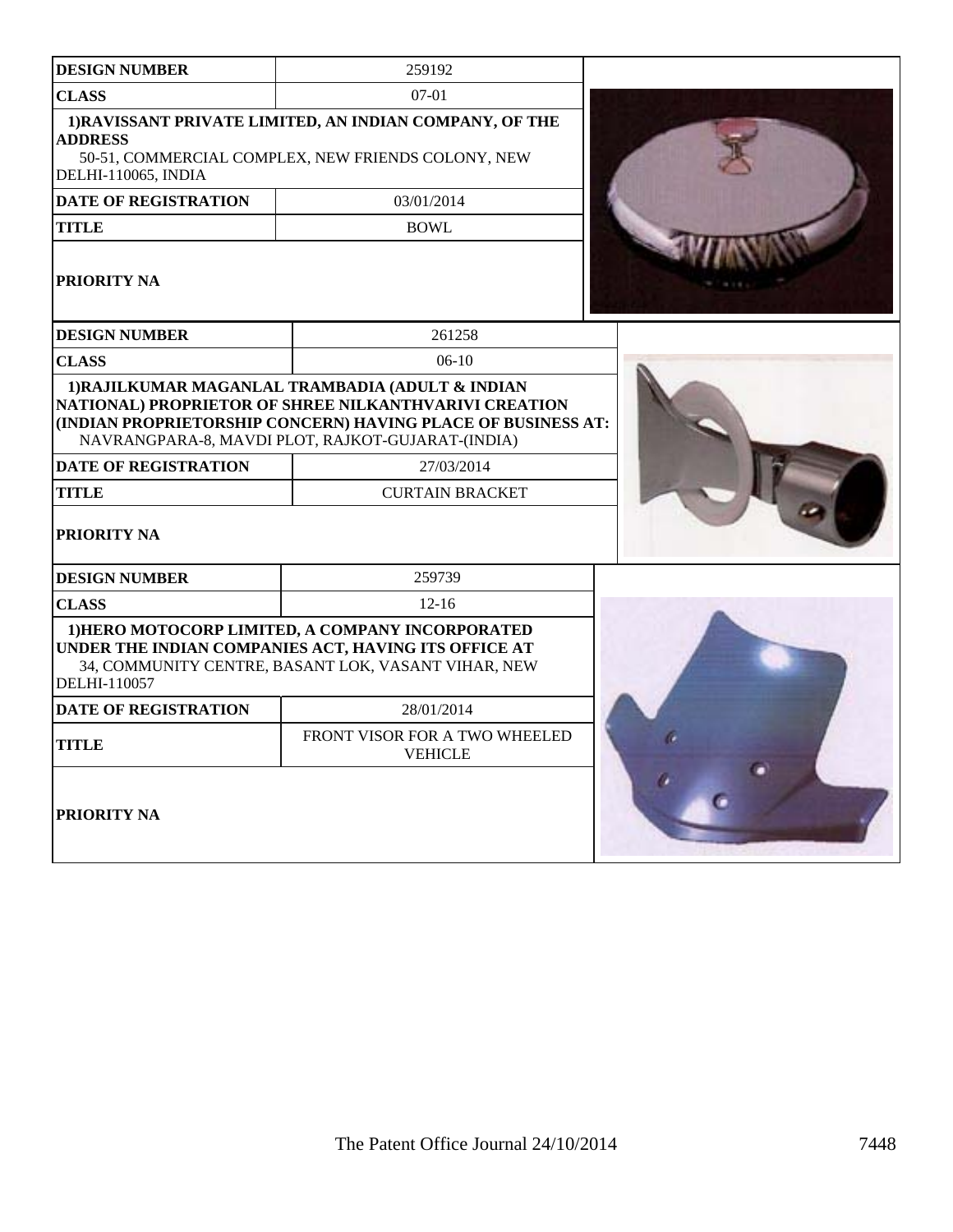| <b>DESIGN NUMBER</b>                                | 259192                                                                                                                                                          |    |
|-----------------------------------------------------|-----------------------------------------------------------------------------------------------------------------------------------------------------------------|----|
| <b>CLASS</b>                                        | $07-01$                                                                                                                                                         |    |
| <b>ADDRESS</b><br>DELHI-110065, INDIA               | 1) RAVISSANT PRIVATE LIMITED, AN INDIAN COMPANY, OF THE<br>50-51, COMMERCIAL COMPLEX, NEW FRIENDS COLONY, NEW                                                   |    |
| <b>DATE OF REGISTRATION</b>                         | 03/01/2014                                                                                                                                                      |    |
| <b>TITLE</b>                                        | <b>BOWL</b>                                                                                                                                                     |    |
| PRIORITY NA                                         |                                                                                                                                                                 |    |
| <b>DESIGN NUMBER</b>                                | 261258                                                                                                                                                          |    |
| <b>CLASS</b>                                        | $06-10$                                                                                                                                                         |    |
| <b>DATE OF REGISTRATION</b><br>TITLE<br>PRIORITY NA | 27/03/2014<br><b>CURTAIN BRACKET</b>                                                                                                                            |    |
| <b>DESIGN NUMBER</b>                                | 259739                                                                                                                                                          |    |
| <b>CLASS</b>                                        | $12 - 16$                                                                                                                                                       |    |
| DELHI-110057                                        | 1) HERO MOTOCORP LIMITED, A COMPANY INCORPORATED<br>UNDER THE INDIAN COMPANIES ACT, HAVING ITS OFFICE AT<br>34, COMMUNITY CENTRE, BASANT LOK, VASANT VIHAR, NEW |    |
| <b>DATE OF REGISTRATION</b>                         | 28/01/2014                                                                                                                                                      |    |
| <b>TITLE</b>                                        | FRONT VISOR FOR A TWO WHEELED<br><b>VEHICLE</b>                                                                                                                 |    |
| PRIORITY NA                                         |                                                                                                                                                                 | n, |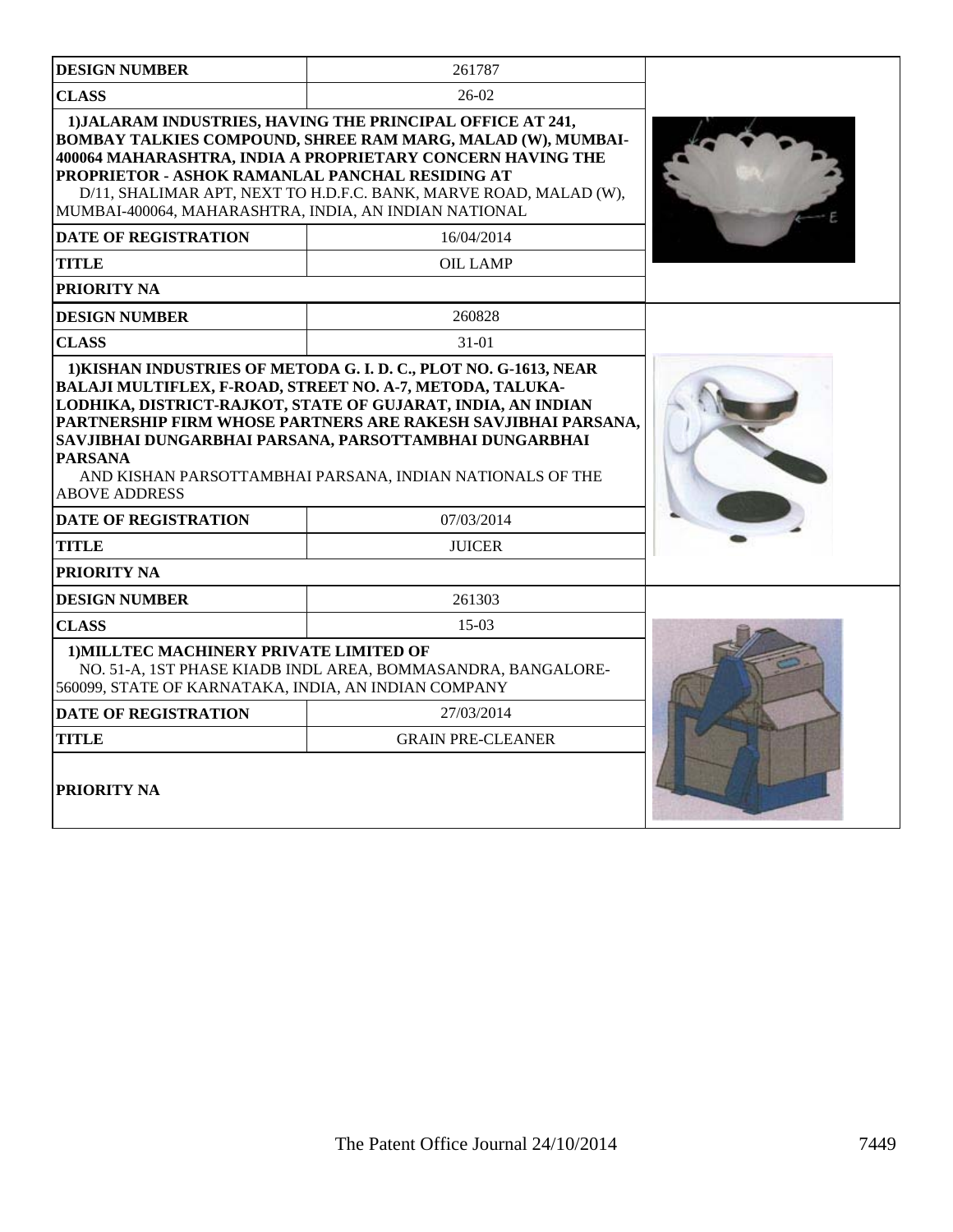| <b>DESIGN NUMBER</b>                                                                                     | 261787                                                                                                                                                                                                                                                                                                            |  |  |
|----------------------------------------------------------------------------------------------------------|-------------------------------------------------------------------------------------------------------------------------------------------------------------------------------------------------------------------------------------------------------------------------------------------------------------------|--|--|
| <b>CLASS</b>                                                                                             | $26-02$                                                                                                                                                                                                                                                                                                           |  |  |
| PROPRIETOR - ASHOK RAMANLAL PANCHAL RESIDING AT<br>MUMBAI-400064, MAHARASHTRA, INDIA, AN INDIAN NATIONAL | 1) JALARAM INDUSTRIES, HAVING THE PRINCIPAL OFFICE AT 241,<br>BOMBAY TALKIES COMPOUND, SHREE RAM MARG, MALAD (W), MUMBAI-<br>400064 MAHARASHTRA, INDIA A PROPRIETARY CONCERN HAVING THE<br>D/11, SHALIMAR APT, NEXT TO H.D.F.C. BANK, MARVE ROAD, MALAD (W),                                                      |  |  |
| <b>DATE OF REGISTRATION</b>                                                                              | 16/04/2014                                                                                                                                                                                                                                                                                                        |  |  |
| <b>TITLE</b>                                                                                             | <b>OIL LAMP</b>                                                                                                                                                                                                                                                                                                   |  |  |
| <b>PRIORITY NA</b>                                                                                       |                                                                                                                                                                                                                                                                                                                   |  |  |
| <b>DESIGN NUMBER</b>                                                                                     | 260828                                                                                                                                                                                                                                                                                                            |  |  |
| <b>CLASS</b>                                                                                             | $31-01$                                                                                                                                                                                                                                                                                                           |  |  |
| <b>PARSANA</b><br><b>ABOVE ADDRESS</b>                                                                   | BALAJI MULTIFLEX, F-ROAD, STREET NO. A-7, METODA, TALUKA-<br>LODHIKA, DISTRICT-RAJKOT, STATE OF GUJARAT, INDIA, AN INDIAN<br>PARTNERSHIP FIRM WHOSE PARTNERS ARE RAKESH SAVJIBHAI PARSANA,<br>SAVJIBHAI DUNGARBHAI PARSANA, PARSOTTAMBHAI DUNGARBHAI<br>AND KISHAN PARSOTTAMBHAI PARSANA, INDIAN NATIONALS OF THE |  |  |
| <b>DATE OF REGISTRATION</b>                                                                              | 07/03/2014                                                                                                                                                                                                                                                                                                        |  |  |
| <b>TITLE</b>                                                                                             | <b>JUICER</b>                                                                                                                                                                                                                                                                                                     |  |  |
| <b>PRIORITY NA</b>                                                                                       |                                                                                                                                                                                                                                                                                                                   |  |  |
| <b>DESIGN NUMBER</b>                                                                                     | 261303                                                                                                                                                                                                                                                                                                            |  |  |
| <b>CLASS</b>                                                                                             | $15-03$                                                                                                                                                                                                                                                                                                           |  |  |
| 1) MILLTEC MACHINERY PRIVATE LIMITED OF<br>560099, STATE OF KARNATAKA, INDIA, AN INDIAN COMPANY          | NO. 51-A, 1ST PHASE KIADB INDL AREA, BOMMASANDRA, BANGALORE-                                                                                                                                                                                                                                                      |  |  |
| <b>DATE OF REGISTRATION</b>                                                                              |                                                                                                                                                                                                                                                                                                                   |  |  |
| <b>GRAIN PRE-CLEANER</b><br><b>TITLE</b>                                                                 |                                                                                                                                                                                                                                                                                                                   |  |  |
| PRIORITY NA                                                                                              |                                                                                                                                                                                                                                                                                                                   |  |  |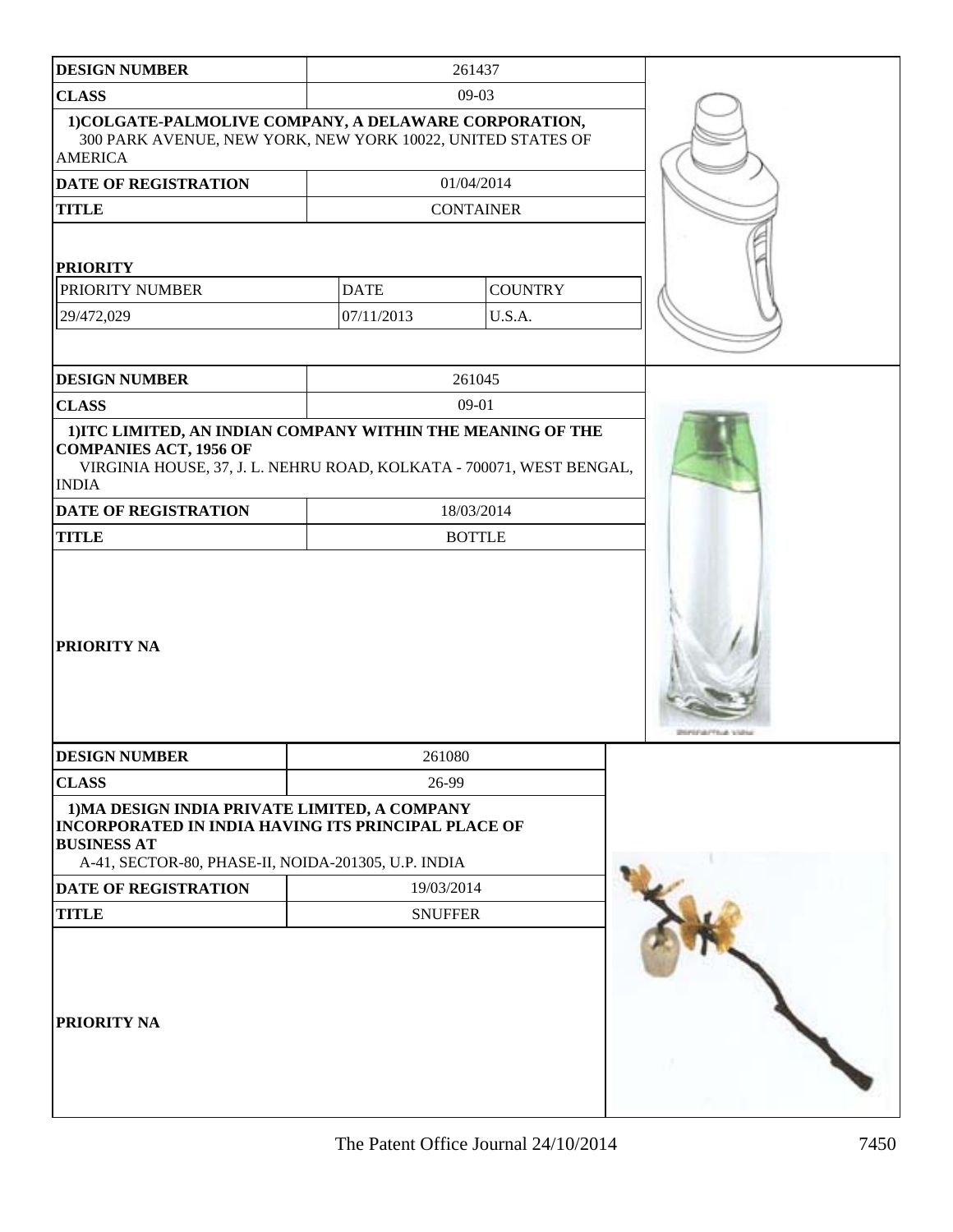| <b>DESIGN NUMBER</b>                                                                                                                                                                 |                | 261437           |  |
|--------------------------------------------------------------------------------------------------------------------------------------------------------------------------------------|----------------|------------------|--|
| <b>CLASS</b>                                                                                                                                                                         |                | $09-03$          |  |
| 1) COLGATE-PALMOLIVE COMPANY, A DELAWARE CORPORATION,<br>300 PARK AVENUE, NEW YORK, NEW YORK 10022, UNITED STATES OF<br><b>AMERICA</b>                                               |                |                  |  |
| <b>DATE OF REGISTRATION</b>                                                                                                                                                          |                | 01/04/2014       |  |
| <b>TITLE</b>                                                                                                                                                                         |                | <b>CONTAINER</b> |  |
| <b>PRIORITY</b>                                                                                                                                                                      |                |                  |  |
| PRIORITY NUMBER                                                                                                                                                                      | <b>DATE</b>    | <b>COUNTRY</b>   |  |
| 29/472,029                                                                                                                                                                           | 07/11/2013     | U.S.A.           |  |
|                                                                                                                                                                                      |                |                  |  |
| <b>DESIGN NUMBER</b>                                                                                                                                                                 |                | 261045           |  |
| <b>CLASS</b>                                                                                                                                                                         |                | 09-01            |  |
| 1) ITC LIMITED, AN INDIAN COMPANY WITHIN THE MEANING OF THE<br><b>COMPANIES ACT, 1956 OF</b><br>VIRGINIA HOUSE, 37, J. L. NEHRU ROAD, KOLKATA - 700071, WEST BENGAL,<br><b>INDIA</b> |                |                  |  |
| DATE OF REGISTRATION                                                                                                                                                                 |                | 18/03/2014       |  |
| <b>TITLE</b>                                                                                                                                                                         |                | <b>BOTTLE</b>    |  |
| <b>PRIORITY NA</b>                                                                                                                                                                   |                |                  |  |
| <b>DESIGN NUMBER</b>                                                                                                                                                                 | 261080         |                  |  |
| <b>CLASS</b>                                                                                                                                                                         | 26-99          |                  |  |
| 1) MA DESIGN INDIA PRIVATE LIMITED, A COMPANY<br>INCORPORATED IN INDIA HAVING ITS PRINCIPAL PLACE OF<br><b>BUSINESS AT</b><br>A-41, SECTOR-80, PHASE-II, NOIDA-201305, U.P. INDIA    |                |                  |  |
| DATE OF REGISTRATION                                                                                                                                                                 | 19/03/2014     |                  |  |
| <b>TITLE</b>                                                                                                                                                                         | <b>SNUFFER</b> |                  |  |
| PRIORITY NA                                                                                                                                                                          |                |                  |  |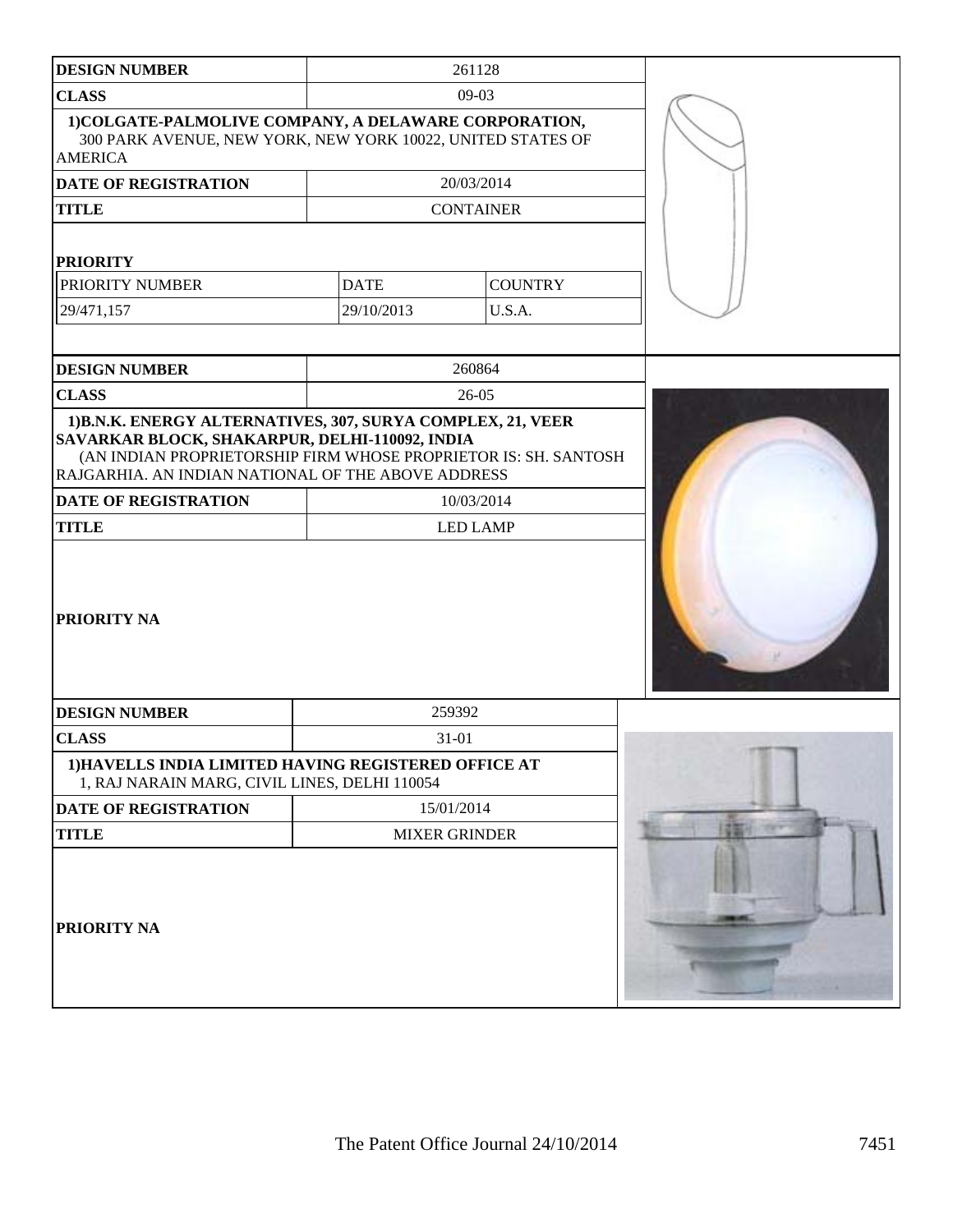| <b>DESIGN NUMBER</b>                                                                                                                                                                                                                   |                      | 261128           |  |
|----------------------------------------------------------------------------------------------------------------------------------------------------------------------------------------------------------------------------------------|----------------------|------------------|--|
| <b>CLASS</b>                                                                                                                                                                                                                           |                      | $09-03$          |  |
| 1) COLGATE-PALMOLIVE COMPANY, A DELAWARE CORPORATION,<br>300 PARK AVENUE, NEW YORK, NEW YORK 10022, UNITED STATES OF<br><b>AMERICA</b>                                                                                                 |                      |                  |  |
| <b>DATE OF REGISTRATION</b>                                                                                                                                                                                                            |                      | 20/03/2014       |  |
| <b>TITLE</b>                                                                                                                                                                                                                           |                      | <b>CONTAINER</b> |  |
| <b>PRIORITY</b>                                                                                                                                                                                                                        |                      |                  |  |
| PRIORITY NUMBER                                                                                                                                                                                                                        | <b>DATE</b>          | <b>COUNTRY</b>   |  |
| 29/471,157                                                                                                                                                                                                                             | 29/10/2013           | U.S.A.           |  |
|                                                                                                                                                                                                                                        |                      |                  |  |
| <b>DESIGN NUMBER</b>                                                                                                                                                                                                                   |                      | 260864           |  |
| <b>CLASS</b>                                                                                                                                                                                                                           |                      | $26-05$          |  |
| 1) B.N.K. ENERGY ALTERNATIVES, 307, SURYA COMPLEX, 21, VEER<br>SAVARKAR BLOCK, SHAKARPUR, DELHI-110092, INDIA<br>(AN INDIAN PROPRIETORSHIP FIRM WHOSE PROPRIETOR IS: SH. SANTOSH<br>RAJGARHIA. AN INDIAN NATIONAL OF THE ABOVE ADDRESS |                      |                  |  |
| <b>DATE OF REGISTRATION</b>                                                                                                                                                                                                            |                      | 10/03/2014       |  |
| <b>TITLE</b>                                                                                                                                                                                                                           |                      | <b>LED LAMP</b>  |  |
| <b>PRIORITY NA</b>                                                                                                                                                                                                                     |                      |                  |  |
| <b>DESIGN NUMBER</b>                                                                                                                                                                                                                   | 259392               |                  |  |
| <b>CLASS</b>                                                                                                                                                                                                                           | $31 - 01$            |                  |  |
| 1) HAVELLS INDIA LIMITED HAVING REGISTERED OFFICE AT<br>1, RAJ NARAIN MARG, CIVIL LINES, DELHI 110054                                                                                                                                  |                      |                  |  |
| DATE OF REGISTRATION                                                                                                                                                                                                                   | 15/01/2014           |                  |  |
| <b>TITLE</b>                                                                                                                                                                                                                           | <b>MIXER GRINDER</b> |                  |  |
| PRIORITY NA                                                                                                                                                                                                                            |                      |                  |  |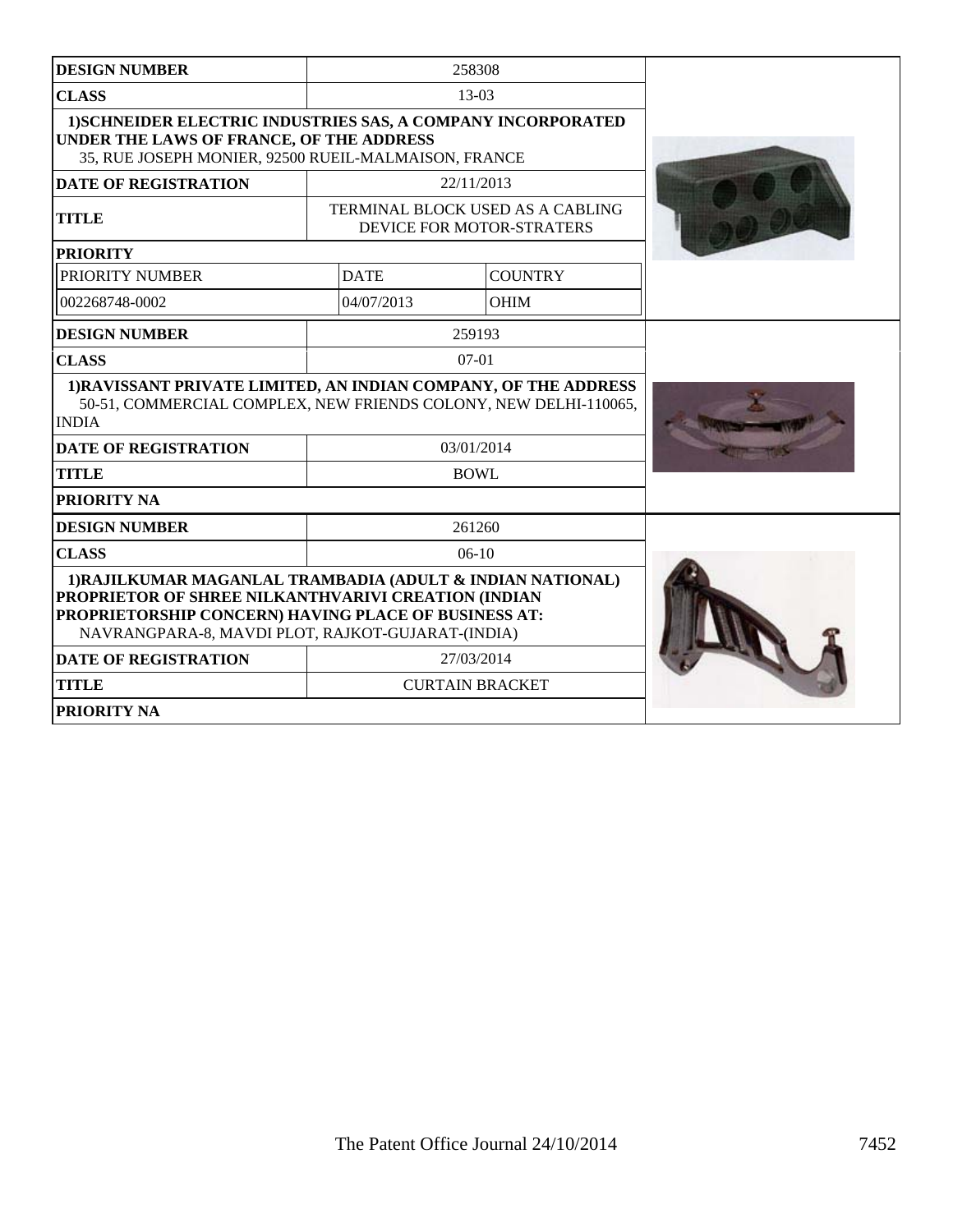| <b>DESIGN NUMBER</b>                                                                                                                                                                                                           |             | 258308                                                        |  |
|--------------------------------------------------------------------------------------------------------------------------------------------------------------------------------------------------------------------------------|-------------|---------------------------------------------------------------|--|
| <b>CLASS</b>                                                                                                                                                                                                                   |             | 13-03                                                         |  |
| <b>1)SCHNEIDER ELECTRIC INDUSTRIES SAS, A COMPANY INCORPORATED</b><br>UNDER THE LAWS OF FRANCE, OF THE ADDRESS<br>35, RUE JOSEPH MONIER, 92500 RUEIL-MALMAISON, FRANCE                                                         |             |                                                               |  |
| <b>DATE OF REGISTRATION</b>                                                                                                                                                                                                    |             | 22/11/2013                                                    |  |
| <b>TITLE</b>                                                                                                                                                                                                                   |             | TERMINAL BLOCK USED AS A CABLING<br>DEVICE FOR MOTOR-STRATERS |  |
| <b>PRIORITY</b>                                                                                                                                                                                                                |             |                                                               |  |
| PRIORITY NUMBER                                                                                                                                                                                                                | <b>DATE</b> | <b>COUNTRY</b>                                                |  |
| 002268748-0002                                                                                                                                                                                                                 | 04/07/2013  | <b>OHIM</b>                                                   |  |
| <b>DESIGN NUMBER</b>                                                                                                                                                                                                           |             | 259193                                                        |  |
| <b>CLASS</b>                                                                                                                                                                                                                   |             | $07-01$                                                       |  |
| 1) RAVISSANT PRIVATE LIMITED, AN INDIAN COMPANY, OF THE ADDRESS<br>50-51, COMMERCIAL COMPLEX, NEW FRIENDS COLONY, NEW DELHI-110065,<br><b>INDIA</b>                                                                            |             |                                                               |  |
| <b>DATE OF REGISTRATION</b>                                                                                                                                                                                                    | 03/01/2014  |                                                               |  |
| <b>TITLE</b>                                                                                                                                                                                                                   | <b>BOWL</b> |                                                               |  |
| <b>PRIORITY NA</b>                                                                                                                                                                                                             |             |                                                               |  |
| <b>DESIGN NUMBER</b>                                                                                                                                                                                                           |             | 261260                                                        |  |
| <b>CLASS</b>                                                                                                                                                                                                                   |             | $06-10$                                                       |  |
| 1) RAJILKUMAR MAGANLAL TRAMBADIA (ADULT & INDIAN NATIONAL)<br>PROPRIETOR OF SHREE NILKANTHVARIVI CREATION (INDIAN<br>PROPRIETORSHIP CONCERN) HAVING PLACE OF BUSINESS AT:<br>NAVRANGPARA-8, MAVDI PLOT, RAJKOT-GUJARAT-(INDIA) |             |                                                               |  |
| <b>DATE OF REGISTRATION</b>                                                                                                                                                                                                    |             | 27/03/2014                                                    |  |
| <b>TITLE</b>                                                                                                                                                                                                                   |             | <b>CURTAIN BRACKET</b>                                        |  |
| <b>PRIORITY NA</b>                                                                                                                                                                                                             |             |                                                               |  |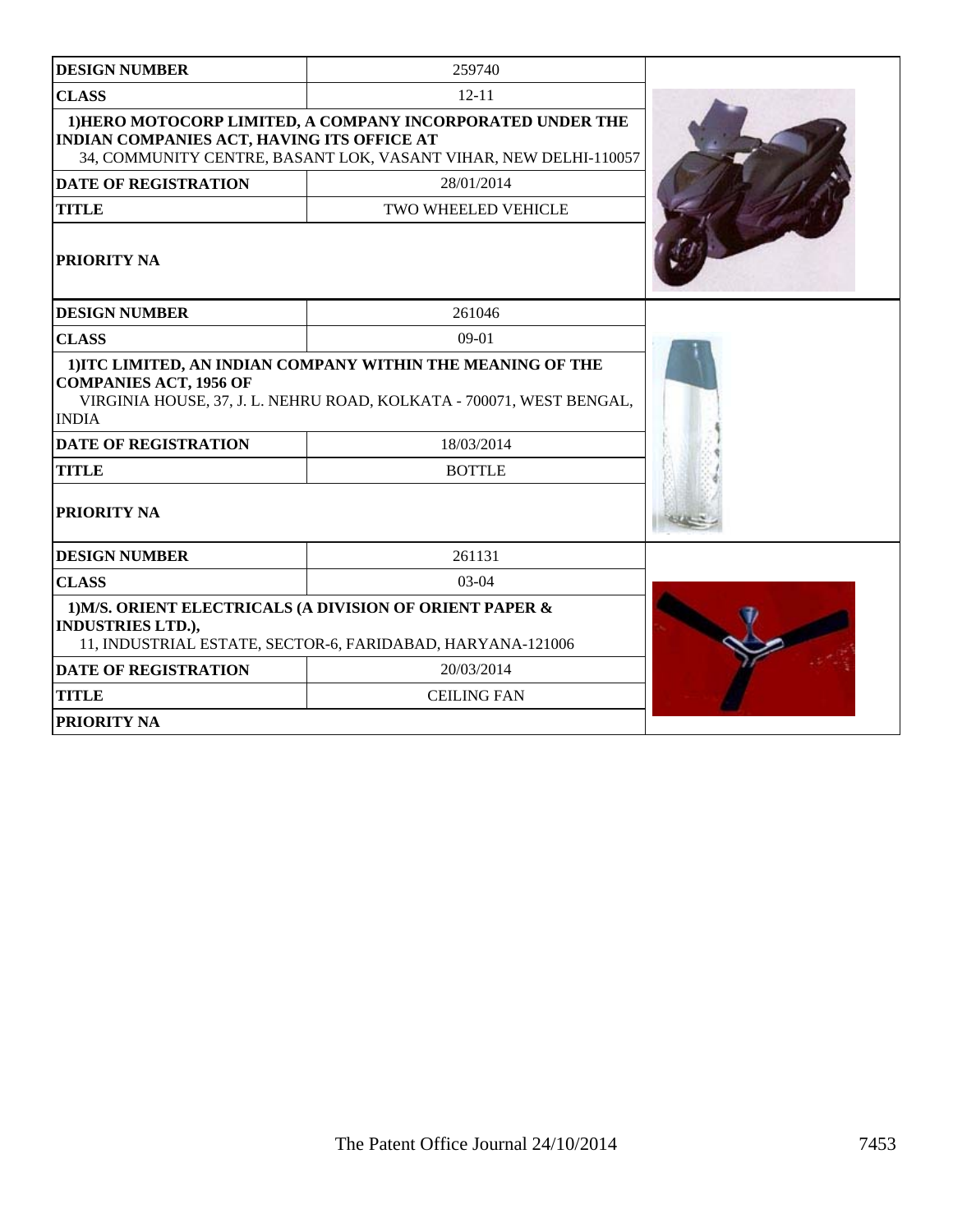| <b>DESIGN NUMBER</b>                                                                                                                               | 259740                                                                                                                              |  |
|----------------------------------------------------------------------------------------------------------------------------------------------------|-------------------------------------------------------------------------------------------------------------------------------------|--|
| <b>CLASS</b>                                                                                                                                       | $12 - 11$                                                                                                                           |  |
| <b>INDIAN COMPANIES ACT, HAVING ITS OFFICE AT</b>                                                                                                  | 1) HERO MOTOCORP LIMITED, A COMPANY INCORPORATED UNDER THE<br>34, COMMUNITY CENTRE, BASANT LOK, VASANT VIHAR, NEW DELHI-110057      |  |
| <b>DATE OF REGISTRATION</b>                                                                                                                        | 28/01/2014                                                                                                                          |  |
| <b>TITLE</b>                                                                                                                                       | TWO WHEELED VEHICLE                                                                                                                 |  |
| PRIORITY NA                                                                                                                                        |                                                                                                                                     |  |
| <b>DESIGN NUMBER</b>                                                                                                                               | 261046                                                                                                                              |  |
| <b>CLASS</b>                                                                                                                                       | $09-01$                                                                                                                             |  |
| <b>COMPANIES ACT, 1956 OF</b><br><b>INDIA</b>                                                                                                      | 1) ITC LIMITED, AN INDIAN COMPANY WITHIN THE MEANING OF THE<br>VIRGINIA HOUSE, 37, J. L. NEHRU ROAD, KOLKATA - 700071, WEST BENGAL, |  |
| <b>DATE OF REGISTRATION</b>                                                                                                                        | 18/03/2014                                                                                                                          |  |
| <b>TITLE</b>                                                                                                                                       | <b>BOTTLE</b>                                                                                                                       |  |
| <b>PRIORITY NA</b>                                                                                                                                 |                                                                                                                                     |  |
| <b>DESIGN NUMBER</b>                                                                                                                               | 261131                                                                                                                              |  |
| <b>CLASS</b>                                                                                                                                       | 03-04                                                                                                                               |  |
| 1) M/S. ORIENT ELECTRICALS (A DIVISION OF ORIENT PAPER &<br><b>INDUSTRIES LTD.),</b><br>11, INDUSTRIAL ESTATE, SECTOR-6, FARIDABAD, HARYANA-121006 |                                                                                                                                     |  |
| <b>DATE OF REGISTRATION</b>                                                                                                                        | 20/03/2014                                                                                                                          |  |
| <b>TITLE</b>                                                                                                                                       | <b>CEILING FAN</b>                                                                                                                  |  |
| PRIORITY NA                                                                                                                                        |                                                                                                                                     |  |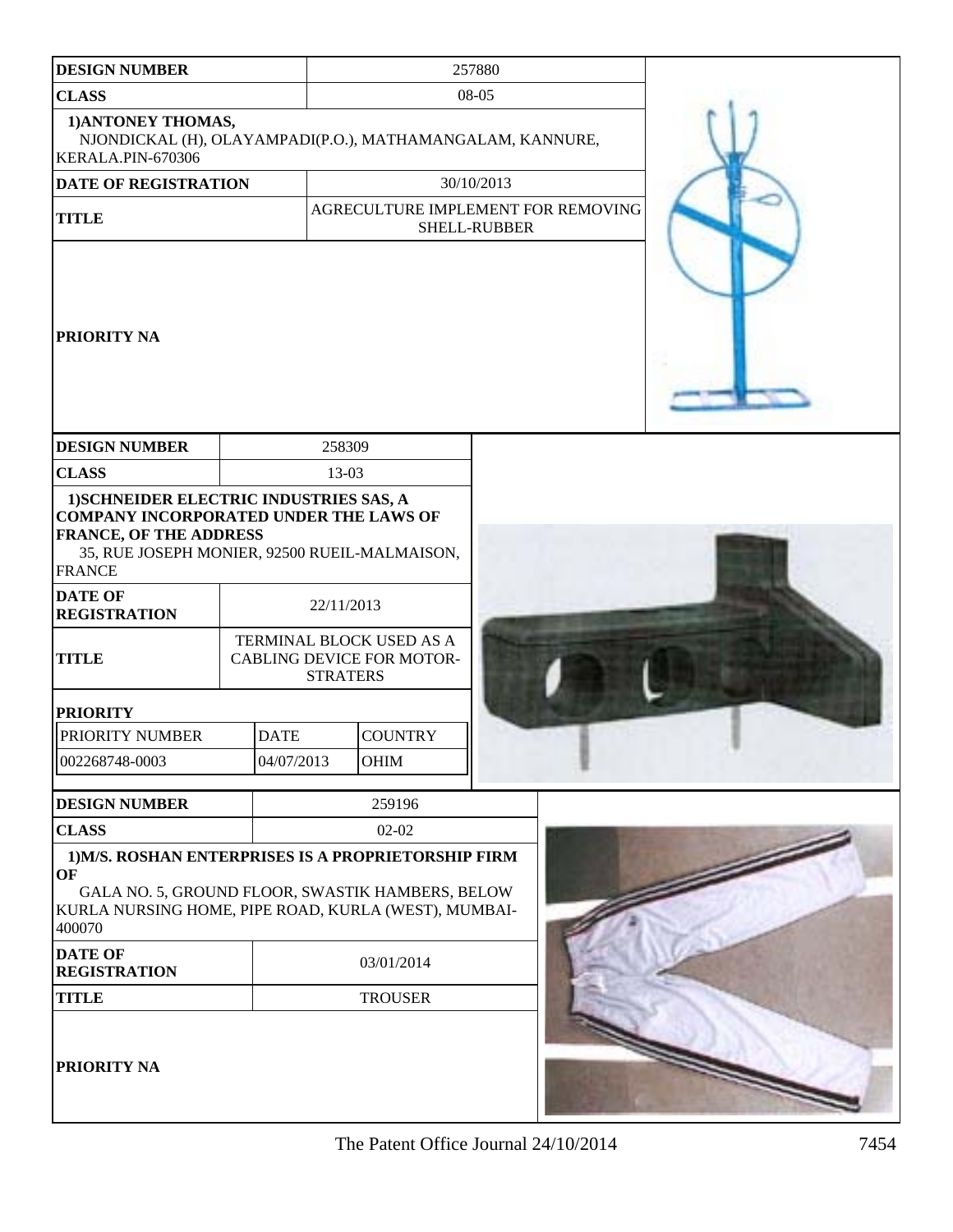| <b>DESIGN NUMBER</b>                                                                                                                                                                        |             |                                                                                 |                                    | 257880       |  |  |
|---------------------------------------------------------------------------------------------------------------------------------------------------------------------------------------------|-------------|---------------------------------------------------------------------------------|------------------------------------|--------------|--|--|
| <b>CLASS</b>                                                                                                                                                                                |             | 08-05                                                                           |                                    |              |  |  |
| 1) ANTONEY THOMAS,<br>NJONDICKAL (H), OLAYAMPADI(P.O.), MATHAMANGALAM, KANNURE,<br>KERALA.PIN-670306                                                                                        |             |                                                                                 |                                    |              |  |  |
| DATE OF REGISTRATION<br>30/10/2013                                                                                                                                                          |             |                                                                                 |                                    |              |  |  |
| <b>TITLE</b>                                                                                                                                                                                |             |                                                                                 | AGRECULTURE IMPLEMENT FOR REMOVING |              |  |  |
|                                                                                                                                                                                             |             |                                                                                 |                                    | SHELL-RUBBER |  |  |
| <b>PRIORITY NA</b>                                                                                                                                                                          |             |                                                                                 |                                    |              |  |  |
| <b>DESIGN NUMBER</b>                                                                                                                                                                        |             | 258309                                                                          |                                    |              |  |  |
| <b>CLASS</b>                                                                                                                                                                                |             | 13-03                                                                           |                                    |              |  |  |
| 1) SCHNEIDER ELECTRIC INDUSTRIES SAS, A<br><b>COMPANY INCORPORATED UNDER THE LAWS OF</b><br><b>FRANCE, OF THE ADDRESS</b><br>35, RUE JOSEPH MONIER, 92500 RUEIL-MALMAISON,<br><b>FRANCE</b> |             |                                                                                 |                                    |              |  |  |
| <b>DATE OF</b><br><b>REGISTRATION</b>                                                                                                                                                       |             | 22/11/2013                                                                      |                                    |              |  |  |
| <b>TITLE</b>                                                                                                                                                                                |             | TERMINAL BLOCK USED AS A<br><b>CABLING DEVICE FOR MOTOR-</b><br><b>STRATERS</b> |                                    |              |  |  |
| <b>PRIORITY</b>                                                                                                                                                                             |             |                                                                                 |                                    |              |  |  |
| PRIORITY NUMBER                                                                                                                                                                             | <b>DATE</b> |                                                                                 | <b>COUNTRY</b>                     |              |  |  |
| 002268748-0003                                                                                                                                                                              | 04/07/2013  |                                                                                 | <b>OHIM</b>                        |              |  |  |
| <b>DESIGN NUMBER</b>                                                                                                                                                                        |             |                                                                                 | 259196                             |              |  |  |
| <b>CLASS</b>                                                                                                                                                                                | $02-02$     |                                                                                 |                                    |              |  |  |
| 1) M/S. ROSHAN ENTERPRISES IS A PROPRIETORSHIP FIRM<br>OF<br>GALA NO. 5, GROUND FLOOR, SWASTIK HAMBERS, BELOW<br>KURLA NURSING HOME, PIPE ROAD, KURLA (WEST), MUMBAI-<br>400070             |             |                                                                                 |                                    |              |  |  |
| <b>DATE OF</b><br><b>REGISTRATION</b>                                                                                                                                                       |             |                                                                                 | 03/01/2014                         |              |  |  |
| <b>TITLE</b>                                                                                                                                                                                |             |                                                                                 | <b>TROUSER</b>                     |              |  |  |
| <b>PRIORITY NA</b>                                                                                                                                                                          |             |                                                                                 |                                    |              |  |  |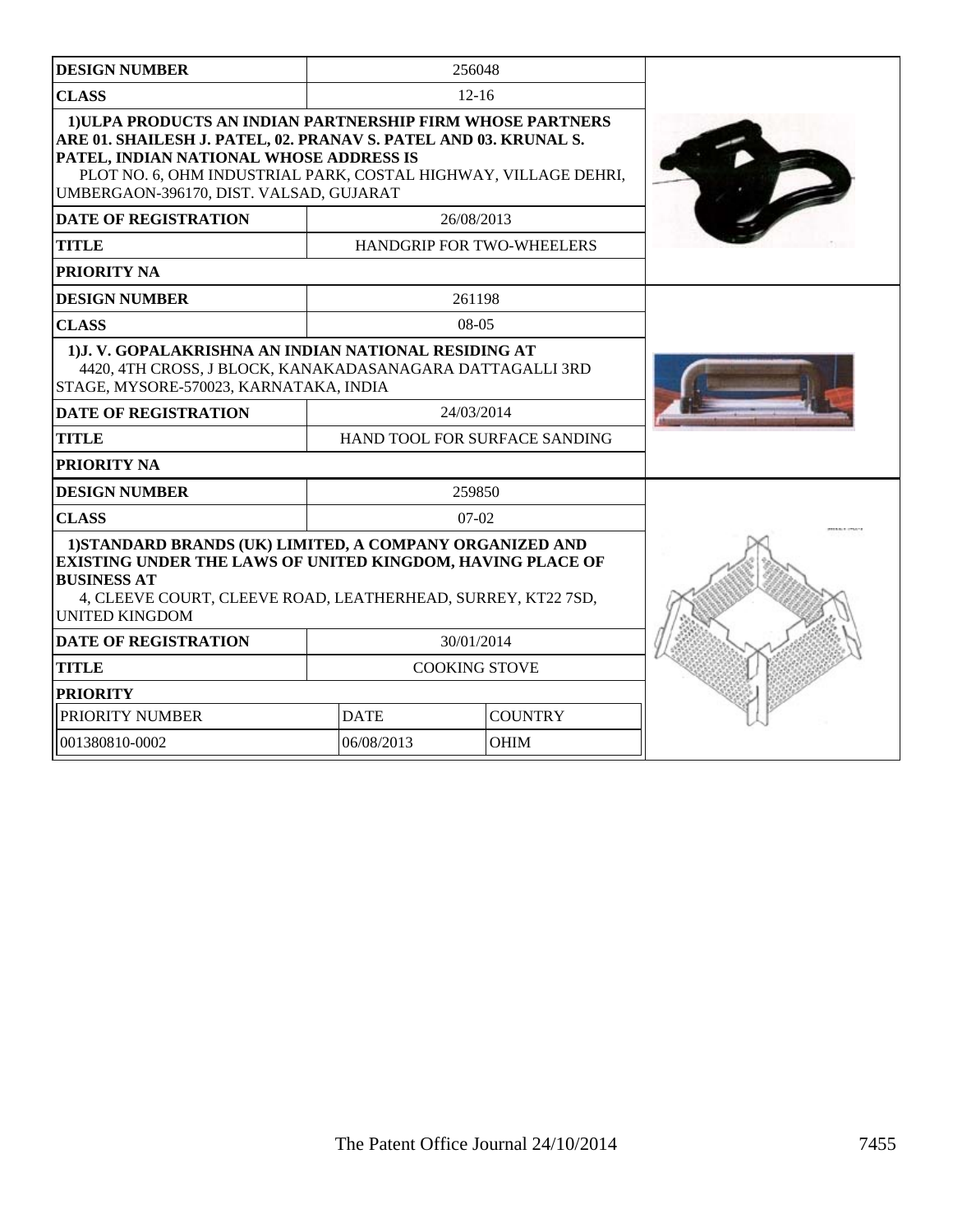| <b>DESIGN NUMBER</b>                                                                                                                                                                                                                                                                    | 256048                           |                |  |
|-----------------------------------------------------------------------------------------------------------------------------------------------------------------------------------------------------------------------------------------------------------------------------------------|----------------------------------|----------------|--|
| <b>CLASS</b>                                                                                                                                                                                                                                                                            | $12 - 16$                        |                |  |
| 1) ULPA PRODUCTS AN INDIAN PARTNERSHIP FIRM WHOSE PARTNERS<br>ARE 01. SHAILESH J. PATEL, 02. PRANAV S. PATEL AND 03. KRUNAL S.<br>PATEL, INDIAN NATIONAL WHOSE ADDRESS IS<br>PLOT NO. 6, OHM INDUSTRIAL PARK, COSTAL HIGHWAY, VILLAGE DEHRI,<br>UMBERGAON-396170, DIST. VALSAD, GUJARAT |                                  |                |  |
| <b>DATE OF REGISTRATION</b>                                                                                                                                                                                                                                                             | 26/08/2013                       |                |  |
| <b>TITLE</b>                                                                                                                                                                                                                                                                            | <b>HANDGRIP FOR TWO-WHEELERS</b> |                |  |
| PRIORITY NA                                                                                                                                                                                                                                                                             |                                  |                |  |
| <b>DESIGN NUMBER</b>                                                                                                                                                                                                                                                                    | 261198                           |                |  |
| <b>CLASS</b>                                                                                                                                                                                                                                                                            | $08-05$                          |                |  |
| 1) J.V. GOPALAKRISHNA AN INDIAN NATIONAL RESIDING AT<br>4420, 4TH CROSS, J BLOCK, KANAKADASANAGARA DATTAGALLI 3RD<br>STAGE, MYSORE-570023, KARNATAKA, INDIA                                                                                                                             |                                  |                |  |
| DATE OF REGISTRATION                                                                                                                                                                                                                                                                    | 24/03/2014                       |                |  |
| <b>TITLE</b>                                                                                                                                                                                                                                                                            | HAND TOOL FOR SURFACE SANDING    |                |  |
| PRIORITY NA                                                                                                                                                                                                                                                                             |                                  |                |  |
| <b>DESIGN NUMBER</b><br>259850                                                                                                                                                                                                                                                          |                                  |                |  |
| <b>CLASS</b>                                                                                                                                                                                                                                                                            | $07-02$                          |                |  |
| 1) STANDARD BRANDS (UK) LIMITED, A COMPANY ORGANIZED AND<br><b>EXISTING UNDER THE LAWS OF UNITED KINGDOM, HAVING PLACE OF</b><br><b>BUSINESS AT</b><br>4, CLEEVE COURT, CLEEVE ROAD, LEATHERHEAD, SURREY, KT22 7SD,<br><b>UNITED KINGDOM</b>                                            |                                  |                |  |
| <b>DATE OF REGISTRATION</b>                                                                                                                                                                                                                                                             | 30/01/2014                       |                |  |
| <b>TITLE</b>                                                                                                                                                                                                                                                                            | <b>COOKING STOVE</b>             |                |  |
| <b>PRIORITY</b>                                                                                                                                                                                                                                                                         |                                  |                |  |
| PRIORITY NUMBER                                                                                                                                                                                                                                                                         | <b>DATE</b>                      | <b>COUNTRY</b> |  |
| 001380810-0002                                                                                                                                                                                                                                                                          | 06/08/2013                       | <b>OHIM</b>    |  |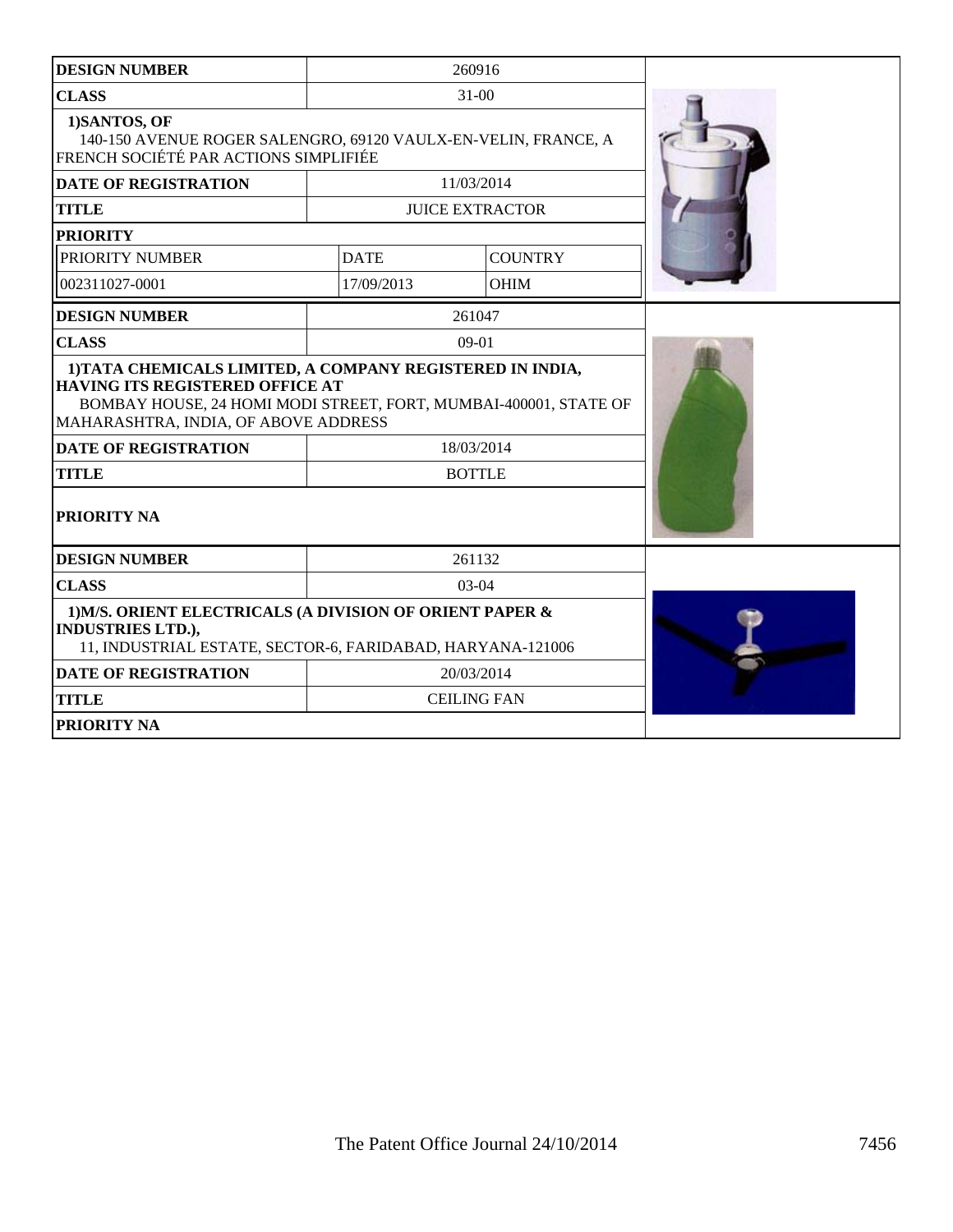| <b>DESIGN NUMBER</b>                                                                                                                               |             | 260916                 |  |
|----------------------------------------------------------------------------------------------------------------------------------------------------|-------------|------------------------|--|
| <b>CLASS</b>                                                                                                                                       |             | $31 - 00$              |  |
| 1)SANTOS, OF<br>140-150 AVENUE ROGER SALENGRO, 69120 VAULX-EN-VELIN, FRANCE, A<br>FRENCH SOCIÉTÉ PAR ACTIONS SIMPLIFIÉE                            |             |                        |  |
| <b>DATE OF REGISTRATION</b>                                                                                                                        |             | 11/03/2014             |  |
| <b>TITLE</b>                                                                                                                                       |             | <b>JUICE EXTRACTOR</b> |  |
| <b>PRIORITY</b>                                                                                                                                    |             |                        |  |
| PRIORITY NUMBER                                                                                                                                    | <b>DATE</b> | <b>COUNTRY</b>         |  |
| 002311027-0001                                                                                                                                     | 17/09/2013  | <b>OHIM</b>            |  |
| <b>DESIGN NUMBER</b>                                                                                                                               |             | 261047                 |  |
| <b>CLASS</b>                                                                                                                                       |             | $09-01$                |  |
| <b>HAVING ITS REGISTERED OFFICE AT</b><br>BOMBAY HOUSE, 24 HOMI MODI STREET, FORT, MUMBAI-400001, STATE OF<br>MAHARASHTRA, INDIA, OF ABOVE ADDRESS |             |                        |  |
| <b>DATE OF REGISTRATION</b>                                                                                                                        |             | 18/03/2014             |  |
| <b>TITLE</b>                                                                                                                                       |             | <b>BOTTLE</b>          |  |
| PRIORITY NA                                                                                                                                        |             |                        |  |
| <b>DESIGN NUMBER</b>                                                                                                                               |             | 261132                 |  |
| <b>CLASS</b>                                                                                                                                       |             | $03-04$                |  |
| 1) M/S. ORIENT ELECTRICALS (A DIVISION OF ORIENT PAPER &<br><b>INDUSTRIES LTD.),</b><br>11, INDUSTRIAL ESTATE, SECTOR-6, FARIDABAD, HARYANA-121006 |             |                        |  |
| <b>DATE OF REGISTRATION</b>                                                                                                                        |             | 20/03/2014             |  |
| <b>TITLE</b>                                                                                                                                       |             | <b>CEILING FAN</b>     |  |
| <b>PRIORITY NA</b>                                                                                                                                 |             |                        |  |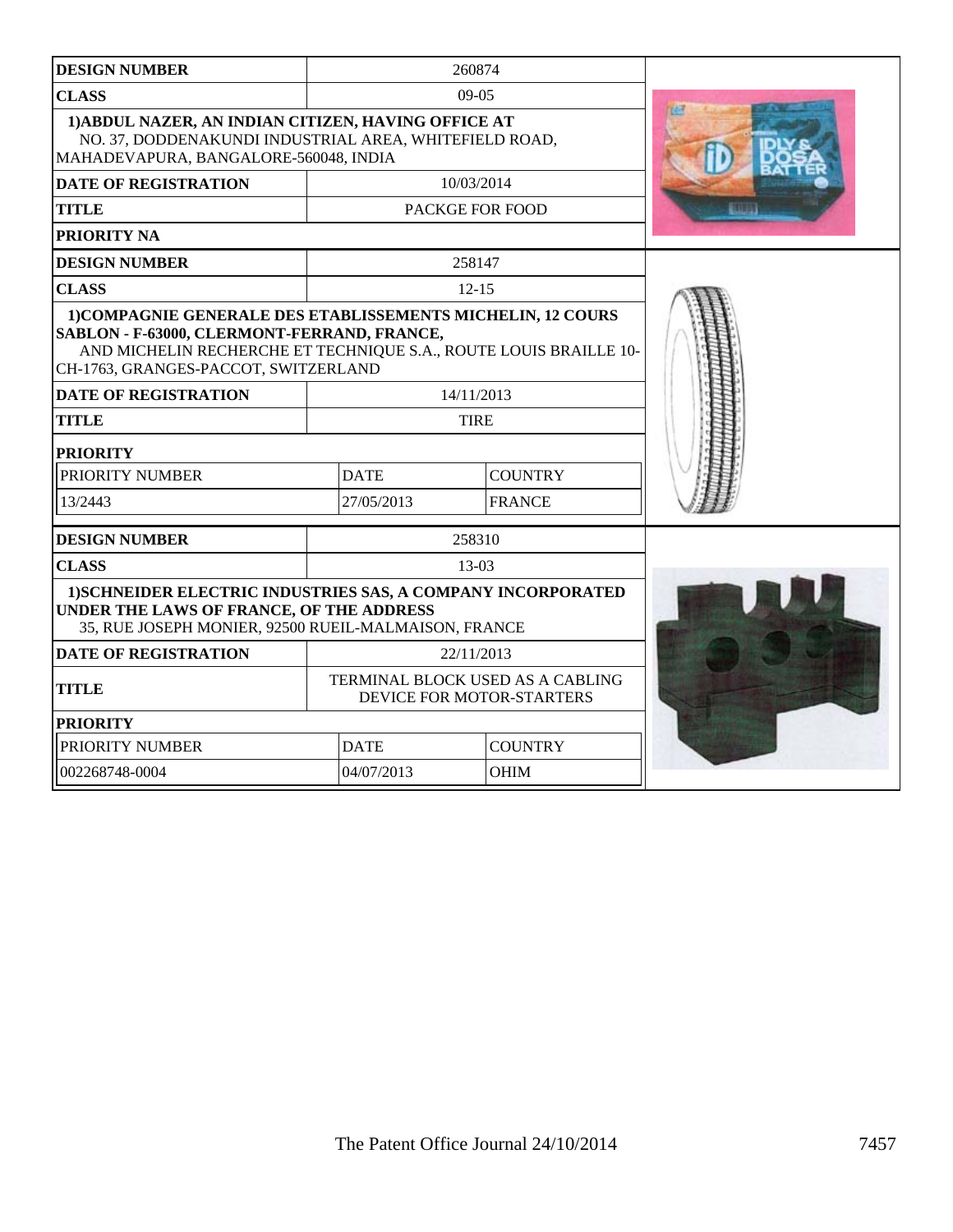| <b>DESIGN NUMBER</b>                                                                                                                                                                                                    |                             | 260874                                                        |               |
|-------------------------------------------------------------------------------------------------------------------------------------------------------------------------------------------------------------------------|-----------------------------|---------------------------------------------------------------|---------------|
| <b>CLASS</b>                                                                                                                                                                                                            |                             | $09-05$                                                       |               |
| 1) ABDUL NAZER, AN INDIAN CITIZEN, HAVING OFFICE AT<br>NO. 37, DODDENAKUNDI INDUSTRIAL AREA, WHITEFIELD ROAD,<br>MAHADEVAPURA, BANGALORE-560048, INDIA                                                                  | 四                           |                                                               |               |
| <b>DATE OF REGISTRATION</b>                                                                                                                                                                                             |                             | 10/03/2014                                                    |               |
| <b>TITLE</b>                                                                                                                                                                                                            |                             | PACKGE FOR FOOD                                               | <b>ETHIOL</b> |
| <b>PRIORITY NA</b>                                                                                                                                                                                                      |                             |                                                               |               |
| <b>DESIGN NUMBER</b>                                                                                                                                                                                                    |                             | 258147                                                        |               |
| <b>CLASS</b>                                                                                                                                                                                                            |                             | $12 - 15$                                                     |               |
| 1) COMPAGNIE GENERALE DES ETABLISSEMENTS MICHELIN, 12 COURS<br>SABLON - F-63000, CLERMONT-FERRAND, FRANCE,<br>AND MICHELIN RECHERCHE ET TECHNIQUE S.A., ROUTE LOUIS BRAILLE 10-<br>CH-1763, GRANGES-PACCOT, SWITZERLAND |                             |                                                               |               |
| <b>DATE OF REGISTRATION</b>                                                                                                                                                                                             |                             | 14/11/2013                                                    |               |
| <b>TITLE</b>                                                                                                                                                                                                            |                             | <b>TIRE</b>                                                   |               |
| <b>PRIORITY</b>                                                                                                                                                                                                         |                             |                                                               |               |
| PRIORITY NUMBER                                                                                                                                                                                                         | <b>DATE</b>                 | <b>COUNTRY</b>                                                |               |
| 13/2443                                                                                                                                                                                                                 | 27/05/2013<br><b>FRANCE</b> |                                                               |               |
| <b>DESIGN NUMBER</b>                                                                                                                                                                                                    |                             | 258310                                                        |               |
| <b>CLASS</b>                                                                                                                                                                                                            |                             | 13-03                                                         |               |
| 1) SCHNEIDER ELECTRIC INDUSTRIES SAS, A COMPANY INCORPORATED<br>UNDER THE LAWS OF FRANCE, OF THE ADDRESS<br>35, RUE JOSEPH MONIER, 92500 RUEIL-MALMAISON, FRANCE                                                        |                             |                                                               |               |
| <b>DATE OF REGISTRATION</b>                                                                                                                                                                                             |                             | 22/11/2013                                                    |               |
| <b>TITLE</b>                                                                                                                                                                                                            |                             | TERMINAL BLOCK USED AS A CABLING<br>DEVICE FOR MOTOR-STARTERS |               |
| <b>PRIORITY</b>                                                                                                                                                                                                         |                             |                                                               |               |
| PRIORITY NUMBER                                                                                                                                                                                                         | <b>DATE</b>                 | <b>COUNTRY</b>                                                |               |
| 002268748-0004                                                                                                                                                                                                          | 04/07/2013                  | <b>OHIM</b>                                                   |               |